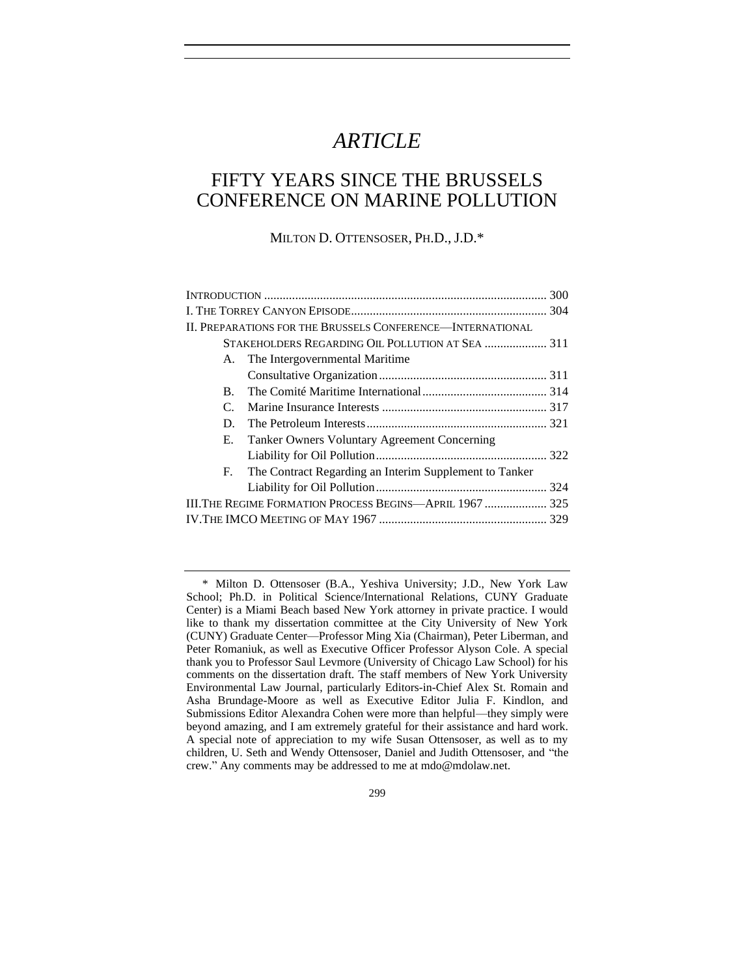# *ARTICLE*

## FIFTY YEARS SINCE THE BRUSSELS CONFERENCE ON MARINE POLLUTION

MILTON D. OTTENSOSER, PH.D., J.D.\*

|             | II. PREPARATIONS FOR THE BRUSSELS CONFERENCE—INTERNATIONAL |  |  |
|-------------|------------------------------------------------------------|--|--|
|             |                                                            |  |  |
|             | A. The Intergovernmental Maritime                          |  |  |
|             |                                                            |  |  |
| B.          |                                                            |  |  |
| $C_{\cdot}$ |                                                            |  |  |
| D.          |                                                            |  |  |
| E.          | Tanker Owners Voluntary Agreement Concerning               |  |  |
|             |                                                            |  |  |
|             | F. The Contract Regarding an Interim Supplement to Tanker  |  |  |
|             |                                                            |  |  |
|             | III.The Regime Formation Process Begins—April 1967  325    |  |  |
|             |                                                            |  |  |
|             |                                                            |  |  |

<sup>\*</sup> Milton D. Ottensoser (B.A., Yeshiva University; J.D., New York Law School; Ph.D. in Political Science/International Relations, CUNY Graduate Center) is a Miami Beach based New York attorney in private practice. I would like to thank my dissertation committee at the City University of New York (CUNY) Graduate Center—Professor Ming Xia (Chairman), Peter Liberman, and Peter Romaniuk, as well as Executive Officer Professor Alyson Cole. A special thank you to Professor Saul Levmore (University of Chicago Law School) for his comments on the dissertation draft. The staff members of New York University Environmental Law Journal, particularly Editors-in-Chief Alex St. Romain and Asha Brundage-Moore as well as Executive Editor Julia F. Kindlon, and Submissions Editor Alexandra Cohen were more than helpful—they simply were beyond amazing, and I am extremely grateful for their assistance and hard work. A special note of appreciation to my wife Susan Ottensoser, as well as to my children, U. Seth and Wendy Ottensoser, Daniel and Judith Ottensoser, and "the crew." Any comments may be addressed to me at mdo@mdolaw.net.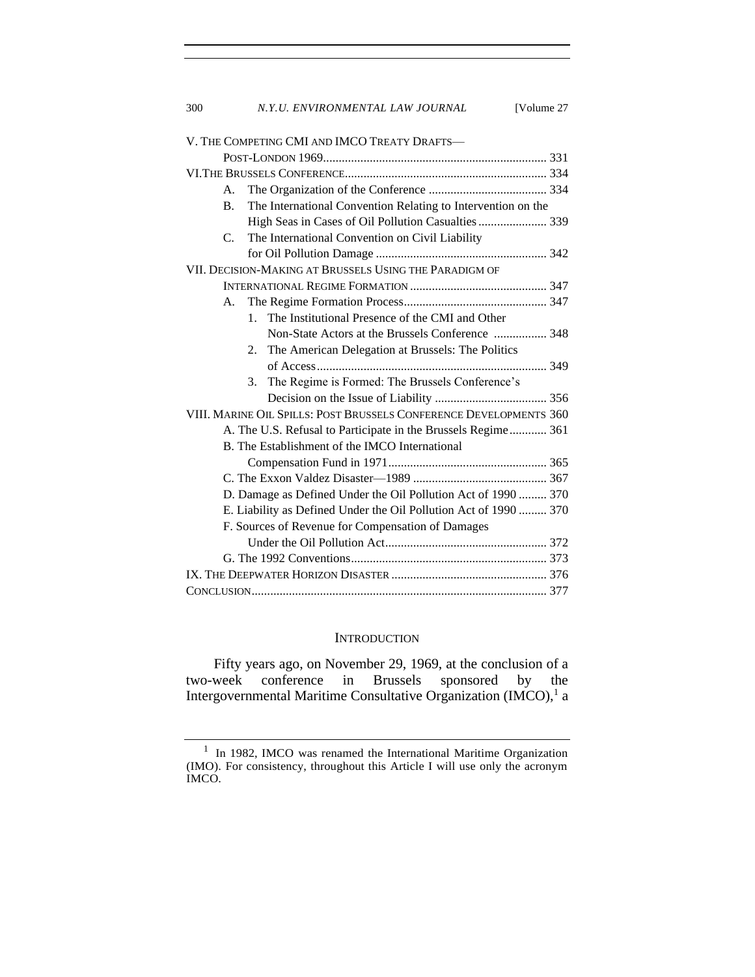| 300 | N.Y.U. ENVIRONMENTAL LAW JOURNAL                                          | [Volume 27 |
|-----|---------------------------------------------------------------------------|------------|
|     |                                                                           |            |
|     | V. THE COMPETING CMI AND IMCO TREATY DRAFTS-                              |            |
|     |                                                                           |            |
|     |                                                                           |            |
|     | $A_{\cdot}$                                                               |            |
|     | The International Convention Relating to Intervention on the<br><b>B.</b> |            |
|     | High Seas in Cases of Oil Pollution Casualties  339                       |            |
|     | $C_{\cdot}$<br>The International Convention on Civil Liability            |            |
|     |                                                                           |            |
|     | VII. DECISION-MAKING AT BRUSSELS USING THE PARADIGM OF                    |            |
|     |                                                                           |            |
|     | А.                                                                        |            |
|     | 1. The Institutional Presence of the CMI and Other                        |            |
|     | Non-State Actors at the Brussels Conference  348                          |            |
|     | The American Delegation at Brussels: The Politics<br>2.                   |            |
|     |                                                                           |            |
|     | 3. The Regime is Formed: The Brussels Conference's                        |            |
|     |                                                                           |            |
|     | VIII. MARINE OIL SPILLS: POST BRUSSELS CONFERENCE DEVELOPMENTS 360        |            |
|     | A. The U.S. Refusal to Participate in the Brussels Regime 361             |            |
|     | B. The Establishment of the IMCO International                            |            |
|     |                                                                           |            |
|     |                                                                           |            |
|     | D. Damage as Defined Under the Oil Pollution Act of 1990  370             |            |
|     | E. Liability as Defined Under the Oil Pollution Act of 1990  370          |            |
|     | F. Sources of Revenue for Compensation of Damages                         |            |
|     |                                                                           |            |
|     |                                                                           |            |
|     |                                                                           |            |
|     |                                                                           |            |
|     |                                                                           |            |

## **INTRODUCTION**

Fifty years ago, on November 29, 1969, at the conclusion of a week conference in Brussels sponsored by the two-week conference in Brussels sponsored by the Intergovernmental Maritime Consultative Organization (IMCO),<sup>1</sup> a

<sup>&</sup>lt;sup>1</sup> In 1982, IMCO was renamed the International Maritime Organization (IMO). For consistency, throughout this Article I will use only the acronym IMCO.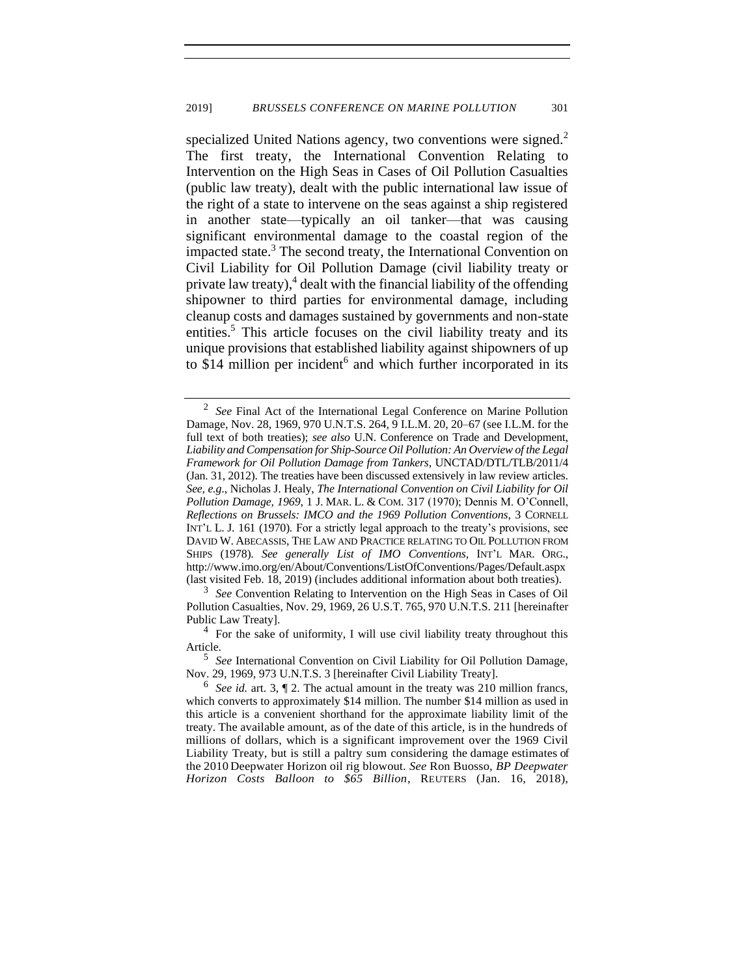specialized United Nations agency, two conventions were signed.<sup>2</sup> The first treaty, the International Convention Relating to Intervention on the High Seas in Cases of Oil Pollution Casualties (public law treaty), dealt with the public international law issue of the right of a state to intervene on the seas against a ship registered in another state—typically an oil tanker—that was causing significant environmental damage to the coastal region of the impacted state.<sup>3</sup> The second treaty, the International Convention on Civil Liability for Oil Pollution Damage (civil liability treaty or private law treaty), $4$  dealt with the financial liability of the offending shipowner to third parties for environmental damage, including cleanup costs and damages sustained by governments and non-state entities.<sup>5</sup> This article focuses on the civil liability treaty and its unique provisions that established liability against shipowners of up to  $$14$  million per incident<sup>6</sup> and which further incorporated in its

<span id="page-2-0"></span><sup>2</sup> *See* Final Act of the International Legal Conference on Marine Pollution Damage*,* Nov. 28, 1969, 970 U.N.T.S. 264, 9 I.L.M. 20, 20–67 (see I.L.M. for the full text of both treaties); *see also* U.N. Conference on Trade and Development, *Liability and Compensation for Ship-Source Oil Pollution: An Overview of the Legal Framework for Oil Pollution Damage from Tankers*, UNCTAD/DTL/TLB/2011/4 (Jan. 31, 2012). The treaties have been discussed extensively in law review articles. *See, e.g*., Nicholas J. Healy, *The International Convention on Civil Liability for Oil Pollution Damage, 1969*, 1 J. MAR. L. & COM. 317 (1970); Dennis M. O'Connell, *Reflections on Brussels: IMCO and the 1969 Pollution Conventions*, 3 CORNELL INT'L L. J. 161 (1970)*.* For a strictly legal approach to the treaty's provisions, see DAVID W. ABECASSIS, THE LAW AND PRACTICE RELATING TO OIL POLLUTION FROM SHIPS (1978). *See generally List of IMO Conventions,* INT'L MAR. ORG., http://www.imo.org/en/About/Conventions/ListOfConventions/Pages/Default.aspx (last visited Feb. 18, 2019) (includes additional information about both treaties).

<sup>&</sup>lt;sup>3</sup> See Convention Relating to Intervention on the High Seas in Cases of Oil Pollution Casualties, Nov. 29, 1969, 26 U.S.T. 765, 970 U.N.T.S. 211 [hereinafter Public Law Treaty].

<sup>&</sup>lt;sup>4</sup> For the sake of uniformity, I will use civil liability treaty throughout this Article.

<sup>5</sup> *See* International Convention on Civil Liability for Oil Pollution Damage, Nov. 29, 1969, 973 U.N.T.S. 3 [hereinafter Civil Liability Treaty].

 $6$  See id. art. 3,  $\llbracket 2$ . The actual amount in the treaty was 210 million francs, which converts to approximately \$14 million. The number \$14 million as used in this article is a convenient shorthand for the approximate liability limit of the treaty. The available amount, as of the date of this article, is in the hundreds of millions of dollars, which is a significant improvement over the 1969 Civil Liability Treaty, but is still a paltry sum considering the damage estimates of the 2010 Deepwater Horizon oil rig blowout. *See* Ron Buosso, *BP Deepwater Horizon Costs Balloon to \$65 Billion*, REUTERS (Jan. 16, 2018),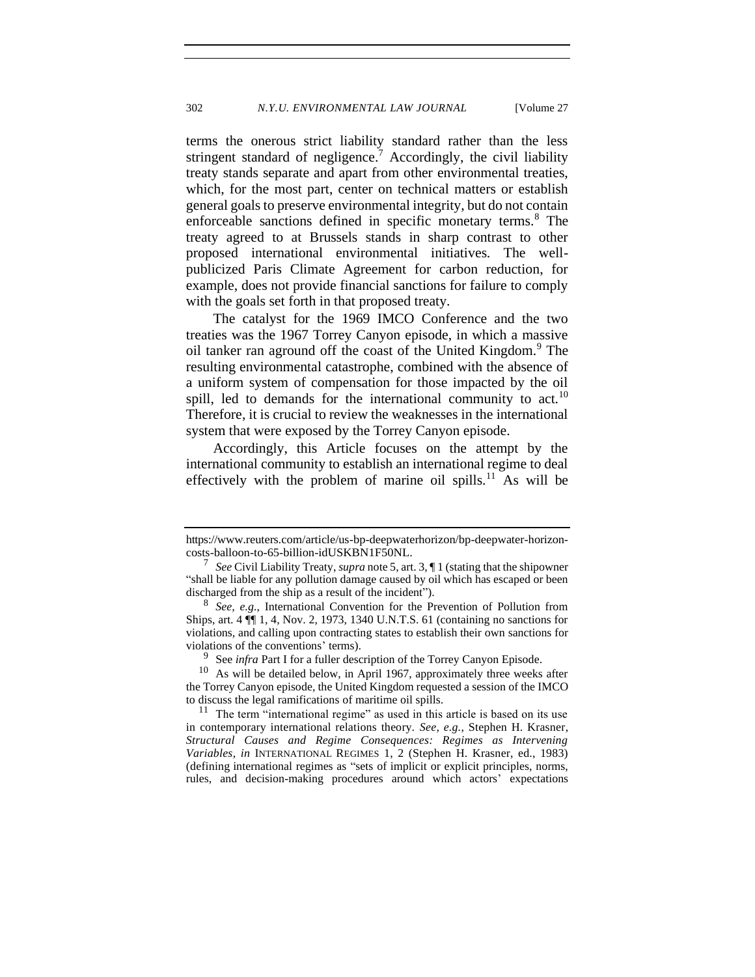terms the onerous strict liability standard rather than the less stringent standard of negligence.<sup>7</sup> Accordingly, the civil liability treaty stands separate and apart from other environmental treaties, which, for the most part, center on technical matters or establish general goals to preserve environmental integrity, but do not contain enforceable sanctions defined in specific monetary terms.<sup>8</sup> The treaty agreed to at Brussels stands in sharp contrast to other proposed international environmental initiatives. The wellpublicized Paris Climate Agreement for carbon reduction, for example, does not provide financial sanctions for failure to comply with the goals set forth in that proposed treaty.

The catalyst for the 1969 IMCO Conference and the two treaties was the 1967 Torrey Canyon episode, in which a massive oil tanker ran aground off the coast of the United Kingdom.<sup>9</sup> The resulting environmental catastrophe, combined with the absence of a uniform system of compensation for those impacted by the oil spill, led to demands for the international community to act.<sup>10</sup> Therefore, it is crucial to review the weaknesses in the international system that were exposed by the Torrey Canyon episode.

Accordingly, this Article focuses on the attempt by the international community to establish an international regime to deal effectively with the problem of marine oil spills.<sup>11</sup> As will be

https://www.reuters.com/article/us-bp-deepwaterhorizon/bp-deepwater-horizoncosts-balloon-to-65-billion-idUSKBN1F50NL.

<sup>7</sup> *See* Civil Liability Treaty, *supra* not[e 5,](#page-2-0) art. 3, ¶ 1 (stating that the shipowner "shall be liable for any pollution damage caused by oil which has escaped or been discharged from the ship as a result of the incident").

<sup>8</sup> *See, e.g.*, International Convention for the Prevention of Pollution from Ships, art. 4 ¶¶ 1, 4, Nov. 2, 1973, 1340 U.N.T.S. 61 (containing no sanctions for violations, and calling upon contracting states to establish their own sanctions for violations of the conventions' terms).

<sup>9</sup> See *infra* Part I for a fuller description of the Torrey Canyon Episode.

 $10$  As will be detailed below, in April 1967, approximately three weeks after the Torrey Canyon episode, the United Kingdom requested a session of the IMCO to discuss the legal ramifications of maritime oil spills.

 $11$  The term "international regime" as used in this article is based on its use in contemporary international relations theory. *See, e.g.*, Stephen H. Krasner, *Structural Causes and Regime Consequences: Regimes as Intervening Variables*, *in* INTERNATIONAL REGIMES 1, 2 (Stephen H. Krasner, ed., 1983) (defining international regimes as "sets of implicit or explicit principles, norms, rules, and decision-making procedures around which actors' expectations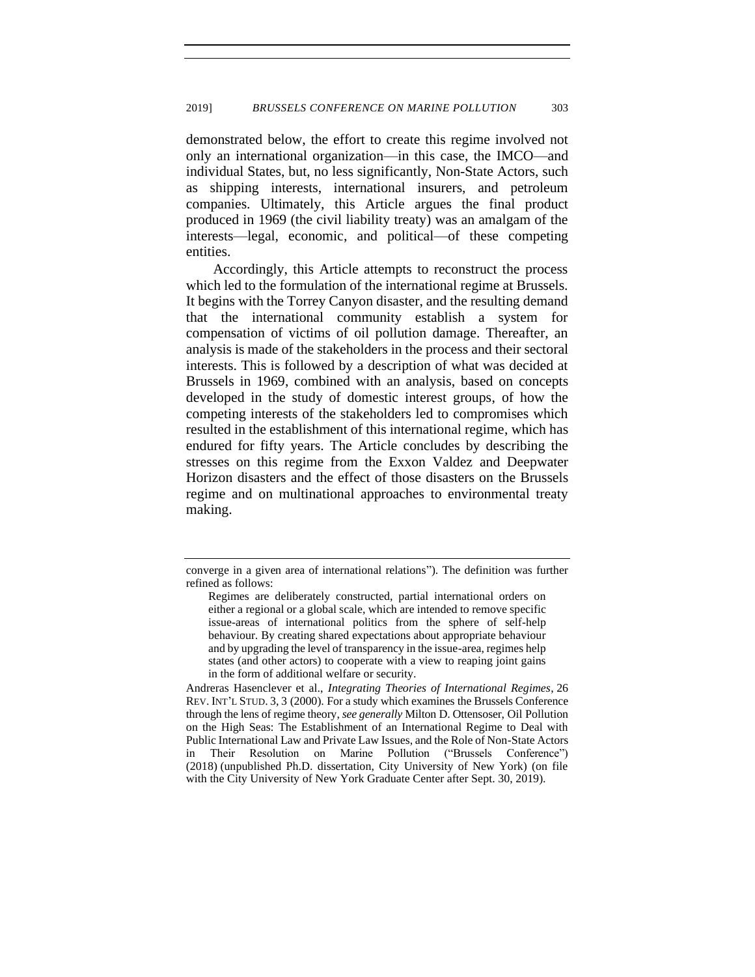demonstrated below, the effort to create this regime involved not only an international organization—in this case, the IMCO—and individual States, but, no less significantly, Non-State Actors, such as shipping interests, international insurers, and petroleum companies. Ultimately, this Article argues the final product produced in 1969 (the civil liability treaty) was an amalgam of the interests—legal, economic, and political—of these competing entities.

Accordingly, this Article attempts to reconstruct the process which led to the formulation of the international regime at Brussels. It begins with the Torrey Canyon disaster, and the resulting demand that the international community establish a system for compensation of victims of oil pollution damage. Thereafter, an analysis is made of the stakeholders in the process and their sectoral interests. This is followed by a description of what was decided at Brussels in 1969, combined with an analysis, based on concepts developed in the study of domestic interest groups, of how the competing interests of the stakeholders led to compromises which resulted in the establishment of this international regime, which has endured for fifty years. The Article concludes by describing the stresses on this regime from the Exxon Valdez and Deepwater Horizon disasters and the effect of those disasters on the Brussels regime and on multinational approaches to environmental treaty making.

Andreras Hasenclever et al., *Integrating Theories of International Regimes*, 26 REV. INT'L STUD. 3, 3 (2000). For a study which examines the Brussels Conference through the lens of regime theory, *see generally* Milton D. Ottensoser, Oil Pollution on the High Seas: The Establishment of an International Regime to Deal with Public International Law and Private Law Issues, and the Role of Non-State Actors in Their Resolution on Marine Pollution ("Brussels Conference") (2018) (unpublished Ph.D. dissertation, City University of New York) (on file with the City University of New York Graduate Center after Sept. 30, 2019).

converge in a given area of international relations"). The definition was further refined as follows:

Regimes are deliberately constructed, partial international orders on either a regional or a global scale, which are intended to remove specific issue-areas of international politics from the sphere of self-help behaviour. By creating shared expectations about appropriate behaviour and by upgrading the level of transparency in the issue-area, regimes help states (and other actors) to cooperate with a view to reaping joint gains in the form of additional welfare or security.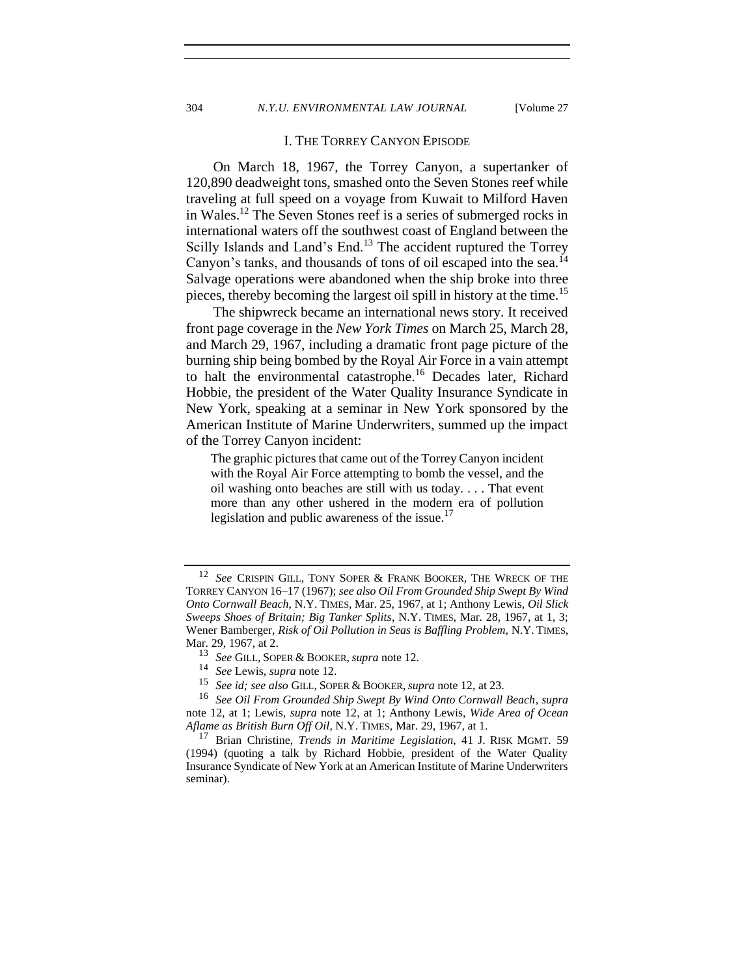#### I. THE TORREY CANYON EPISODE

<span id="page-5-0"></span>On March 18, 1967, the Torrey Canyon, a supertanker of 120,890 deadweight tons, smashed onto the Seven Stones reef while traveling at full speed on a voyage from Kuwait to Milford Haven in Wales.<sup>12</sup> The Seven Stones reef is a series of submerged rocks in international waters off the southwest coast of England between the Scilly Islands and Land's End.<sup>13</sup> The accident ruptured the Torrey Canyon's tanks, and thousands of tons of oil escaped into the sea.<sup>14</sup> Salvage operations were abandoned when the ship broke into three pieces, thereby becoming the largest oil spill in history at the time.<sup>15</sup>

The shipwreck became an international news story. It received front page coverage in the *New York Times* on March 25, March 28, and March 29, 1967, including a dramatic front page picture of the burning ship being bombed by the Royal Air Force in a vain attempt to halt the environmental catastrophe.<sup>16</sup> Decades later, Richard Hobbie, the president of the Water Quality Insurance Syndicate in New York, speaking at a seminar in New York sponsored by the American Institute of Marine Underwriters, summed up the impact of the Torrey Canyon incident:

The graphic pictures that came out of the Torrey Canyon incident with the Royal Air Force attempting to bomb the vessel, and the oil washing onto beaches are still with us today. . . . That event more than any other ushered in the modern era of pollution legislation and public awareness of the issue.<sup>17</sup>

<sup>12</sup> *See* CRISPIN GILL, TONY SOPER & FRANK BOOKER, THE WRECK OF THE TORREY CANYON 16–17 (1967); *see also Oil From Grounded Ship Swept By Wind Onto Cornwall Beach*, N.Y. TIMES, Mar. 25, 1967, at 1; Anthony Lewis, *Oil Slick Sweeps Shoes of Britain; Big Tanker Splits*, N.Y. TIMES, Mar. 28, 1967, at 1, 3; Wener Bamberger, *Risk of Oil Pollution in Seas is Baffling Problem*, N.Y. TIMES, Mar. 29, 1967, at 2.

<sup>13</sup> *See* GILL, SOPER & BOOKER,*supra* note [12.](#page-5-0)

<sup>14</sup> *See* Lewis, *supra* note [12.](#page-5-0)

<sup>15</sup> *See id; see also* GILL, SOPER & BOOKER,*supra* not[e 12,](#page-5-0) at 23.

<sup>16</sup> *See Oil From Grounded Ship Swept By Wind Onto Cornwall Beach*, *supra* note [12,](#page-5-0) at 1; Lewis, *supra* note [12,](#page-5-0) at 1; Anthony Lewis, *Wide Area of Ocean Aflame as British Burn Off Oil*, N.Y. TIMES, Mar. 29, 1967, at 1.

<sup>17</sup> Brian Christine, *Trends in Maritime Legislation*, 41 J. RISK MGMT. 59 (1994) (quoting a talk by Richard Hobbie, president of the Water Quality Insurance Syndicate of New York at an American Institute of Marine Underwriters seminar).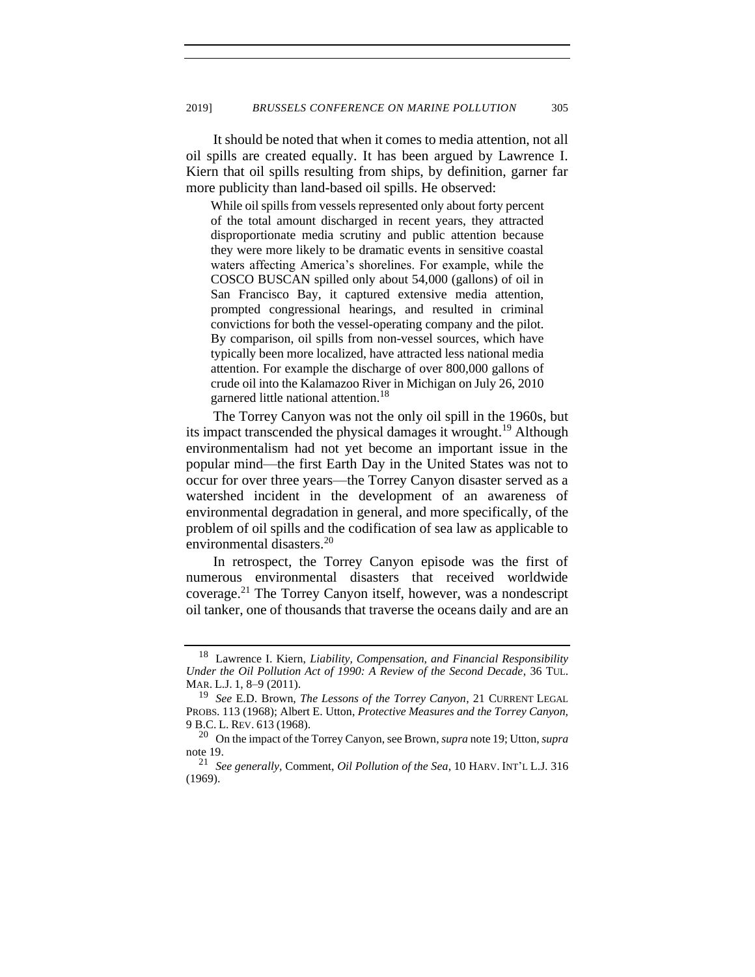It should be noted that when it comes to media attention, not all oil spills are created equally. It has been argued by Lawrence I. Kiern that oil spills resulting from ships, by definition, garner far more publicity than land-based oil spills. He observed:

While oil spills from vessels represented only about forty percent of the total amount discharged in recent years, they attracted disproportionate media scrutiny and public attention because they were more likely to be dramatic events in sensitive coastal waters affecting America's shorelines. For example, while the COSCO BUSCAN spilled only about 54,000 (gallons) of oil in San Francisco Bay, it captured extensive media attention, prompted congressional hearings, and resulted in criminal convictions for both the vessel-operating company and the pilot. By comparison, oil spills from non-vessel sources, which have typically been more localized, have attracted less national media attention. For example the discharge of over 800,000 gallons of crude oil into the Kalamazoo River in Michigan on July 26, 2010 garnered little national attention.<sup>18</sup>

<span id="page-6-0"></span>The Torrey Canyon was not the only oil spill in the 1960s, but its impact transcended the physical damages it wrought.<sup>19</sup> Although environmentalism had not yet become an important issue in the popular mind—the first Earth Day in the United States was not to occur for over three years—the Torrey Canyon disaster served as a watershed incident in the development of an awareness of environmental degradation in general, and more specifically, of the problem of oil spills and the codification of sea law as applicable to environmental disasters.<sup>20</sup>

<span id="page-6-1"></span>In retrospect, the Torrey Canyon episode was the first of numerous environmental disasters that received worldwide coverage.<sup>21</sup> The Torrey Canyon itself, however, was a nondescript oil tanker, one of thousands that traverse the oceans daily and are an

<sup>18</sup> Lawrence I. Kiern, *Liability, Compensation, and Financial Responsibility Under the Oil Pollution Act of 1990: A Review of the Second Decade*, 36 TUL. MAR. L.J. 1, 8–9 (2011).

<sup>19</sup> *See* E.D. Brown, *The Lessons of the Torrey Canyon*, 21 CURRENT LEGAL PROBS. 113 (1968); Albert E. Utton, *Protective Measures and the Torrey Canyon,*  9 B.C. L. REV. 613 (1968).

<sup>20</sup> On the impact of the Torrey Canyon, see Brown, *supra* not[e 19;](#page-6-0) Utton, *supra*  not[e 19.](#page-6-0)

<sup>21</sup> *See generally,* Comment, *Oil Pollution of the Sea*, 10 HARV. INT'L L.J. 316 (1969).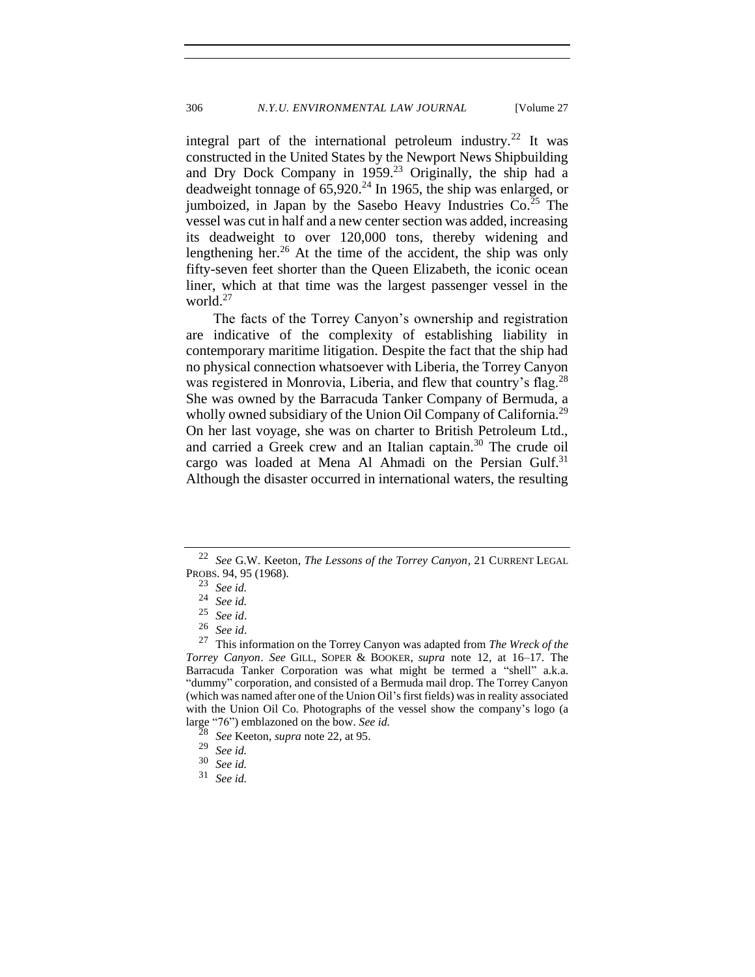<span id="page-7-0"></span>integral part of the international petroleum industry.<sup>22</sup> It was constructed in the United States by the Newport News Shipbuilding and Dry Dock Company in  $1959<sup>23</sup>$  Originally, the ship had a deadweight tonnage of  $65,920.^{24}$  In 1965, the ship was enlarged, or jumboized, in Japan by the Sasebo Heavy Industries  $Co^{25}$  The vessel was cut in half and a new center section was added, increasing its deadweight to over 120,000 tons, thereby widening and lengthening her.<sup>26</sup> At the time of the accident, the ship was only fifty-seven feet shorter than the Queen Elizabeth, the iconic ocean liner, which at that time was the largest passenger vessel in the world.<sup>27</sup>

The facts of the Torrey Canyon's ownership and registration are indicative of the complexity of establishing liability in contemporary maritime litigation. Despite the fact that the ship had no physical connection whatsoever with Liberia, the Torrey Canyon was registered in Monrovia, Liberia, and flew that country's flag.<sup>28</sup> She was owned by the Barracuda Tanker Company of Bermuda, a wholly owned subsidiary of the Union Oil Company of California.<sup>29</sup> On her last voyage, she was on charter to British Petroleum Ltd., and carried a Greek crew and an Italian captain. $30$  The crude oil cargo was loaded at Mena Al Ahmadi on the Persian Gulf.<sup>31</sup> Although the disaster occurred in international waters, the resulting

<sup>22</sup> *See* G.W. Keeton, *The Lessons of the Torrey Canyon*, 21 CURRENT LEGAL PROBS. 94, 95 (1968).

 $\frac{23}{24}$  *See id.* 

<sup>24</sup> *See id.*

<sup>25</sup> *See id*.

 $rac{26}{27}$  *See id.* 

<sup>27</sup> This information on the Torrey Canyon was adapted from *The Wreck of the Torrey Canyon*. *See* GILL, SOPER & BOOKER, *supra* note [12,](#page-5-0) at 16–17. The Barracuda Tanker Corporation was what might be termed a "shell" a.k.a. "dummy" corporation, and consisted of a Bermuda mail drop. The Torrey Canyon (which was named after one of the Union Oil's first fields) was in reality associated with the Union Oil Co. Photographs of the vessel show the company's logo (a large "76") emblazoned on the bow. *See id.*

<sup>28</sup> *See* Keeton, *supra* not[e 22,](#page-7-0) at 95.

<sup>29</sup> *See id.*

<sup>30</sup> *See id.*

<sup>31</sup> *See id.*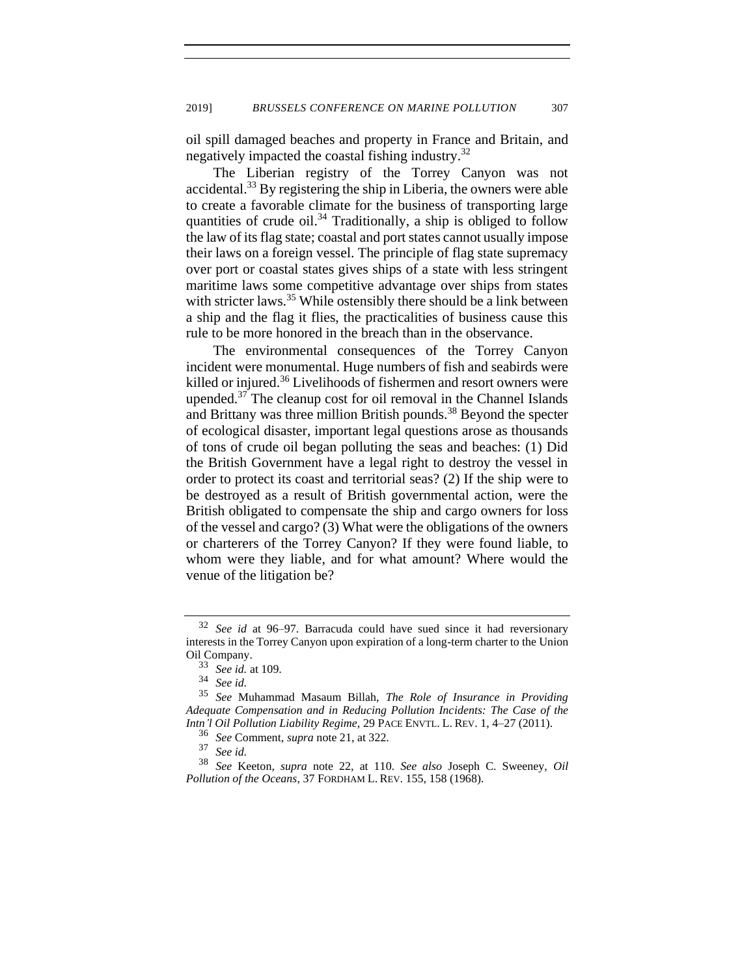oil spill damaged beaches and property in France and Britain, and negatively impacted the coastal fishing industry.<sup>32</sup>

The Liberian registry of the Torrey Canyon was not accidental.<sup>33</sup> By registering the ship in Liberia, the owners were able to create a favorable climate for the business of transporting large quantities of crude oil.<sup>34</sup> Traditionally, a ship is obliged to follow the law of its flag state; coastal and port states cannot usually impose their laws on a foreign vessel. The principle of flag state supremacy over port or coastal states gives ships of a state with less stringent maritime laws some competitive advantage over ships from states with stricter laws.<sup>35</sup> While ostensibly there should be a link between a ship and the flag it flies, the practicalities of business cause this rule to be more honored in the breach than in the observance.

<span id="page-8-0"></span>The environmental consequences of the Torrey Canyon incident were monumental. Huge numbers of fish and seabirds were killed or injured. $36$  Livelihoods of fishermen and resort owners were upended. $37$  The cleanup cost for oil removal in the Channel Islands and Brittany was three million British pounds.<sup>38</sup> Beyond the specter of ecological disaster, important legal questions arose as thousands of tons of crude oil began polluting the seas and beaches: (1) Did the British Government have a legal right to destroy the vessel in order to protect its coast and territorial seas? (2) If the ship were to be destroyed as a result of British governmental action, were the British obligated to compensate the ship and cargo owners for loss of the vessel and cargo? (3) What were the obligations of the owners or charterers of the Torrey Canyon? If they were found liable, to whom were they liable, and for what amount? Where would the venue of the litigation be?

<sup>32</sup> *See id* at 96–97. Barracuda could have sued since it had reversionary interests in the Torrey Canyon upon expiration of a long-term charter to the Union Oil Company.

<sup>33</sup> *See id.* at 109.

See id.

<sup>35</sup> *See* Muhammad Masaum Billah, *The Role of Insurance in Providing Adequate Compensation and in Reducing Pollution Incidents: The Case of the Intn'l Oil Pollution Liability Regime*, 29 PACE ENVTL. L. REV. 1, 4–27 (2011).

<sup>36</sup> *See* Comment, *supra* not[e 21,](#page-6-1) at 322.

<sup>37</sup> *See id.*

<sup>38</sup> *See* Keeton*, supra* note [22,](#page-7-0) at 110. *See also* Joseph C. Sweeney, *Oil Pollution of the Oceans*, 37 FORDHAM L. REV. 155, 158 (1968).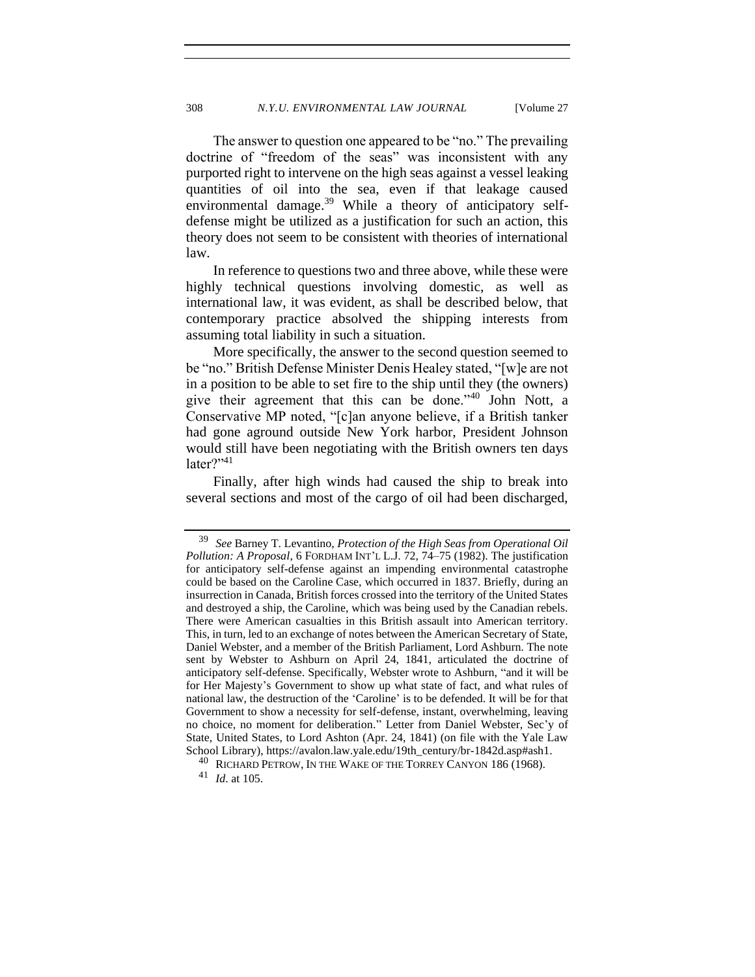The answer to question one appeared to be "no." The prevailing doctrine of "freedom of the seas" was inconsistent with any purported right to intervene on the high seas against a vessel leaking quantities of oil into the sea, even if that leakage caused environmental damage.<sup>39</sup> While a theory of anticipatory selfdefense might be utilized as a justification for such an action, this theory does not seem to be consistent with theories of international law.

In reference to questions two and three above, while these were highly technical questions involving domestic, as well as international law, it was evident, as shall be described below, that contemporary practice absolved the shipping interests from assuming total liability in such a situation.

<span id="page-9-0"></span>More specifically, the answer to the second question seemed to be "no." British Defense Minister Denis Healey stated, "[w]e are not in a position to be able to set fire to the ship until they (the owners) give their agreement that this can be done."<sup>40</sup> John Nott, a Conservative MP noted, "[c]an anyone believe, if a British tanker had gone aground outside New York harbor, President Johnson would still have been negotiating with the British owners ten days later?" $41$ 

Finally, after high winds had caused the ship to break into several sections and most of the cargo of oil had been discharged,

<sup>39</sup> *See* Barney T. Levantino, *Protection of the High Seas from Operational Oil Pollution: A Proposal*, 6 FORDHAM INT'L L.J. 72, 74–75 (1982). The justification for anticipatory self-defense against an impending environmental catastrophe could be based on the Caroline Case, which occurred in 1837. Briefly, during an insurrection in Canada, British forces crossed into the territory of the United States and destroyed a ship, the Caroline, which was being used by the Canadian rebels. There were American casualties in this British assault into American territory. This, in turn, led to an exchange of notes between the American Secretary of State, Daniel Webster, and a member of the British Parliament, Lord Ashburn. The note sent by Webster to Ashburn on April 24, 1841, articulated the doctrine of anticipatory self-defense. Specifically, Webster wrote to Ashburn, "and it will be for Her Majesty's Government to show up what state of fact, and what rules of national law, the destruction of the 'Caroline' is to be defended. It will be for that Government to show a necessity for self-defense, instant, overwhelming, leaving no choice, no moment for deliberation." Letter from Daniel Webster, Sec'y of State, United States, to Lord Ashton (Apr. 24, 1841) (on file with the Yale Law School Library), https://avalon.law.yale.edu/19th\_century/br-1842d.asp#ash1.

 $^{40}$  RICHARD PETROW, IN THE WAKE OF THE TORREY CANYON 186 (1968).

<sup>41</sup> *Id*. at 105.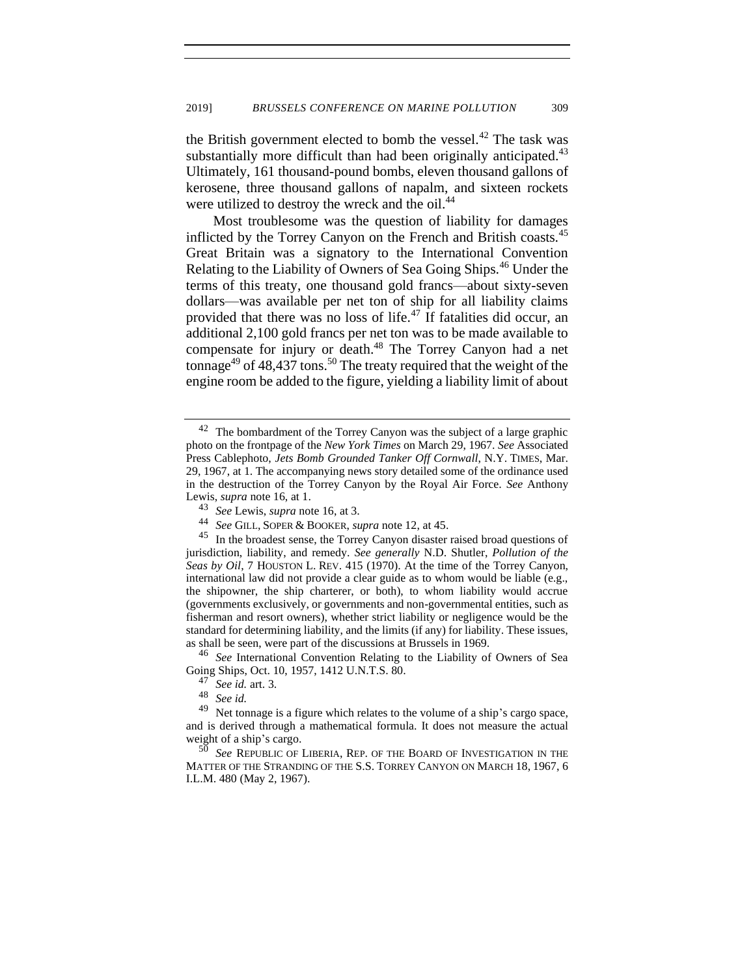the British government elected to bomb the vessel.<sup>42</sup> The task was substantially more difficult than had been originally anticipated. $43$ Ultimately, 161 thousand-pound bombs, eleven thousand gallons of kerosene, three thousand gallons of napalm, and sixteen rockets were utilized to destroy the wreck and the oil.<sup>44</sup>

Most troublesome was the question of liability for damages inflicted by the Torrey Canyon on the French and British coasts.<sup>45</sup> Great Britain was a signatory to the International Convention Relating to the Liability of Owners of Sea Going Ships.<sup>46</sup> Under the terms of this treaty, one thousand gold francs—about sixty-seven dollars—was available per net ton of ship for all liability claims provided that there was no loss of life. $47$  If fatalities did occur, an additional 2,100 gold francs per net ton was to be made available to compensate for injury or death.<sup>48</sup> The Torrey Canyon had a net tonnage<sup>49</sup> of 48,437 tons.<sup>50</sup> The treaty required that the weight of the engine room be added to the figure, yielding a liability limit of about

<sup>46</sup> *See* International Convention Relating to the Liability of Owners of Sea Going Ships, Oct. 10, 1957, 1412 U.N.T.S. 80.

 $42$  The bombardment of the Torrey Canyon was the subject of a large graphic photo on the frontpage of the *New York Times* on March 29, 1967. *See* Associated Press Cablephoto, *Jets Bomb Grounded Tanker Off Cornwall*, N.Y. TIMES, Mar. 29, 1967, at 1. The accompanying news story detailed some of the ordinance used in the destruction of the Torrey Canyon by the Royal Air Force. *See* Anthony Lewis, *supra* note 16, at 1.

<sup>43</sup> *See* Lewis, *supra* note 16, at 3.<br>44 *See GUL SOPER & BOOKER* 

<sup>44</sup> *See* GILL, SOPER & BOOKER, *supra* not[e 12,](#page-5-0) at 45.

In the broadest sense, the Torrey Canyon disaster raised broad questions of jurisdiction, liability, and remedy. *See generally* N.D. Shutler, *Pollution of the Seas by Oil*, 7 HOUSTON L. REV. 415 (1970). At the time of the Torrey Canyon, international law did not provide a clear guide as to whom would be liable (e.g., the shipowner, the ship charterer, or both), to whom liability would accrue (governments exclusively, or governments and non-governmental entities, such as fisherman and resort owners), whether strict liability or negligence would be the standard for determining liability, and the limits (if any) for liability. These issues, as shall be seen, were part of the discussions at Brussels in 1969.

 $\frac{47}{48}$  *See id.* art. 3.

 $\frac{48}{49}$  *See id.*<br> $\frac{49}{65}$  *Net to* 

Net tonnage is a figure which relates to the volume of a ship's cargo space, and is derived through a mathematical formula. It does not measure the actual weight of a ship's cargo.

See REPUBLIC OF LIBERIA, REP. OF THE BOARD OF INVESTIGATION IN THE MATTER OF THE STRANDING OF THE S.S. TORREY CANYON ON MARCH 18, 1967, 6 I.L.M. 480 (May 2, 1967).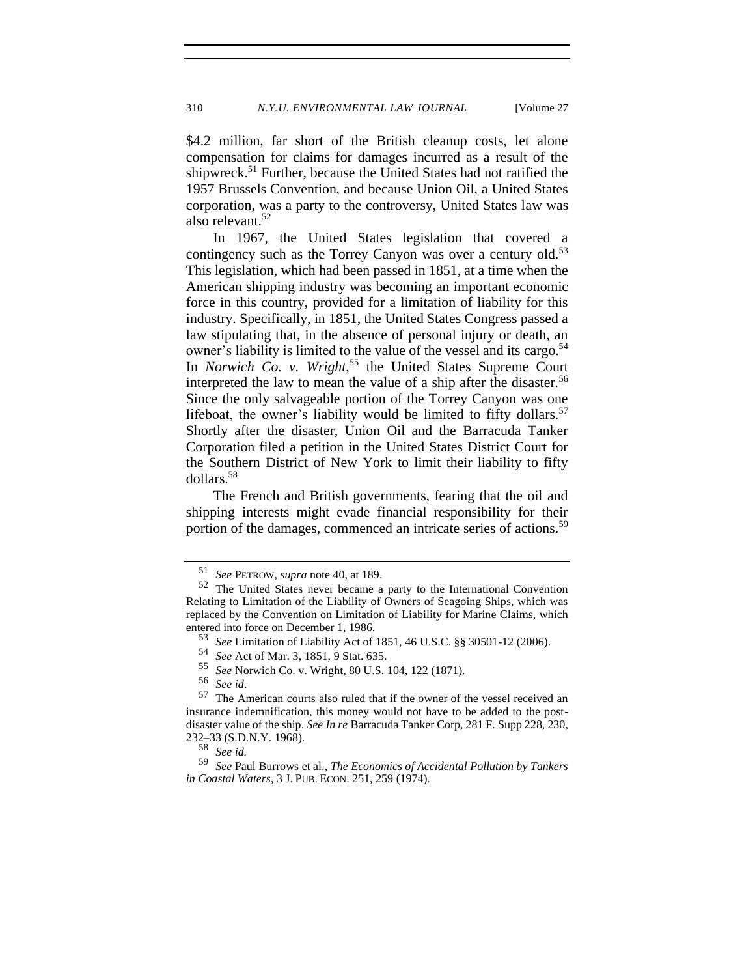\$4.2 million, far short of the British cleanup costs, let alone compensation for claims for damages incurred as a result of the shipwreck.<sup>51</sup> Further, because the United States had not ratified the 1957 Brussels Convention, and because Union Oil, a United States corporation, was a party to the controversy, United States law was also relevant.<sup>52</sup>

In 1967, the United States legislation that covered a contingency such as the Torrey Canyon was over a century old.<sup>53</sup> This legislation, which had been passed in 1851, at a time when the American shipping industry was becoming an important economic force in this country, provided for a limitation of liability for this industry. Specifically, in 1851, the United States Congress passed a law stipulating that, in the absence of personal injury or death, an owner's liability is limited to the value of the vessel and its cargo.<sup>54</sup> In *Norwich Co. v. Wright*, <sup>55</sup> the United States Supreme Court interpreted the law to mean the value of a ship after the disaster.<sup>56</sup> Since the only salvageable portion of the Torrey Canyon was one lifeboat, the owner's liability would be limited to fifty dollars.<sup>57</sup> Shortly after the disaster, Union Oil and the Barracuda Tanker Corporation filed a petition in the United States District Court for the Southern District of New York to limit their liability to fifty dollars.<sup>58</sup>

The French and British governments, fearing that the oil and shipping interests might evade financial responsibility for their portion of the damages, commenced an intricate series of actions.<sup>59</sup>

<sup>51</sup> *See* PETROW, *supra* note 40, at 189.

The United States never became a party to the International Convention Relating to Limitation of the Liability of Owners of Seagoing Ships, which was replaced by the Convention on Limitation of Liability for Marine Claims, which entered into force on December 1, 1986.

<sup>53</sup> *See* Limitation of Liability Act of 1851, 46 U.S.C. §§ 30501-12 (2006).

<sup>54</sup> *See* Act of Mar. 3, 1851, 9 Stat. 635.

<sup>55</sup> *See* Norwich Co. v. Wright, 80 U.S. 104, 122 (1871).

<sup>56</sup> *See id*.

<sup>57</sup> The American courts also ruled that if the owner of the vessel received an insurance indemnification, this money would not have to be added to the postdisaster value of the ship. *See In re* Barracuda Tanker Corp, 281 F. Supp 228, 230, 232–33 (S.D.N.Y. 1968).

<sup>58</sup> *See id.*

<sup>59</sup> *See* Paul Burrows et al., *The Economics of Accidental Pollution by Tankers in Coastal Waters*, 3 J. PUB. ECON. 251, 259 (1974).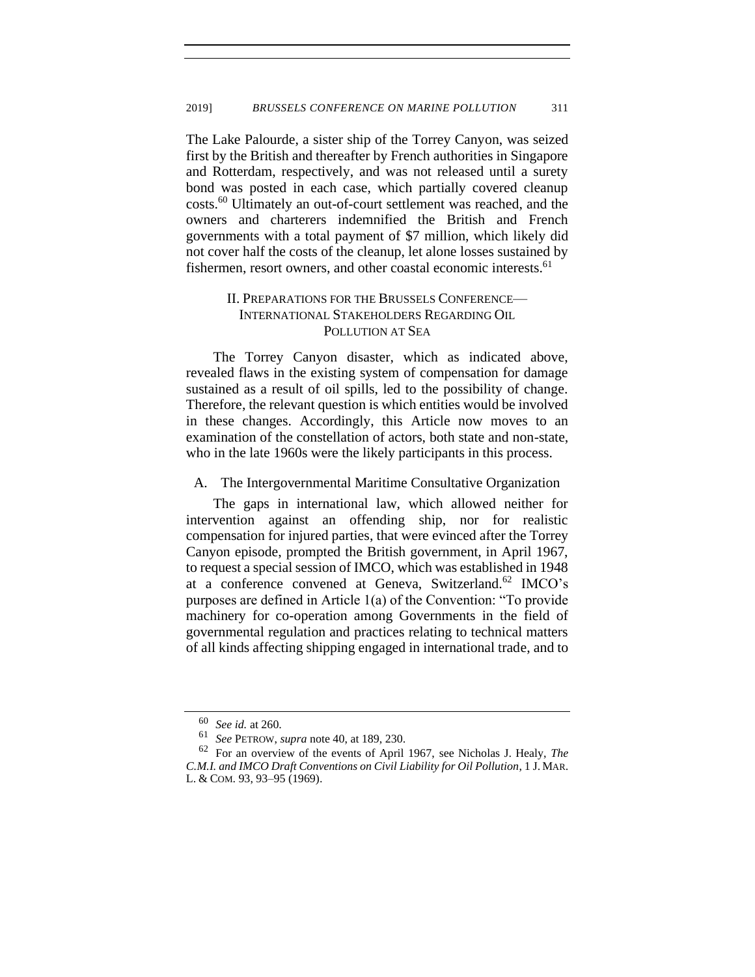The Lake Palourde, a sister ship of the Torrey Canyon, was seized first by the British and thereafter by French authorities in Singapore and Rotterdam, respectively, and was not released until a surety bond was posted in each case, which partially covered cleanup costs.<sup>60</sup> Ultimately an out-of-court settlement was reached, and the owners and charterers indemnified the British and French governments with a total payment of \$7 million, which likely did not cover half the costs of the cleanup, let alone losses sustained by fishermen, resort owners, and other coastal economic interests.<sup>61</sup>

## II. PREPARATIONS FOR THE BRUSSELS CONFERENCE— INTERNATIONAL STAKEHOLDERS REGARDING OIL POLLUTION AT SEA

The Torrey Canyon disaster, which as indicated above, revealed flaws in the existing system of compensation for damage sustained as a result of oil spills, led to the possibility of change. Therefore, the relevant question is which entities would be involved in these changes. Accordingly, this Article now moves to an examination of the constellation of actors, both state and non-state, who in the late 1960s were the likely participants in this process.

<span id="page-12-0"></span>A. The Intergovernmental Maritime Consultative Organization

The gaps in international law, which allowed neither for intervention against an offending ship, nor for realistic compensation for injured parties, that were evinced after the Torrey Canyon episode, prompted the British government, in April 1967, to request a special session of IMCO, which was established in 1948 at a conference convened at Geneva, Switzerland.<sup>62</sup> IMCO's purposes are defined in Article 1(a) of the Convention: "To provide machinery for co-operation among Governments in the field of governmental regulation and practices relating to technical matters of all kinds affecting shipping engaged in international trade, and to

<sup>60</sup> *See id.* at 260.

<sup>61</sup> *See* PETROW, *supra* note [40,](#page-9-0) at 189, 230.

<sup>62</sup> For an overview of the events of April 1967, see Nicholas J. Healy, *The C.M.I. and IMCO Draft Conventions on Civil Liability for Oil Pollution*, 1 J. MAR. L. & COM. 93, 93–95 (1969).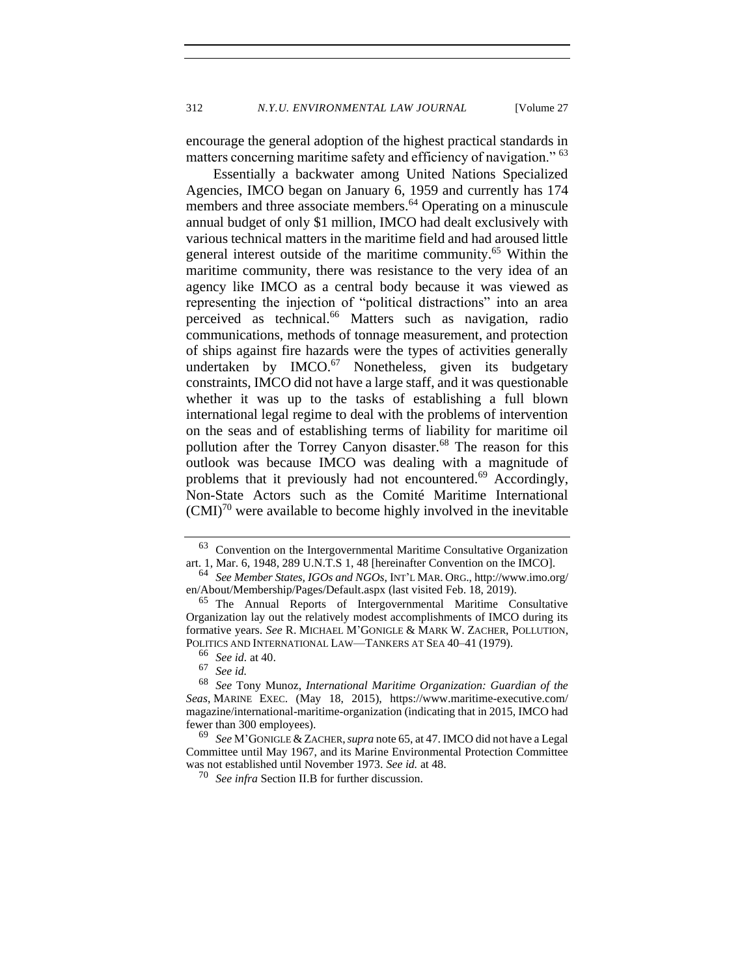<span id="page-13-2"></span><span id="page-13-0"></span>encourage the general adoption of the highest practical standards in matters concerning maritime safety and efficiency of navigation." <sup>63</sup>

<span id="page-13-1"></span>Essentially a backwater among United Nations Specialized Agencies, IMCO began on January 6, 1959 and currently has 174 members and three associate members.<sup>64</sup> Operating on a minuscule annual budget of only \$1 million, IMCO had dealt exclusively with various technical matters in the maritime field and had aroused little general interest outside of the maritime community.<sup>65</sup> Within the maritime community, there was resistance to the very idea of an agency like IMCO as a central body because it was viewed as representing the injection of "political distractions" into an area perceived as technical.<sup>66</sup> Matters such as navigation, radio communications, methods of tonnage measurement, and protection of ships against fire hazards were the types of activities generally undertaken by  $IMCO.<sup>67</sup>$  Nonetheless, given its budgetary constraints, IMCO did not have a large staff, and it was questionable whether it was up to the tasks of establishing a full blown international legal regime to deal with the problems of intervention on the seas and of establishing terms of liability for maritime oil pollution after the Torrey Canyon disaster.<sup>68</sup> The reason for this outlook was because IMCO was dealing with a magnitude of problems that it previously had not encountered.<sup>69</sup> Accordingly, Non-State Actors such as the Comité Maritime International  $(CMI)^{70}$  were available to become highly involved in the inevitable

<sup>63</sup> Convention on the Intergovernmental Maritime Consultative Organization art. 1, Mar. 6, 1948, 289 U.N.T.S 1, 48 [hereinafter Convention on the IMCO].

<sup>64</sup> *See Member States, IGOs and NGOs*, INT'L MAR. ORG., http://www.imo.org/ en/About/Membership/Pages/Default.aspx (last visited Feb. 18, 2019).

<sup>65</sup> The Annual Reports of Intergovernmental Maritime Consultative Organization lay out the relatively modest accomplishments of IMCO during its formative years. *See* R. MICHAEL M'GONIGLE & MARK W. ZACHER, POLLUTION, POLITICS AND INTERNATIONAL LAW—TANKERS AT SEA 40–41 (1979).

<sup>66</sup> *See id.* at 40.

<sup>67</sup> *See id.*

<sup>68</sup> *See* Tony Munoz, *International Maritime Organization: Guardian of the Seas*, MARINE EXEC. (May 18, 2015), https://www.maritime-executive.com/ magazine/international-maritime-organization (indicating that in 2015, IMCO had fewer than 300 employees).

<sup>69</sup> *See* M'GONIGLE & ZACHER,*supra* note 65, at 47. IMCO did not have a Legal Committee until May 1967, and its Marine Environmental Protection Committee was not established until November 1973. *See id.* at 48.

<sup>70</sup> *See infra* Section II.B for further discussion.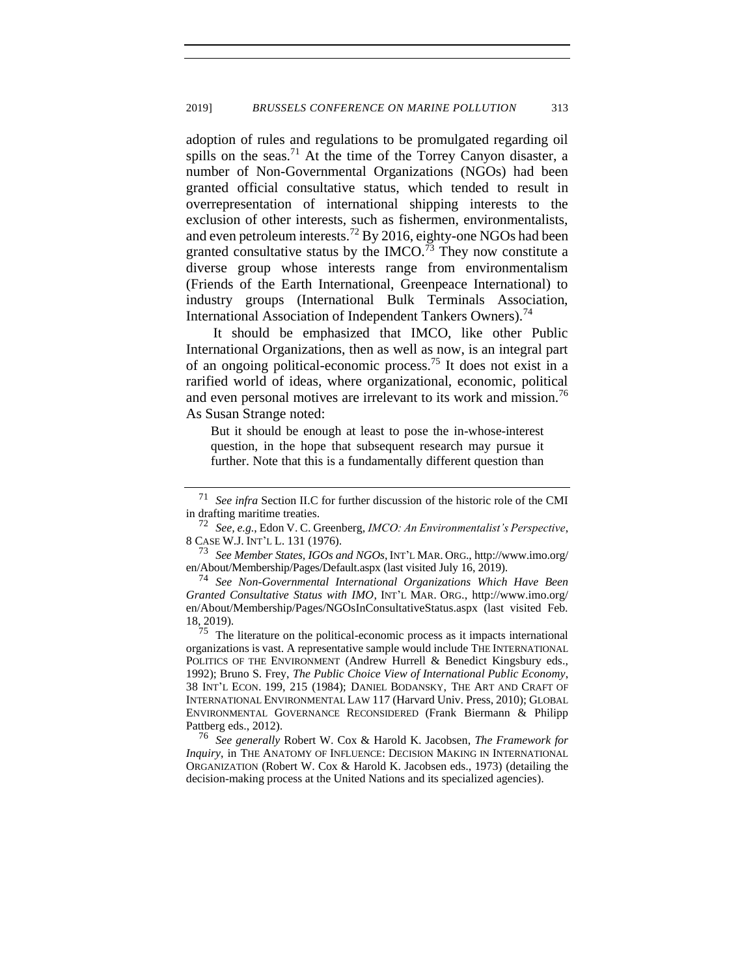adoption of rules and regulations to be promulgated regarding oil spills on the seas.<sup>71</sup> At the time of the Torrey Canyon disaster, a number of Non-Governmental Organizations (NGOs) had been granted official consultative status, which tended to result in overrepresentation of international shipping interests to the exclusion of other interests, such as fishermen, environmentalists, and even petroleum interests.<sup>72</sup> By 2016, eighty-one NGOs had been granted consultative status by the IMCO.<sup> $\frac{73}{12}$ </sup> They now constitute a diverse group whose interests range from environmentalism (Friends of the Earth International, Greenpeace International) to industry groups (International Bulk Terminals Association, International Association of Independent Tankers Owners).<sup>74</sup>

It should be emphasized that IMCO, like other Public International Organizations, then as well as now, is an integral part of an ongoing political-economic process.<sup>75</sup> It does not exist in a rarified world of ideas, where organizational, economic, political and even personal motives are irrelevant to its work and mission.<sup>76</sup> As Susan Strange noted:

<span id="page-14-0"></span>But it should be enough at least to pose the in-whose-interest question, in the hope that subsequent research may pursue it further. Note that this is a fundamentally different question than

<sup>73</sup> *See Member States, IGOs and NGOs*, INT'L MAR. ORG., http://www.imo.org/ en/About/Membership/Pages/Default.aspx (last visited July 16, 2019).

<sup>74</sup> *See Non-Governmental International Organizations Which Have Been Granted Consultative Status with IMO*, INT'L MAR. ORG., http://www.imo.org/ en/About/Membership/Pages/NGOsInConsultativeStatus.aspx (last visited Feb. 18, 2019).

The literature on the political-economic process as it impacts international organizations is vast. A representative sample would include THE INTERNATIONAL POLITICS OF THE ENVIRONMENT (Andrew Hurrell & Benedict Kingsbury eds., 1992); Bruno S. Frey, *The Public Choice View of International Public Economy*, 38 INT'L ECON. 199, 215 (1984); DANIEL BODANSKY, THE ART AND CRAFT OF INTERNATIONAL ENVIRONMENTAL LAW 117 (Harvard Univ. Press, 2010); GLOBAL ENVIRONMENTAL GOVERNANCE RECONSIDERED (Frank Biermann & Philipp Pattberg eds., 2012).

<sup>76</sup> *See generally* Robert W. Cox & Harold K. Jacobsen, *The Framework for Inquiry*, in THE ANATOMY OF INFLUENCE: DECISION MAKING IN INTERNATIONAL ORGANIZATION (Robert W. Cox & Harold K. Jacobsen eds., 1973) (detailing the decision-making process at the United Nations and its specialized agencies).

<sup>71</sup> *See infra* Section II.C for further discussion of the historic role of the CMI in drafting maritime treaties.

<sup>72</sup> *See, e.g.*, Edon V. C. Greenberg, *IMCO: An Environmentalist's Perspective*, 8 CASE W.J. INT'L L. 131 (1976).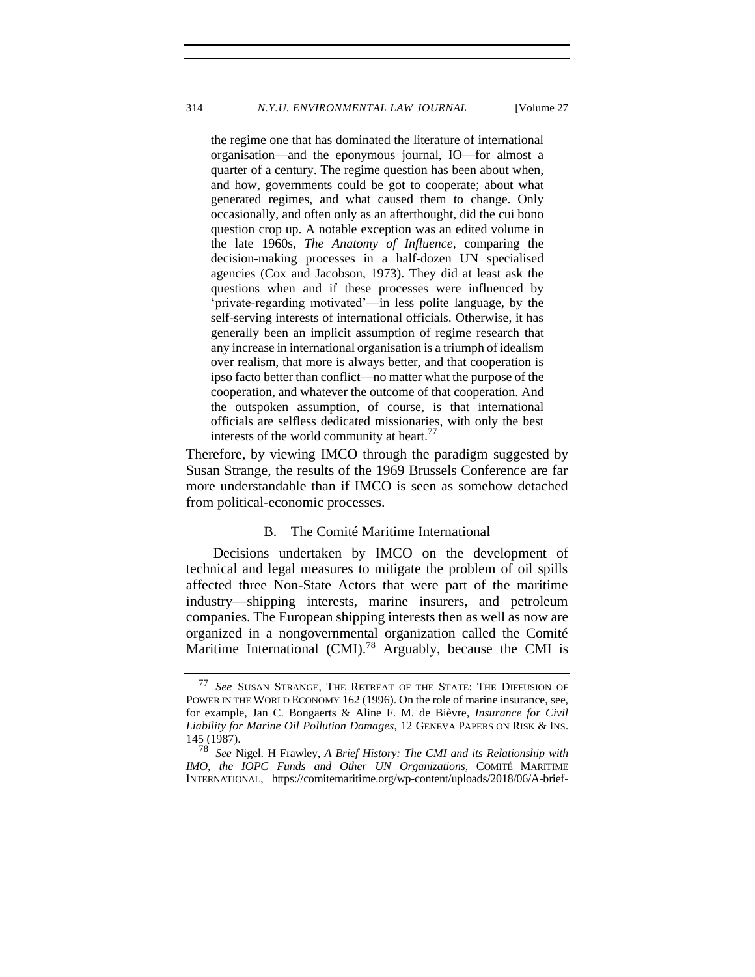the regime one that has dominated the literature of international organisation—and the eponymous journal, IO—for almost a quarter of a century. The regime question has been about when, and how, governments could be got to cooperate; about what generated regimes, and what caused them to change. Only occasionally, and often only as an afterthought, did the cui bono question crop up. A notable exception was an edited volume in the late 1960s, *The Anatomy of Influence*, comparing the decision-making processes in a half-dozen UN specialised agencies (Cox and Jacobson, 1973). They did at least ask the questions when and if these processes were influenced by 'private-regarding motivated'—in less polite language, by the self-serving interests of international officials. Otherwise, it has generally been an implicit assumption of regime research that any increase in international organisation is a triumph of idealism over realism, that more is always better, and that cooperation is ipso facto better than conflict—no matter what the purpose of the cooperation, and whatever the outcome of that cooperation. And the outspoken assumption, of course, is that international officials are selfless dedicated missionaries, with only the best interests of the world community at heart.<sup>77</sup>

Therefore, by viewing IMCO through the paradigm suggested by Susan Strange, the results of the 1969 Brussels Conference are far more understandable than if IMCO is seen as somehow detached from political-economic processes.

## <span id="page-15-0"></span>B. The Comité Maritime International

Decisions undertaken by IMCO on the development of technical and legal measures to mitigate the problem of oil spills affected three Non-State Actors that were part of the maritime industry—shipping interests, marine insurers, and petroleum companies. The European shipping interests then as well as now are organized in a nongovernmental organization called the Comité Maritime International  $(CMI)$ <sup>78</sup> Arguably, because the CMI is

<sup>77</sup> *See* SUSAN STRANGE, THE RETREAT OF THE STATE: THE DIFFUSION OF POWER IN THE WORLD ECONOMY 162 (1996). On the role of marine insurance, see, for example, Jan C. Bongaerts & Aline F. M. de Bièvre, *Insurance for Civil Liability for Marine Oil Pollution Damages*, 12 GENEVA PAPERS ON RISK & INS. 145 (1987).

<sup>78</sup> *See* Nigel. H Frawley, *A Brief History: The CMI and its Relationship with IMO, the IOPC Funds and Other UN Organizations*, COMITÉ MARITIME INTERNATIONAL, https://comitemaritime.org/wp-content/uploads/2018/06/A-brief-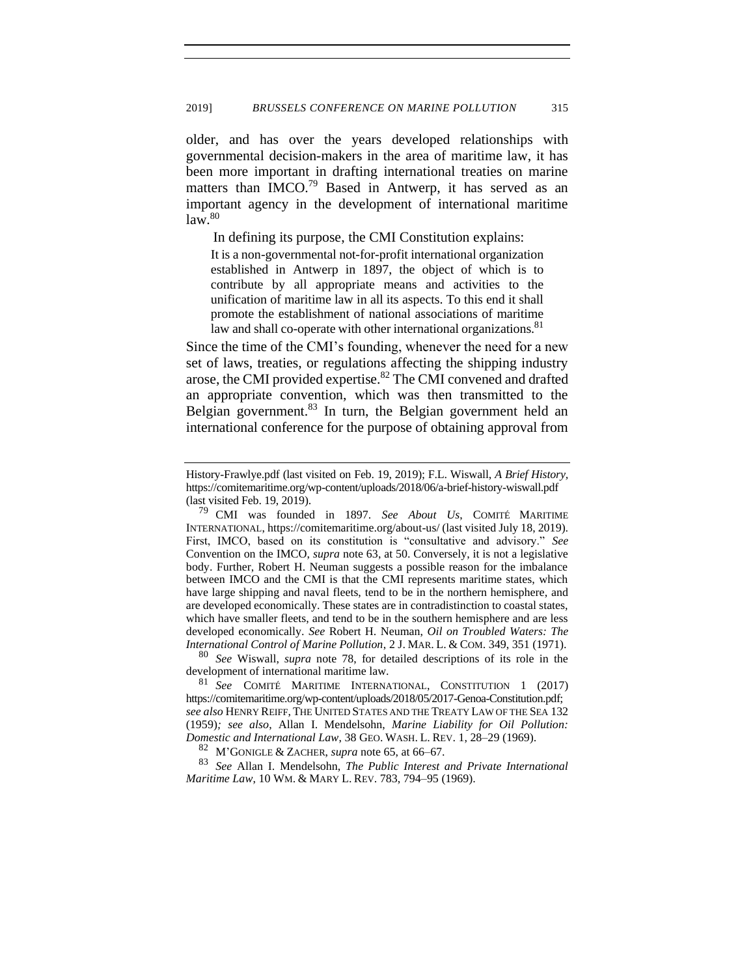older, and has over the years developed relationships with governmental decision-makers in the area of maritime law, it has been more important in drafting international treaties on marine matters than IMCO.<sup>79</sup> Based in Antwerp, it has served as an important agency in the development of international maritime  $law.<sup>80</sup>$ 

In defining its purpose, the CMI Constitution explains:

<span id="page-16-1"></span>It is a non-governmental not-for-profit international organization established in Antwerp in 1897, the object of which is to contribute by all appropriate means and activities to the unification of maritime law in all its aspects. To this end it shall promote the establishment of national associations of maritime law and shall co-operate with other international organizations.<sup>81</sup>

<span id="page-16-0"></span>Since the time of the CMI's founding, whenever the need for a new set of laws, treaties, or regulations affecting the shipping industry arose, the CMI provided expertise.<sup>82</sup> The CMI convened and drafted an appropriate convention, which was then transmitted to the Belgian government. $83$  In turn, the Belgian government held an international conference for the purpose of obtaining approval from

<sup>80</sup> *See* Wiswall, *supra* note [78,](#page-15-0) for detailed descriptions of its role in the development of international maritime law.

<sup>81</sup> *See* COMITÉ MARITIME INTERNATIONAL, CONSTITUTION 1 (2017) https://comitemaritime.org/wp-content/uploads/2018/05/2017-Genoa-Constitution.pdf; *see also* HENRY REIFF, THE UNITED STATES AND THE TREATY LAW OF THE SEA 132 (1959)*; see also*, Allan I. Mendelsohn, *Marine Liability for Oil Pollution: Domestic and International Law*, 38 GEO. WASH. L. REV. 1, 28–29 (1969).

<sup>82</sup> M'GONIGLE & ZACHER, *supra* note [65,](#page-13-1) at 66–67.

<sup>83</sup> *See* Allan I. Mendelsohn, *The Public Interest and Private International Maritime Law*, 10 WM. & MARY L. REV. 783, 794–95 (1969).

History-Frawlye.pdf (last visited on Feb. 19, 2019); F.L. Wiswall, *A Brief History,*  https://comitemaritime.org/wp-content/uploads/2018/06/a-brief-history-wiswall.pdf (last visited Feb. 19, 2019).

<sup>79</sup> CMI was founded in 1897. *See About Us*, COMITÉ MARITIME INTERNATIONAL, https://comitemaritime.org/about-us/ (last visited July 18, 2019). First, IMCO, based on its constitution is "consultative and advisory." *See*  Convention on the IMCO, *supra* note [63,](#page-13-0) at 50. Conversely, it is not a legislative body. Further, Robert H. Neuman suggests a possible reason for the imbalance between IMCO and the CMI is that the CMI represents maritime states, which have large shipping and naval fleets, tend to be in the northern hemisphere, and are developed economically. These states are in contradistinction to coastal states, which have smaller fleets, and tend to be in the southern hemisphere and are less developed economically. *See* Robert H. Neuman, *Oil on Troubled Waters: The International Control of Marine Pollution*, 2 J. MAR. L. & COM. 349, 351 (1971).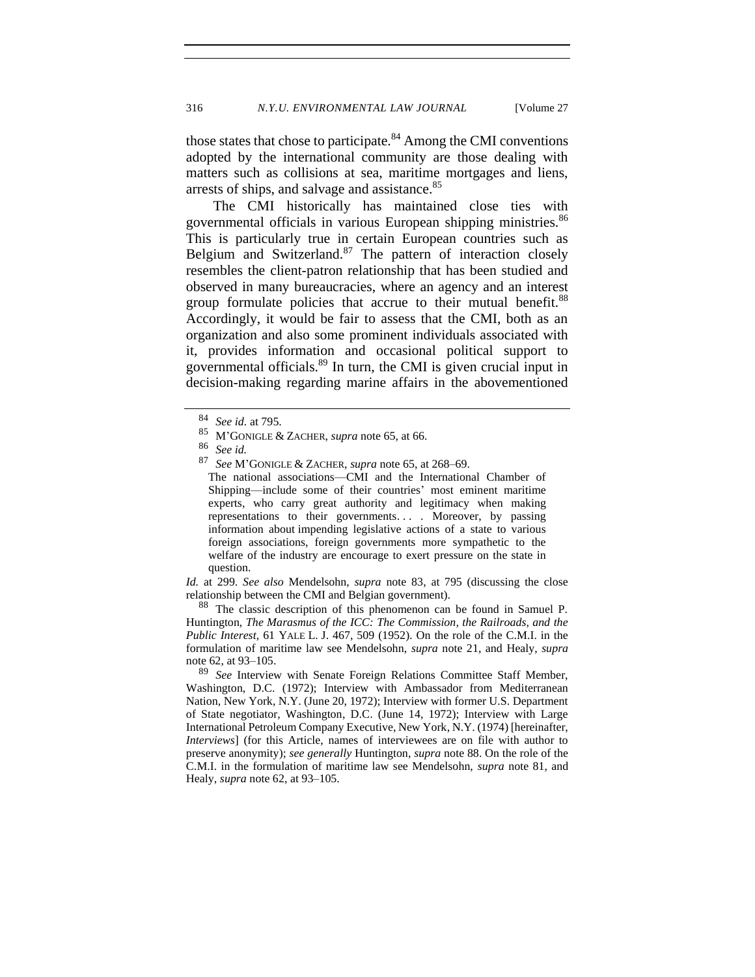those states that chose to participate.<sup>84</sup> Among the CMI conventions adopted by the international community are those dealing with matters such as collisions at sea, maritime mortgages and liens, arrests of ships, and salvage and assistance.<sup>85</sup>

The CMI historically has maintained close ties with governmental officials in various European shipping ministries.<sup>86</sup> This is particularly true in certain European countries such as Belgium and Switzerland.<sup>87</sup> The pattern of interaction closely resembles the client-patron relationship that has been studied and observed in many bureaucracies, where an agency and an interest group formulate policies that accrue to their mutual benefit.<sup>88</sup> Accordingly, it would be fair to assess that the CMI, both as an organization and also some prominent individuals associated with it, provides information and occasional political support to governmental officials.<sup>89</sup> In turn, the CMI is given crucial input in decision-making regarding marine affairs in the abovementioned

The national associations—CMI and the International Chamber of Shipping—include some of their countries' most eminent maritime experts, who carry great authority and legitimacy when making representations to their governments. . . . Moreover, by passing information about impending legislative actions of a state to various foreign associations, foreign governments more sympathetic to the welfare of the industry are encourage to exert pressure on the state in question.

*Id.* at 299. *See also* Mendelsohn, *supra* note [83,](#page-16-0) at 795 (discussing the close relationship between the CMI and Belgian government).

The classic description of this phenomenon can be found in Samuel P. Huntington, *The Marasmus of the ICC: The Commission, the Railroads, and the Public Interest*, 61 YALE L. J. 467, 509 (1952). On the role of the C.M.I. in the formulation of maritime law see Mendelsohn, *supra* note [21,](#page-6-1) and Healy, *supra* not[e 62,](#page-12-0) at 93–105.

<sup>89</sup> *See* Interview with Senate Foreign Relations Committee Staff Member, Washington, D.C. (1972); Interview with Ambassador from Mediterranean Nation, New York, N.Y. (June 20, 1972); Interview with former U.S. Department of State negotiator, Washington, D.C. (June 14, 1972); Interview with Large International Petroleum Company Executive, New York, N.Y. (1974) [hereinafter, *Interviews*] (for this Article, names of interviewees are on file with author to preserve anonymity); *see generally* Huntington, *supra* note 88. On the role of the C.M.I. in the formulation of maritime law see Mendelsohn, *supra* note [81,](#page-16-1) and Healy, *supra* note [62,](#page-12-0) at 93–105.

 $\frac{84}{85}$  *See id.* at 795.

<sup>85</sup> M'GONIGLE & ZACHER, *supra* note [65,](#page-13-1) at 66.

<sup>86</sup> *See id.*

<sup>87</sup> *See* M'GONIGLE & ZACHER, *supra* note [65,](#page-13-1) at 268–69.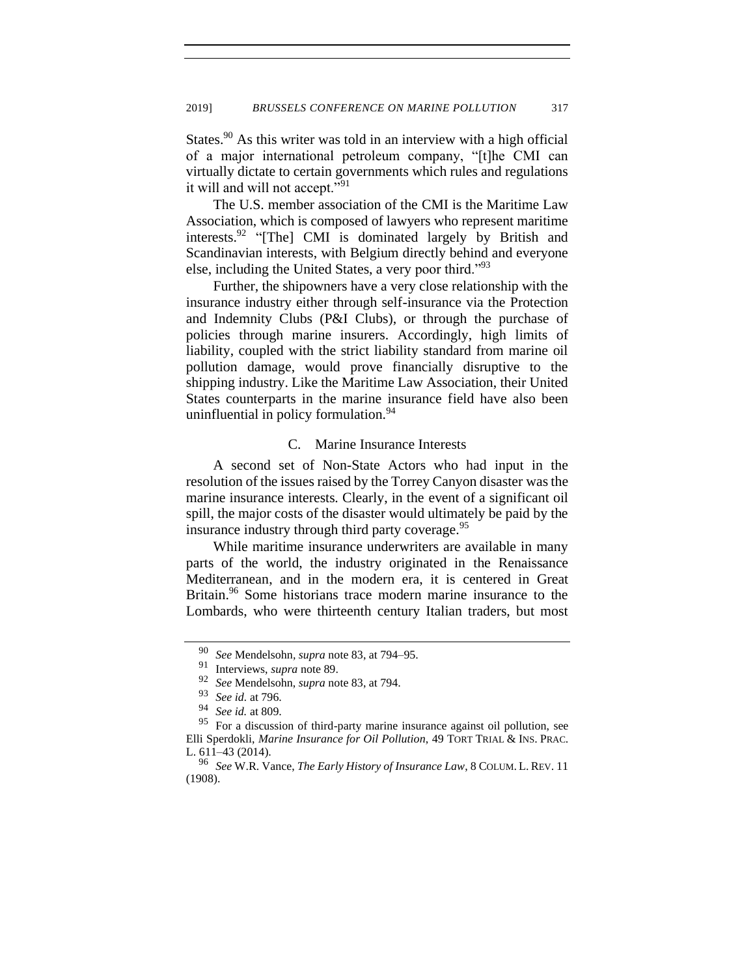States.<sup>90</sup> As this writer was told in an interview with a high official of a major international petroleum company, "[t]he CMI can virtually dictate to certain governments which rules and regulations it will and will not accept."<sup>91</sup>

The U.S. member association of the CMI is the Maritime Law Association, which is composed of lawyers who represent maritime interests.<sup>92</sup> "[The] CMI is dominated largely by British and Scandinavian interests, with Belgium directly behind and everyone else, including the United States, a very poor third."<sup>93</sup>

Further, the shipowners have a very close relationship with the insurance industry either through self-insurance via the Protection and Indemnity Clubs (P&I Clubs), or through the purchase of policies through marine insurers. Accordingly, high limits of liability, coupled with the strict liability standard from marine oil pollution damage, would prove financially disruptive to the shipping industry. Like the Maritime Law Association, their United States counterparts in the marine insurance field have also been uninfluential in policy formulation.<sup>94</sup>

#### <span id="page-18-0"></span>C. Marine Insurance Interests

A second set of Non-State Actors who had input in the resolution of the issues raised by the Torrey Canyon disaster was the marine insurance interests. Clearly, in the event of a significant oil spill, the major costs of the disaster would ultimately be paid by the insurance industry through third party coverage.<sup>95</sup>

While maritime insurance underwriters are available in many parts of the world, the industry originated in the Renaissance Mediterranean, and in the modern era, it is centered in Great Britain.<sup>96</sup> Some historians trace modern marine insurance to the Lombards, who were thirteenth century Italian traders, but most

<sup>90</sup> *See* Mendelsohn*, supra* note 83, at 794–95.

<sup>91</sup> Interviews, *supra* note 89.

<sup>92</sup> *See* Mendelsohn, *supra* note 83, at 794.

<sup>93</sup> *See id.* at 796.

<sup>94</sup> *See id.* at 809.

<sup>95</sup> For a discussion of third-party marine insurance against oil pollution, see Elli Sperdokli, *Marine Insurance for Oil Pollution*, 49 TORT TRIAL & INS. PRAC. L. 611–43 (2014).

<sup>96</sup> *See* W.R. Vance, *The Early History of Insurance Law*, 8 COLUM. L. REV. 11 (1908).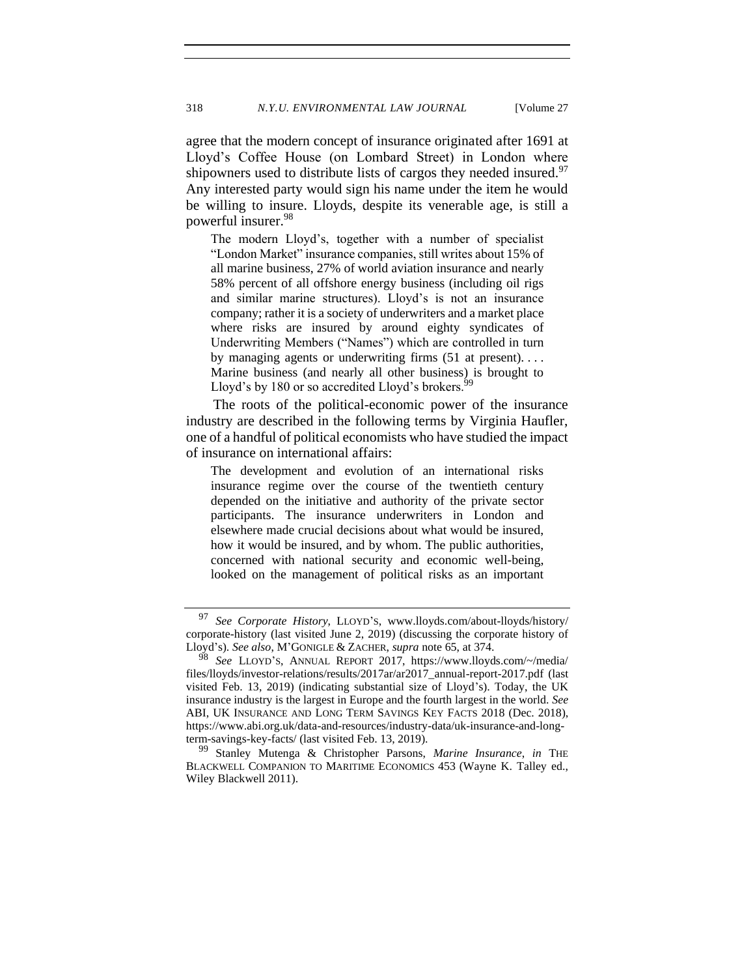agree that the modern concept of insurance originated after 1691 at Lloyd's Coffee House (on Lombard Street) in London where shipowners used to distribute lists of cargos they needed insured.<sup>97</sup> Any interested party would sign his name under the item he would be willing to insure. Lloyds, despite its venerable age, is still a powerful insurer.<sup>98</sup>

The modern Lloyd's, together with a number of specialist "London Market" insurance companies, still writes about 15% of all marine business, 27% of world aviation insurance and nearly 58% percent of all offshore energy business (including oil rigs and similar marine structures). Lloyd's is not an insurance company; rather it is a society of underwriters and a market place where risks are insured by around eighty syndicates of Underwriting Members ("Names") which are controlled in turn by managing agents or underwriting firms (51 at present). . . . Marine business (and nearly all other business) is brought to Lloyd's by 180 or so accredited Lloyd's brokers.<sup>9</sup>

The roots of the political-economic power of the insurance industry are described in the following terms by Virginia Haufler, one of a handful of political economists who have studied the impact of insurance on international affairs:

The development and evolution of an international risks insurance regime over the course of the twentieth century depended on the initiative and authority of the private sector participants. The insurance underwriters in London and elsewhere made crucial decisions about what would be insured, how it would be insured, and by whom. The public authorities, concerned with national security and economic well-being, looked on the management of political risks as an important

<sup>97</sup> *See Corporate History*, LLOYD'S, www.lloyds.com/about-lloyds/history/ corporate-history (last visited June 2, 2019) (discussing the corporate history of Lloyd's). *See also*, M'GONIGLE & ZACHER, *supra* note [65,](#page-13-1) at 374.

See LLOYD'S, ANNUAL REPORT 2017, https://www.lloyds.com/~/media/ files/lloyds/investor-relations/results/2017ar/ar2017\_annual-report-2017.pdf (last visited Feb. 13, 2019) (indicating substantial size of Lloyd's). Today, the UK insurance industry is the largest in Europe and the fourth largest in the world. *See*  ABI, UK INSURANCE AND LONG TERM SAVINGS KEY FACTS 2018 (Dec. 2018), https://www.abi.org.uk/data-and-resources/industry-data/uk-insurance-and-longterm-savings-key-facts/ (last visited Feb. 13, 2019).

<sup>99</sup> Stanley Mutenga & Christopher Parsons, *Marine Insurance*, *in* THE BLACKWELL COMPANION TO MARITIME ECONOMICS 453 (Wayne K. Talley ed., Wiley Blackwell 2011).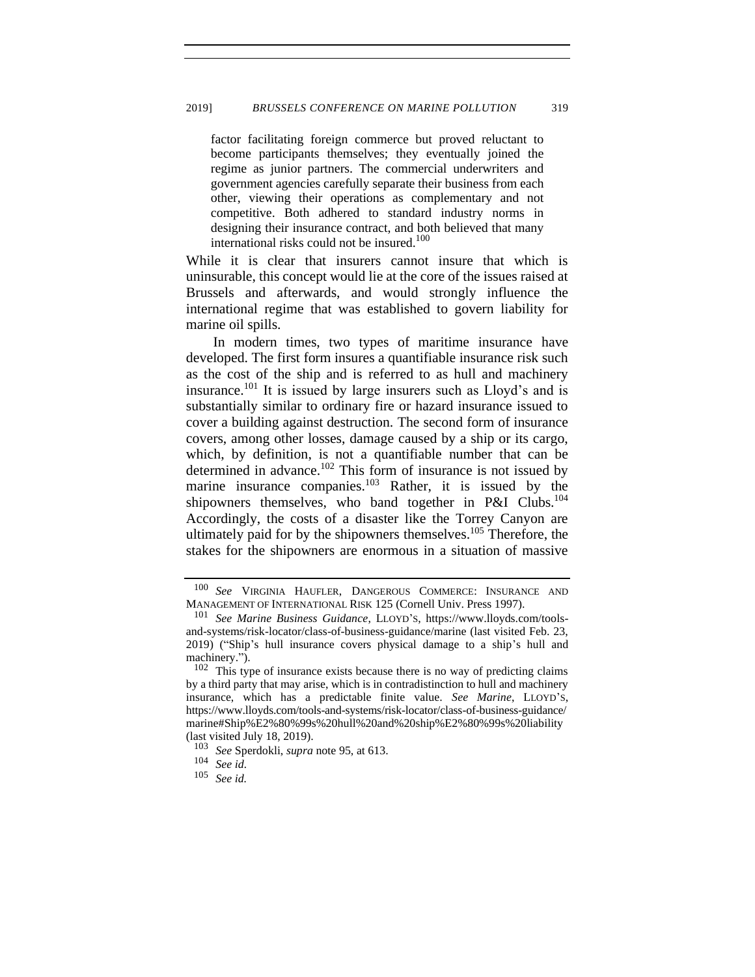factor facilitating foreign commerce but proved reluctant to become participants themselves; they eventually joined the regime as junior partners. The commercial underwriters and government agencies carefully separate their business from each other, viewing their operations as complementary and not competitive. Both adhered to standard industry norms in designing their insurance contract, and both believed that many international risks could not be insured.<sup>100</sup>

While it is clear that insurers cannot insure that which is uninsurable, this concept would lie at the core of the issues raised at Brussels and afterwards, and would strongly influence the international regime that was established to govern liability for marine oil spills.

In modern times, two types of maritime insurance have developed. The first form insures a quantifiable insurance risk such as the cost of the ship and is referred to as hull and machinery insurance.<sup>101</sup> It is issued by large insurers such as  $L$ loyd's and is substantially similar to ordinary fire or hazard insurance issued to cover a building against destruction. The second form of insurance covers, among other losses, damage caused by a ship or its cargo, which, by definition, is not a quantifiable number that can be determined in advance.<sup>102</sup> This form of insurance is not issued by marine insurance companies.<sup>103</sup> Rather, it is issued by the shipowners themselves, who band together in P&I Clubs.<sup>104</sup> Accordingly, the costs of a disaster like the Torrey Canyon are ultimately paid for by the shipowners themselves.<sup>105</sup> Therefore, the stakes for the shipowners are enormous in a situation of massive

<sup>100</sup> *See* VIRGINIA HAUFLER, DANGEROUS COMMERCE: INSURANCE AND MANAGEMENT OF INTERNATIONAL RISK 125 (Cornell Univ. Press 1997).

<sup>101</sup> *See Marine Business Guidance*, LLOYD'S, https://www.lloyds.com/toolsand-systems/risk-locator/class-of-business-guidance/marine (last visited Feb. 23, 2019) ("Ship's hull insurance covers physical damage to a ship's hull and machinery.").

<sup>102</sup> This type of insurance exists because there is no way of predicting claims by a third party that may arise, which is in contradistinction to hull and machinery insurance, which has a predictable finite value. *See Marine*, LLOYD'S, https://www.lloyds.com/tools-and-systems/risk-locator/class-of-business-guidance/ marine#Ship%E2%80%99s%20hull%20and%20ship%E2%80%99s%20liability (last visited July 18, 2019).

<sup>103</sup> *See* Sperdokli, *supra* note [95,](#page-18-0) at 613.

See id.

<sup>105</sup> *See id.*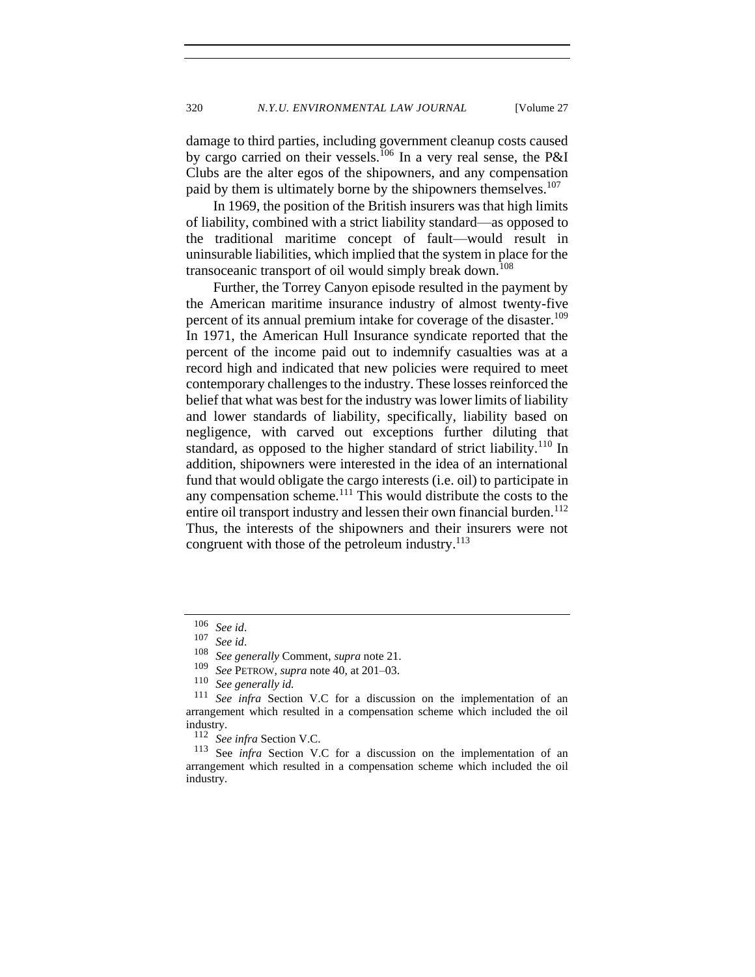damage to third parties, including government cleanup costs caused by cargo carried on their vessels.<sup>106</sup> In a very real sense, the P&I Clubs are the alter egos of the shipowners, and any compensation paid by them is ultimately borne by the shipowners themselves.<sup>107</sup>

In 1969, the position of the British insurers was that high limits of liability, combined with a strict liability standard—as opposed to the traditional maritime concept of fault—would result in uninsurable liabilities, which implied that the system in place for the transoceanic transport of oil would simply break down.<sup>108</sup>

Further, the Torrey Canyon episode resulted in the payment by the American maritime insurance industry of almost twenty-five percent of its annual premium intake for coverage of the disaster.<sup>109</sup> In 1971, the American Hull Insurance syndicate reported that the percent of the income paid out to indemnify casualties was at a record high and indicated that new policies were required to meet contemporary challenges to the industry. These losses reinforced the belief that what was best for the industry was lower limits of liability and lower standards of liability, specifically, liability based on negligence, with carved out exceptions further diluting that standard, as opposed to the higher standard of strict liability.<sup>110</sup> In addition, shipowners were interested in the idea of an international fund that would obligate the cargo interests (i.e. oil) to participate in any compensation scheme.<sup>111</sup> This would distribute the costs to the entire oil transport industry and lessen their own financial burden.<sup>112</sup> Thus, the interests of the shipowners and their insurers were not congruent with those of the petroleum industry. $113$ 

<sup>106</sup> *See id*.

 $\frac{107}{108}$  *See id.* 

<sup>108</sup> *See generally* Comment, *supra* note [21.](#page-6-1)

<sup>109</sup> *See* PETROW, *supra* note [40,](#page-9-0) at 201–03.

 $\frac{110}{111}$  *See generally id.*<br> $\frac{111}{111}$  *See infra Section* 

See infra Section V.C for a discussion on the implementation of an arrangement which resulted in a compensation scheme which included the oil industry.<br> $\frac{112}{S_{\varnothing}}$ 

See infra Section V.C.

<sup>113</sup> See *infra* Section V.C for a discussion on the implementation of an arrangement which resulted in a compensation scheme which included the oil industry.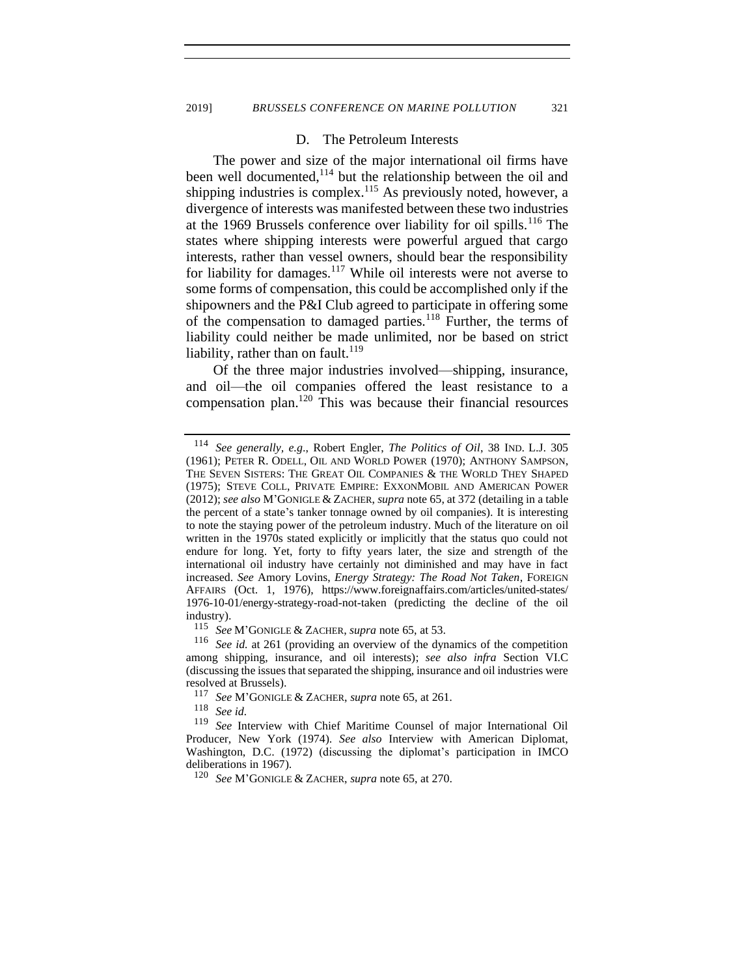#### D. The Petroleum Interests

The power and size of the major international oil firms have been well documented,<sup>114</sup> but the relationship between the oil and shipping industries is complex.<sup>115</sup> As previously noted, however, a divergence of interests was manifested between these two industries at the 1969 Brussels conference over liability for oil spills.<sup>116</sup> The states where shipping interests were powerful argued that cargo interests, rather than vessel owners, should bear the responsibility for liability for damages.<sup>117</sup> While oil interests were not averse to some forms of compensation, this could be accomplished only if the shipowners and the P&I Club agreed to participate in offering some of the compensation to damaged parties.<sup>118</sup> Further, the terms of liability could neither be made unlimited, nor be based on strict liability, rather than on fault.<sup>119</sup>

Of the three major industries involved—shipping, insurance, and oil—the oil companies offered the least resistance to a compensation plan.<sup>120</sup> This was because their financial resources

<sup>118</sup> *See id.*

<sup>114</sup> *See generally, e.g*., Robert Engler, *The Politics of Oil*, 38 IND. L.J. 305 (1961); PETER R. ODELL, OIL AND WORLD POWER (1970); ANTHONY SAMPSON, THE SEVEN SISTERS: THE GREAT OIL COMPANIES & THE WORLD THEY SHAPED (1975); STEVE COLL, PRIVATE EMPIRE: EXXONMOBIL AND AMERICAN POWER (2012); *see also* M'GONIGLE & ZACHER, *supra* not[e 65,](#page-13-1) at 372 (detailing in a table the percent of a state's tanker tonnage owned by oil companies). It is interesting to note the staying power of the petroleum industry. Much of the literature on oil written in the 1970s stated explicitly or implicitly that the status quo could not endure for long. Yet, forty to fifty years later, the size and strength of the international oil industry have certainly not diminished and may have in fact increased. *See* Amory Lovins, *Energy Strategy: The Road Not Taken*, FOREIGN AFFAIRS (Oct. 1, 1976), https://www.foreignaffairs.com/articles/united-states/ 1976-10-01/energy-strategy-road-not-taken (predicting the decline of the oil industry).

<sup>115</sup> *See* M'GONIGLE & ZACHER, *supra* not[e 65,](#page-13-1) at 53.

<sup>116</sup> *See id.* at 261 (providing an overview of the dynamics of the competition among shipping, insurance, and oil interests); *see also infra* Section VI.C (discussing the issues that separated the shipping, insurance and oil industries were resolved at Brussels).

<sup>117</sup> *See* M'GONIGLE & ZACHER, *supra* note [65,](#page-13-1) at 261*.*

See Interview with Chief Maritime Counsel of major International Oil Producer, New York (1974). *See also* Interview with American Diplomat, Washington, D.C. (1972) (discussing the diplomat's participation in IMCO deliberations in 1967).

<sup>120</sup> *See* M'GONIGLE & ZACHER, *supra* note [65,](#page-13-1) at 270.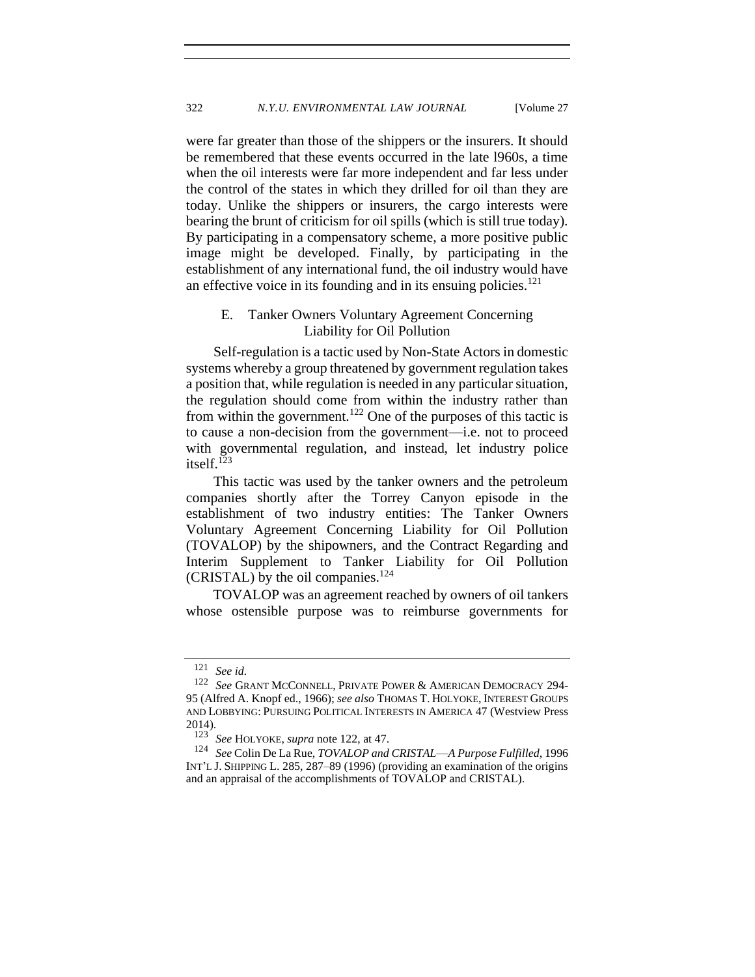were far greater than those of the shippers or the insurers. It should be remembered that these events occurred in the late l960s, a time when the oil interests were far more independent and far less under the control of the states in which they drilled for oil than they are today. Unlike the shippers or insurers, the cargo interests were bearing the brunt of criticism for oil spills (which is still true today). By participating in a compensatory scheme, a more positive public image might be developed. Finally, by participating in the establishment of any international fund, the oil industry would have an effective voice in its founding and in its ensuing policies. $121$ 

## <span id="page-23-0"></span>E. Tanker Owners Voluntary Agreement Concerning Liability for Oil Pollution

Self-regulation is a tactic used by Non-State Actors in domestic systems whereby a group threatened by government regulation takes a position that, while regulation is needed in any particular situation, the regulation should come from within the industry rather than from within the government.<sup>122</sup> One of the purposes of this tactic is to cause a non-decision from the government—i.e. not to proceed with governmental regulation, and instead, let industry police itself.<sup>123</sup>

This tactic was used by the tanker owners and the petroleum companies shortly after the Torrey Canyon episode in the establishment of two industry entities: The Tanker Owners Voluntary Agreement Concerning Liability for Oil Pollution (TOVALOP) by the shipowners, and the Contract Regarding and Interim Supplement to Tanker Liability for Oil Pollution (CRISTAL) by the oil companies. $^{124}$ 

<span id="page-23-1"></span>TOVALOP was an agreement reached by owners of oil tankers whose ostensible purpose was to reimburse governments for

<sup>121</sup> *See id.* 

<sup>122</sup> *See* GRANT MCCONNELL, PRIVATE POWER & AMERICAN DEMOCRACY 294- 95 (Alfred A. Knopf ed., 1966); *see also* THOMAS T. HOLYOKE, INTEREST GROUPS AND LOBBYING: PURSUING POLITICAL INTERESTS IN AMERICA 47 (Westview Press  $2014$ ).<br> $123$ 

See HOLYOKE, *supra* note [122,](#page-23-0) at 47.

<sup>124</sup> *See* Colin De La Rue, *TOVALOP and CRISTAL*—*A Purpose Fulfilled*, 1996 INT'L J. SHIPPING L. 285, 287–89 (1996) (providing an examination of the origins and an appraisal of the accomplishments of TOVALOP and CRISTAL).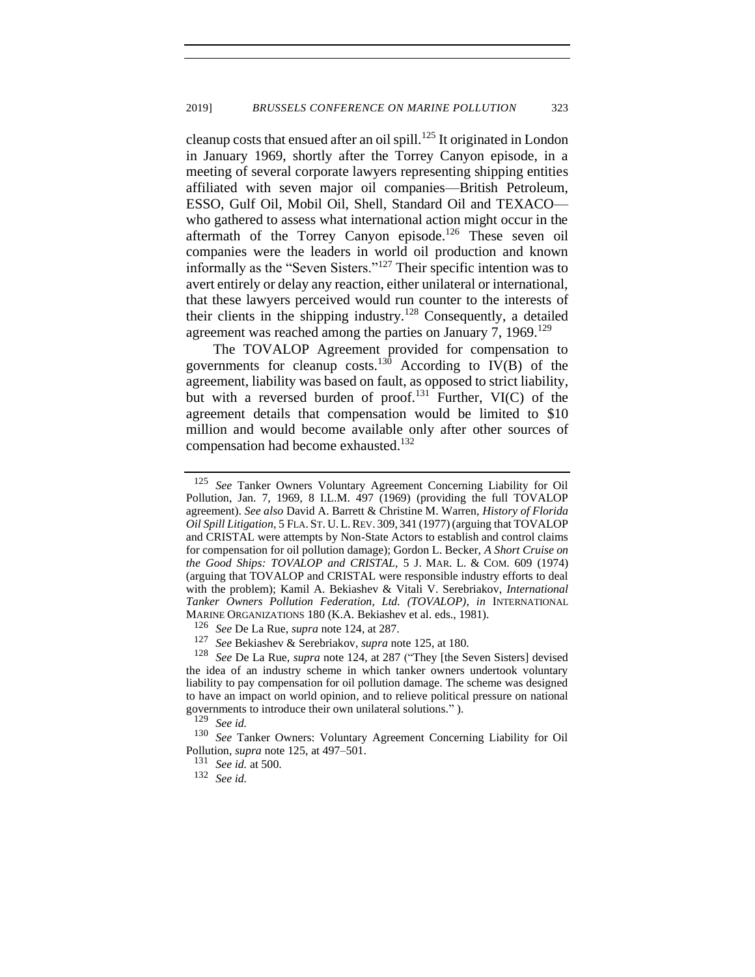<span id="page-24-0"></span>cleanup costs that ensued after an oil spill.<sup>125</sup> It originated in London in January 1969, shortly after the Torrey Canyon episode, in a meeting of several corporate lawyers representing shipping entities affiliated with seven major oil companies—British Petroleum, ESSO, Gulf Oil, Mobil Oil, Shell, Standard Oil and TEXACO who gathered to assess what international action might occur in the aftermath of the Torrey Canyon episode.<sup>126</sup> These seven oil companies were the leaders in world oil production and known informally as the "Seven Sisters."<sup>127</sup> Their specific intention was to avert entirely or delay any reaction, either unilateral or international, that these lawyers perceived would run counter to the interests of their clients in the shipping industry.<sup>128</sup> Consequently, a detailed agreement was reached among the parties on January 7, 1969.<sup>129</sup>

The TOVALOP Agreement provided for compensation to governments for cleanup costs.<sup>130</sup> According to  $\overrightarrow{IV}(B)$  of the agreement, liability was based on fault, as opposed to strict liability, but with a reversed burden of proof.<sup>131</sup> Further, VI(C) of the agreement details that compensation would be limited to \$10 million and would become available only after other sources of compensation had become exhausted.<sup>132</sup>

<sup>125</sup> *See* Tanker Owners Voluntary Agreement Concerning Liability for Oil Pollution, Jan. 7, 1969, 8 I.L.M. 497 (1969) (providing the full TOVALOP agreement). *See also* David A. Barrett & Christine M. Warren, *History of Florida Oil Spill Litigation*, 5 FLA. ST. U. L.REV. 309, 341 (1977) (arguing that TOVALOP and CRISTAL were attempts by Non-State Actors to establish and control claims for compensation for oil pollution damage); Gordon L. Becker, *A Short Cruise on the Good Ships: TOVALOP and CRISTAL*, 5 J. MAR. L. & COM. 609 (1974) (arguing that TOVALOP and CRISTAL were responsible industry efforts to deal with the problem); Kamil A. Bekiashev & Vitali V. Serebriakov, *International Tanker Owners Pollution Federation, Ltd. (TOVALOP)*, *in* INTERNATIONAL MARINE ORGANIZATIONS 180 (K.A. Bekiashev et al. eds., 1981).

<sup>126</sup> *See* De La Rue, *supra* note [124,](#page-23-1) at 287.

<sup>127</sup> *See* Bekiashev & Serebriakov, *supra* not[e 125,](#page-24-0) at 180.

<sup>128</sup> *See* De La Rue, *supra* note [124,](#page-23-1) at 287 ("They [the Seven Sisters] devised the idea of an industry scheme in which tanker owners undertook voluntary liability to pay compensation for oil pollution damage. The scheme was designed to have an impact on world opinion, and to relieve political pressure on national governments to introduce their own unilateral solutions." ).

<sup>129</sup> *See id.*

<sup>130</sup> *See* Tanker Owners: Voluntary Agreement Concerning Liability for Oil Pollution*, supra* note 125, at 497–501.

<sup>131</sup> *See id.* at 500.

<sup>132</sup> *See id.*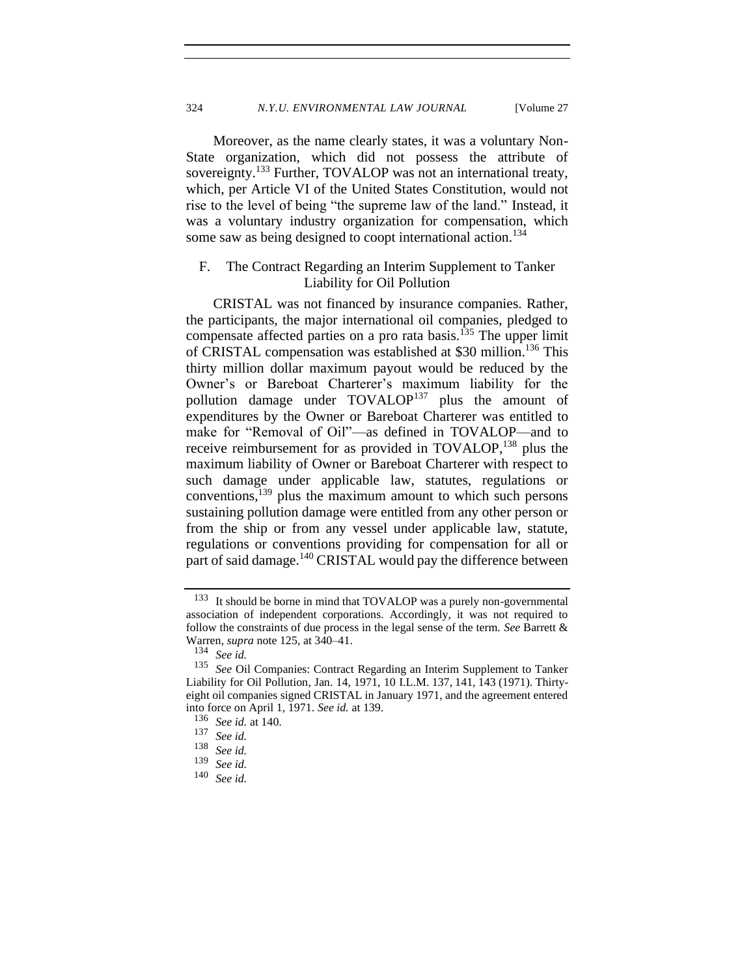Moreover, as the name clearly states, it was a voluntary Non-State organization, which did not possess the attribute of sovereignty.<sup>133</sup> Further, TOVALOP was not an international treaty, which, per Article VI of the United States Constitution, would not rise to the level of being "the supreme law of the land." Instead, it was a voluntary industry organization for compensation, which some saw as being designed to coopt international action.<sup>134</sup>

## <span id="page-25-0"></span>F. The Contract Regarding an Interim Supplement to Tanker Liability for Oil Pollution

CRISTAL was not financed by insurance companies. Rather, the participants, the major international oil companies, pledged to compensate affected parties on a pro rata basis.<sup> $135$ </sup> The upper limit of CRISTAL compensation was established at \$30 million.<sup>136</sup> This thirty million dollar maximum payout would be reduced by the Owner's or Bareboat Charterer's maximum liability for the pollution damage under TOVALOP<sup>137</sup> plus the amount of expenditures by the Owner or Bareboat Charterer was entitled to make for "Removal of Oil"—as defined in TOVALOP—and to receive reimbursement for as provided in TOVALOP,<sup>138</sup> plus the maximum liability of Owner or Bareboat Charterer with respect to such damage under applicable law, statutes, regulations or conventions, <sup>139</sup> plus the maximum amount to which such persons sustaining pollution damage were entitled from any other person or from the ship or from any vessel under applicable law, statute, regulations or conventions providing for compensation for all or part of said damage.<sup>140</sup> CRISTAL would pay the difference between

<sup>133</sup> It should be borne in mind that TOVALOP was a purely non-governmental association of independent corporations. Accordingly, it was not required to follow the constraints of due process in the legal sense of the term. *See* Barrett & Warren, *supra* note [125,](#page-24-0) at 340–41.

<sup>134</sup> *See id.*

<sup>&</sup>lt;sup>135</sup> See Oil Companies: Contract Regarding an Interim Supplement to Tanker Liability for Oil Pollution, Jan. 14, 1971, 10 I.L.M. 137, 141, 143 (1971). Thirtyeight oil companies signed CRISTAL in January 1971, and the agreement entered into force on April 1, 1971. *See id.* at 139.

<sup>136</sup> *See id.* at 140.

<sup>137</sup> *See id.*

<sup>138</sup> *See id.* See id.

<sup>140</sup> *See id.*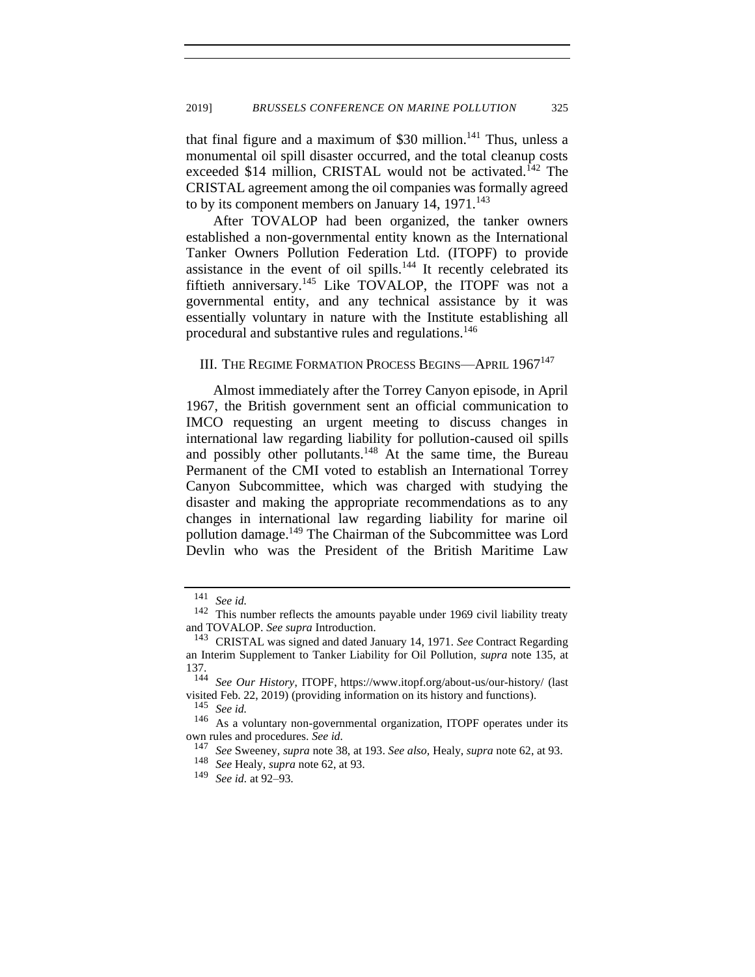that final figure and a maximum of  $$30$  million.<sup>141</sup> Thus, unless a monumental oil spill disaster occurred, and the total cleanup costs exceeded \$14 million, CRISTAL would not be activated.<sup>142</sup> The CRISTAL agreement among the oil companies was formally agreed to by its component members on January 14,  $1971$ .<sup>143</sup>

After TOVALOP had been organized, the tanker owners established a non-governmental entity known as the International Tanker Owners Pollution Federation Ltd. (ITOPF) to provide assistance in the event of oil spills. $144$  It recently celebrated its fiftieth anniversary.<sup>145</sup> Like TOVALOP, the ITOPF was not a governmental entity, and any technical assistance by it was essentially voluntary in nature with the Institute establishing all procedural and substantive rules and regulations.<sup>146</sup>

## III. THE REGIME FORMATION PROCESS BEGINS—APRIL 1967<sup>147</sup>

Almost immediately after the Torrey Canyon episode, in April 1967, the British government sent an official communication to IMCO requesting an urgent meeting to discuss changes in international law regarding liability for pollution-caused oil spills and possibly other pollutants.<sup>148</sup> At the same time, the Bureau Permanent of the CMI voted to establish an International Torrey Canyon Subcommittee, which was charged with studying the disaster and making the appropriate recommendations as to any changes in international law regarding liability for marine oil pollution damage.<sup>149</sup> The Chairman of the Subcommittee was Lord Devlin who was the President of the British Maritime Law

<sup>146</sup> As a voluntary non-governmental organization, ITOPF operates under its own rules and procedures. *See id.*

<sup>147</sup> *See* Sweeney, *supra* not[e 38,](#page-8-0) at 193. *See also,* Healy, *supra* note [62,](#page-12-0) at 93.

<sup>141</sup> *See id.*

<sup>142</sup> This number reflects the amounts payable under 1969 civil liability treaty and TOVALOP. *See supra* Introduction.

<sup>143</sup> CRISTAL was signed and dated January 14, 1971. *See* Contract Regarding an Interim Supplement to Tanker Liability for Oil Pollution, *supra* note [135,](#page-25-0) at 137.

<sup>144</sup> *See Our History*, ITOPF, https://www.itopf.org/about-us/our-history/ (last visited Feb. 22, 2019) (providing information on its history and functions).

<sup>145</sup> *See id.*

<sup>148</sup> *See* Healy, *supra* not[e 62,](#page-12-0) at 93.

<sup>149</sup> *See id.* at 92–93.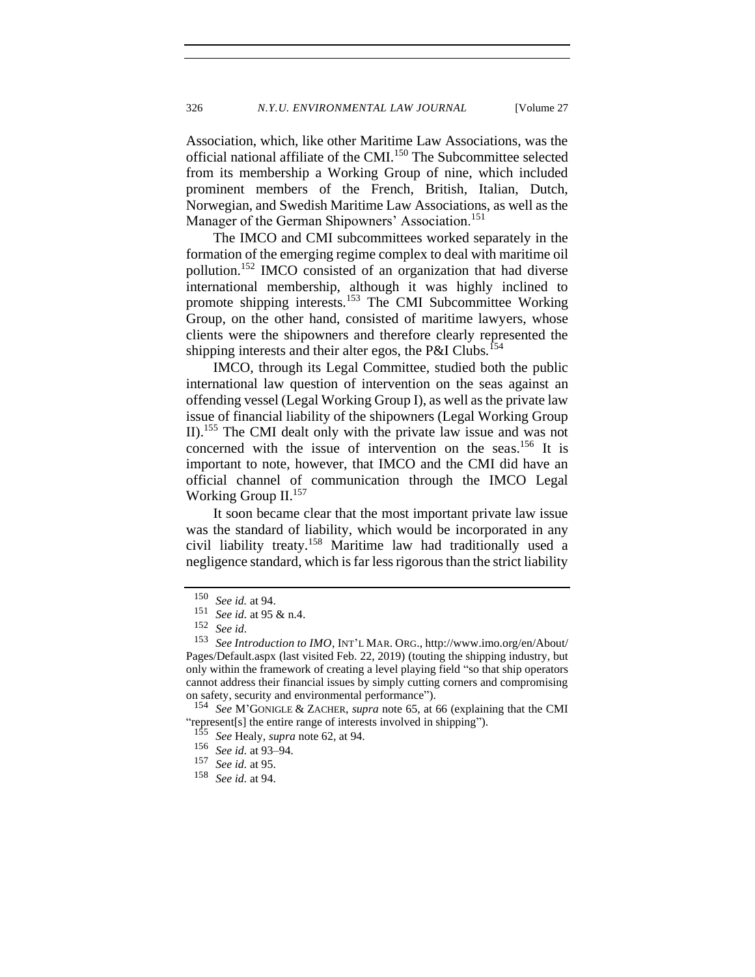Association, which, like other Maritime Law Associations, was the official national affiliate of the CMI.<sup>150</sup> The Subcommittee selected from its membership a Working Group of nine, which included prominent members of the French, British, Italian, Dutch, Norwegian, and Swedish Maritime Law Associations, as well as the Manager of the German Shipowners' Association.<sup>151</sup>

The IMCO and CMI subcommittees worked separately in the formation of the emerging regime complex to deal with maritime oil pollution.<sup>152</sup> IMCO consisted of an organization that had diverse international membership, although it was highly inclined to promote shipping interests.<sup>153</sup> The CMI Subcommittee Working Group, on the other hand, consisted of maritime lawyers, whose clients were the shipowners and therefore clearly represented the shipping interests and their alter egos, the P&I Clubs.<sup>154</sup>

IMCO, through its Legal Committee, studied both the public international law question of intervention on the seas against an offending vessel (Legal Working Group I), as well as the private law issue of financial liability of the shipowners (Legal Working Group II).<sup>155</sup> The CMI dealt only with the private law issue and was not concerned with the issue of intervention on the seas.<sup>156</sup> It is important to note, however, that IMCO and the CMI did have an official channel of communication through the IMCO Legal Working Group II.<sup>157</sup>

It soon became clear that the most important private law issue was the standard of liability, which would be incorporated in any civil liability treaty.<sup>158</sup> Maritime law had traditionally used a negligence standard, which is far less rigorous than the strict liability

 $\frac{150}{151}$  *See id.* at 94.

<sup>151</sup> *See id.* at 95 & n.4.

<sup>152</sup> *See id.*

<sup>153</sup> *See Introduction to IMO*, INT'L MAR. ORG., http://www.imo.org/en/About/ Pages/Default.aspx (last visited Feb. 22, 2019) (touting the shipping industry, but only within the framework of creating a level playing field "so that ship operators cannot address their financial issues by simply cutting corners and compromising on safety, security and environmental performance").

<sup>154</sup> *See* M'GONIGLE & ZACHER, *supra* note [65,](#page-13-1) at 66 (explaining that the CMI "represent[s] the entire range of interests involved in shipping").

<sup>155</sup> *See* Healy, *supra* not[e 62,](#page-12-0) at 94.

<sup>&</sup>lt;sup>156</sup> *See id.* at 93–94.<br><sup>157</sup> *See id.* at 95

See id. at 95.

<sup>158</sup> *See id.* at 94.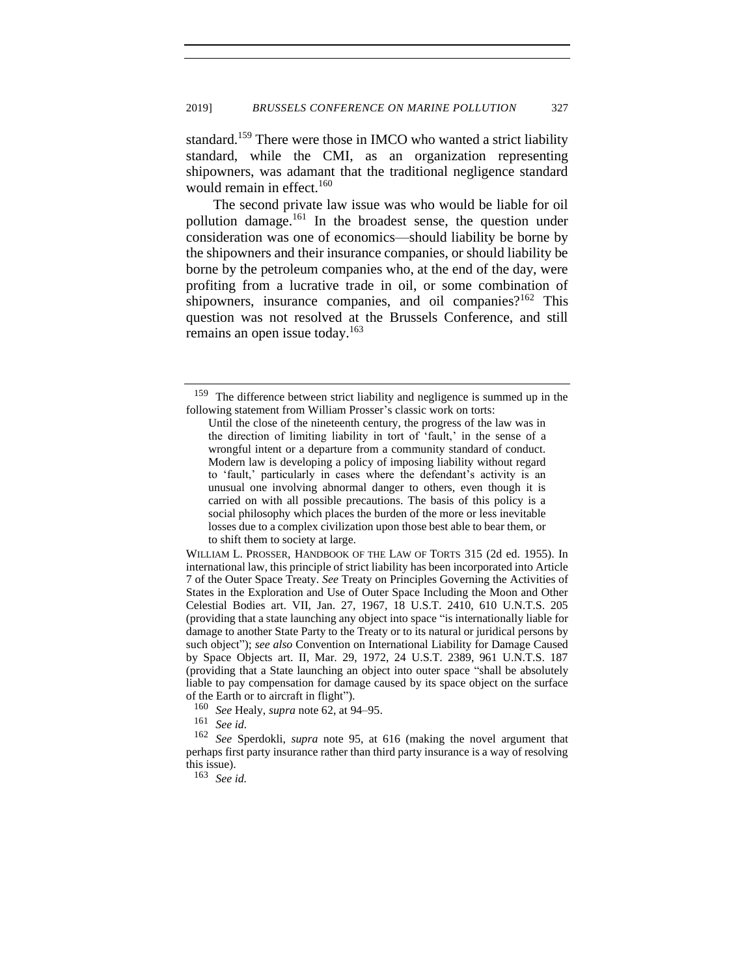standard.<sup>159</sup> There were those in IMCO who wanted a strict liability standard, while the CMI, as an organization representing shipowners, was adamant that the traditional negligence standard would remain in effect.<sup>160</sup>

The second private law issue was who would be liable for oil pollution damage.<sup>161</sup> In the broadest sense, the question under consideration was one of economics—should liability be borne by the shipowners and their insurance companies, or should liability be borne by the petroleum companies who, at the end of the day, were profiting from a lucrative trade in oil, or some combination of shipowners, insurance companies, and oil companies? $162$  This question was not resolved at the Brussels Conference, and still remains an open issue today.<sup>163</sup>

WILLIAM L. PROSSER, HANDBOOK OF THE LAW OF TORTS 315 (2d ed. 1955). In international law, this principle of strict liability has been incorporated into Article 7 of the Outer Space Treaty. *See* Treaty on Principles Governing the Activities of States in the Exploration and Use of Outer Space Including the Moon and Other Celestial Bodies art. VII, Jan. 27, 1967, 18 U.S.T. 2410, 610 U.N.T.S. 205 (providing that a state launching any object into space "is internationally liable for damage to another State Party to the Treaty or to its natural or juridical persons by such object"); *see also* Convention on International Liability for Damage Caused by Space Objects art. II, Mar. 29, 1972, 24 U.S.T. 2389, 961 U.N.T.S. 187 (providing that a State launching an object into outer space "shall be absolutely liable to pay compensation for damage caused by its space object on the surface of the Earth or to aircraft in flight").

<sup>160</sup> *See* Healy, *supra* not[e 62,](#page-12-0) at 94–95.

<sup>161</sup> *See id.*

See Sperdokli, *supra* note [95,](#page-18-0) at 616 (making the novel argument that perhaps first party insurance rather than third party insurance is a way of resolving this issue).

<sup>163</sup> *See id.*

<sup>159</sup> The difference between strict liability and negligence is summed up in the following statement from William Prosser's classic work on torts:

Until the close of the nineteenth century, the progress of the law was in the direction of limiting liability in tort of 'fault,' in the sense of a wrongful intent or a departure from a community standard of conduct. Modern law is developing a policy of imposing liability without regard to 'fault,' particularly in cases where the defendant's activity is an unusual one involving abnormal danger to others, even though it is carried on with all possible precautions. The basis of this policy is a social philosophy which places the burden of the more or less inevitable losses due to a complex civilization upon those best able to bear them, or to shift them to society at large.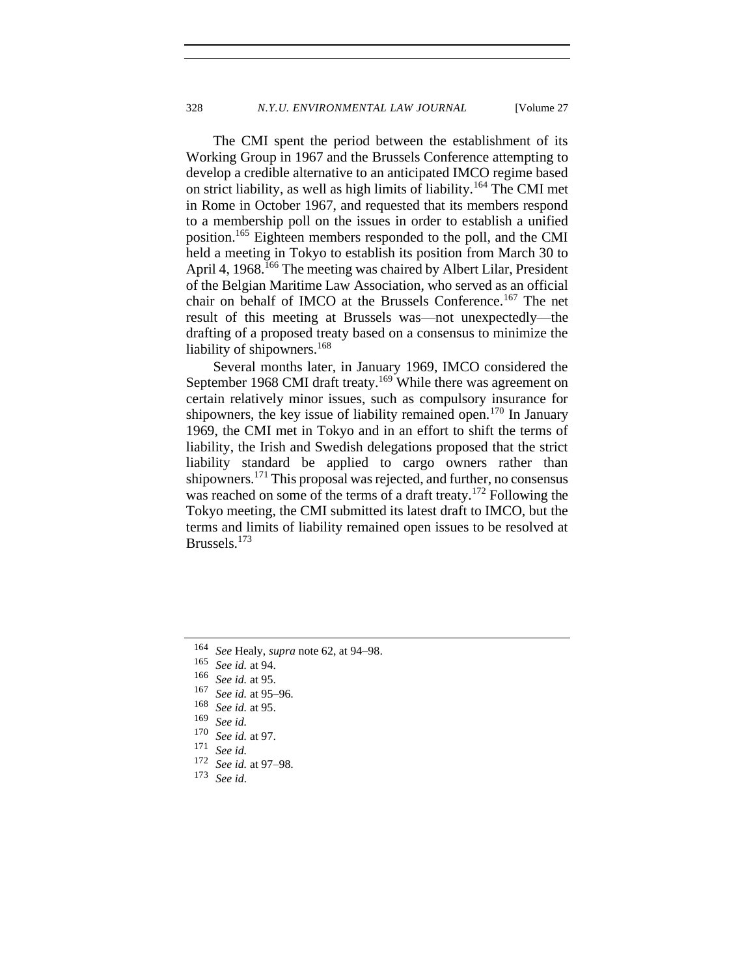The CMI spent the period between the establishment of its Working Group in 1967 and the Brussels Conference attempting to develop a credible alternative to an anticipated IMCO regime based on strict liability, as well as high limits of liability.<sup>164</sup> The CMI met in Rome in October 1967, and requested that its members respond to a membership poll on the issues in order to establish a unified position.<sup>165</sup> Eighteen members responded to the poll, and the CMI held a meeting in Tokyo to establish its position from March 30 to April 4, 1968.<sup>166</sup> The meeting was chaired by Albert Lilar, President of the Belgian Maritime Law Association, who served as an official chair on behalf of IMCO at the Brussels Conference.<sup>167</sup> The net result of this meeting at Brussels was—not unexpectedly—the drafting of a proposed treaty based on a consensus to minimize the liability of shipowners.<sup>168</sup>

Several months later, in January 1969, IMCO considered the September 1968 CMI draft treaty.<sup>169</sup> While there was agreement on certain relatively minor issues, such as compulsory insurance for shipowners, the key issue of liability remained open.<sup>170</sup> In January 1969, the CMI met in Tokyo and in an effort to shift the terms of liability, the Irish and Swedish delegations proposed that the strict liability standard be applied to cargo owners rather than shipowners.<sup>171</sup> This proposal was rejected, and further, no consensus was reached on some of the terms of a draft treaty.<sup>172</sup> Following the Tokyo meeting, the CMI submitted its latest draft to IMCO, but the terms and limits of liability remained open issues to be resolved at Brussels.<sup>173</sup>

<sup>164</sup> *See* Healy, *supra* not[e 62,](#page-12-0) at 94–98.

 $\frac{165}{166}$  *See id.* at 94.

 $\frac{166}{167}$  *See id.* at 95.

 $\frac{167}{168}$  *See id.* at 95–96.

 $\frac{168}{169}$  *See id.* at 95.

<sup>169</sup> *See id.*  $\frac{170}{171}$  *See id.* at 97.

<sup>171</sup> *See id.*

 $\frac{172}{173}$  *See id.* at 97–98.

See *id.*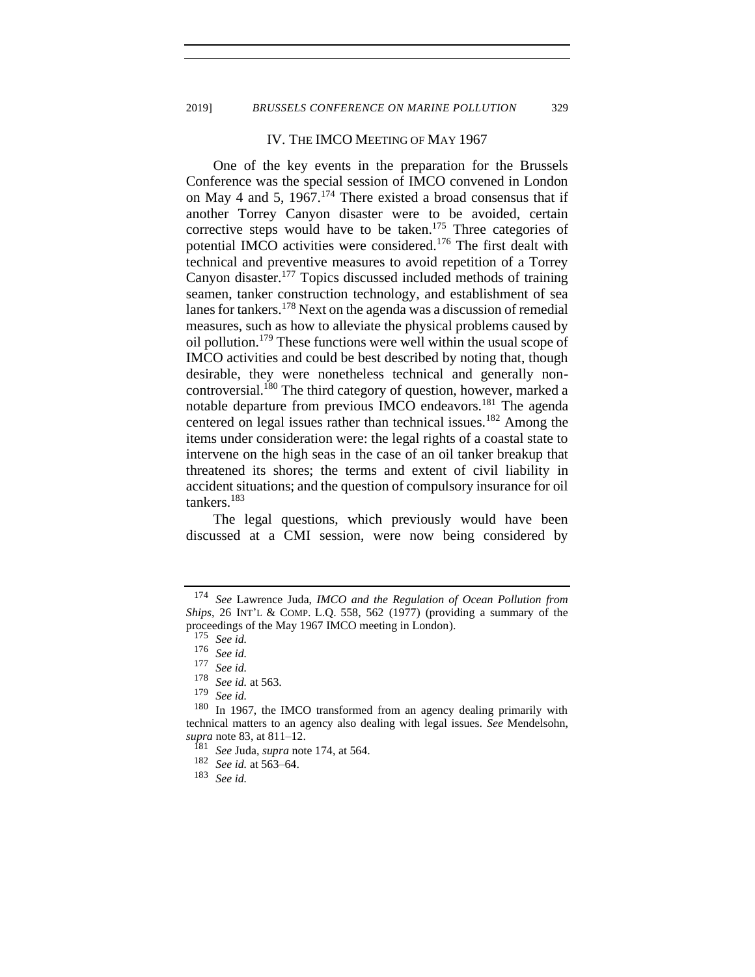#### <span id="page-30-0"></span>IV. THE IMCO MEETING OF MAY 1967

One of the key events in the preparation for the Brussels Conference was the special session of IMCO convened in London on May 4 and 5,  $1967$ .<sup>174</sup> There existed a broad consensus that if another Torrey Canyon disaster were to be avoided, certain corrective steps would have to be taken.<sup>175</sup> Three categories of potential IMCO activities were considered.<sup>176</sup> The first dealt with technical and preventive measures to avoid repetition of a Torrey Canyon disaster.<sup>177</sup> Topics discussed included methods of training seamen, tanker construction technology, and establishment of sea lanes for tankers.<sup>178</sup> Next on the agenda was a discussion of remedial measures, such as how to alleviate the physical problems caused by oil pollution.<sup>179</sup> These functions were well within the usual scope of IMCO activities and could be best described by noting that, though desirable, they were nonetheless technical and generally noncontroversial.<sup>180</sup> The third category of question, however, marked a notable departure from previous IMCO endeavors.<sup>181</sup> The agenda centered on legal issues rather than technical issues.<sup>182</sup> Among the items under consideration were: the legal rights of a coastal state to intervene on the high seas in the case of an oil tanker breakup that threatened its shores; the terms and extent of civil liability in accident situations; and the question of compulsory insurance for oil tankers.<sup>183</sup>

The legal questions, which previously would have been discussed at a CMI session, were now being considered by

<sup>174</sup> *See* Lawrence Juda, *IMCO and the Regulation of Ocean Pollution from Ships*, 26 INT'L & COMP. L.Q. 558, 562 (1977) (providing a summary of the proceedings of the May 1967 IMCO meeting in London).

<sup>175</sup> *See id.*

<sup>176</sup> *See id.*

See id.

<sup>178</sup> *See id.* at 563.

<sup>179</sup> *See id.*

In 1967, the IMCO transformed from an agency dealing primarily with technical matters to an agency also dealing with legal issues. *See* Mendelsohn, *supra* note [83,](#page-16-0) at 811–12.

<sup>181</sup> *See* Juda, *supra* not[e 174,](#page-30-0) at 564.

<sup>182</sup> *See id.* at 563–64.

<sup>183</sup> *See id.*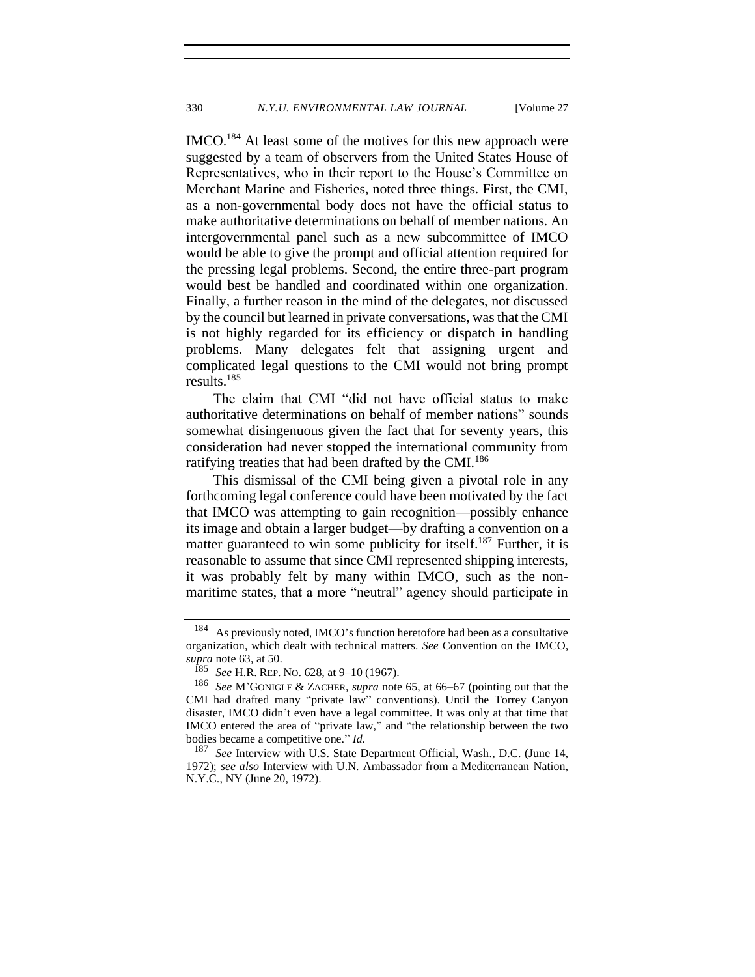IMCO.<sup>184</sup> At least some of the motives for this new approach were suggested by a team of observers from the United States House of Representatives, who in their report to the House's Committee on Merchant Marine and Fisheries, noted three things. First, the CMI, as a non-governmental body does not have the official status to make authoritative determinations on behalf of member nations. An intergovernmental panel such as a new subcommittee of IMCO would be able to give the prompt and official attention required for the pressing legal problems. Second, the entire three-part program would best be handled and coordinated within one organization. Finally, a further reason in the mind of the delegates, not discussed by the council but learned in private conversations, was that the CMI is not highly regarded for its efficiency or dispatch in handling problems. Many delegates felt that assigning urgent and complicated legal questions to the CMI would not bring prompt results.<sup>185</sup>

The claim that CMI "did not have official status to make authoritative determinations on behalf of member nations" sounds somewhat disingenuous given the fact that for seventy years, this consideration had never stopped the international community from ratifying treaties that had been drafted by the CMI.<sup>186</sup>

This dismissal of the CMI being given a pivotal role in any forthcoming legal conference could have been motivated by the fact that IMCO was attempting to gain recognition—possibly enhance its image and obtain a larger budget—by drafting a convention on a matter guaranteed to win some publicity for itself.<sup>187</sup> Further, it is reasonable to assume that since CMI represented shipping interests, it was probably felt by many within IMCO, such as the nonmaritime states, that a more "neutral" agency should participate in

<sup>184</sup> As previously noted, IMCO's function heretofore had been as a consultative organization, which dealt with technical matters. *See* Convention on the IMCO, *supra* note [63,](#page-13-2) at 50.

<sup>185</sup> *See* H.R. REP. NO. 628, at 9–10 (1967).

<sup>186</sup> *See* M'GONIGLE & ZACHER, *supra* note [65,](#page-13-1) at 66–67 (pointing out that the CMI had drafted many "private law" conventions). Until the Torrey Canyon disaster, IMCO didn't even have a legal committee. It was only at that time that IMCO entered the area of "private law," and "the relationship between the two bodies became a competitive one." *Id.*

<sup>187</sup> *See* Interview with U.S. State Department Official, Wash., D.C. (June 14, 1972); *see also* Interview with U.N. Ambassador from a Mediterranean Nation, N.Y.C., NY (June 20, 1972).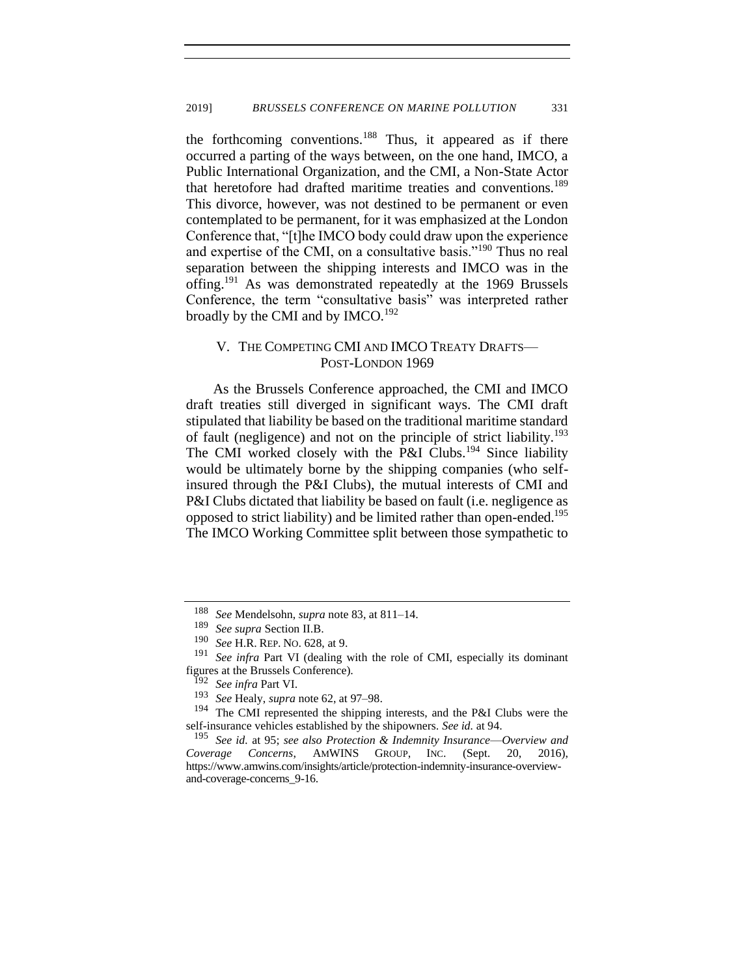the forthcoming conventions.<sup>188</sup> Thus, it appeared as if there occurred a parting of the ways between, on the one hand, IMCO, a Public International Organization, and the CMI, a Non-State Actor that heretofore had drafted maritime treaties and conventions.<sup>189</sup> This divorce, however, was not destined to be permanent or even contemplated to be permanent, for it was emphasized at the London Conference that, "[t]he IMCO body could draw upon the experience and expertise of the CMI, on a consultative basis."<sup>190</sup> Thus no real separation between the shipping interests and IMCO was in the offing.<sup>191</sup> As was demonstrated repeatedly at the 1969 Brussels Conference, the term "consultative basis" was interpreted rather broadly by the CMI and by IMCO.<sup>192</sup>

## V. THE COMPETING CMI AND IMCO TREATY DRAFTS— POST-LONDON 1969

As the Brussels Conference approached, the CMI and IMCO draft treaties still diverged in significant ways. The CMI draft stipulated that liability be based on the traditional maritime standard of fault (negligence) and not on the principle of strict liability.<sup>193</sup> The CMI worked closely with the P&I Clubs.<sup>194</sup> Since liability would be ultimately borne by the shipping companies (who selfinsured through the P&I Clubs), the mutual interests of CMI and P&I Clubs dictated that liability be based on fault (i.e. negligence as opposed to strict liability) and be limited rather than open-ended.<sup>195</sup> The IMCO Working Committee split between those sympathetic to

<sup>188</sup> *See* Mendelsohn, *supra* note [83,](#page-16-0) at 811–14.

<sup>189</sup> *See supra* Section II.B.

<sup>190</sup> *See* H.R. REP. NO. 628, at 9.

See *infra* Part VI (dealing with the role of CMI, especially its dominant figures at the Brussels Conference).

<sup>192</sup> *See infra* Part VI.

<sup>193</sup> *See* Healy, *supra* not[e 62,](#page-12-0) at 97–98.

The CMI represented the shipping interests, and the P&I Clubs were the self-insurance vehicles established by the shipowners. *See id.* at 94.

<sup>195</sup> *See id.* at 95; *see also Protection & Indemnity Insurance*—*Overview and Coverage Concerns*, AMWINS GROUP, INC. (Sept. 20, 2016), https://www.amwins.com/insights/article/protection-indemnity-insurance-overviewand-coverage-concerns\_9-16.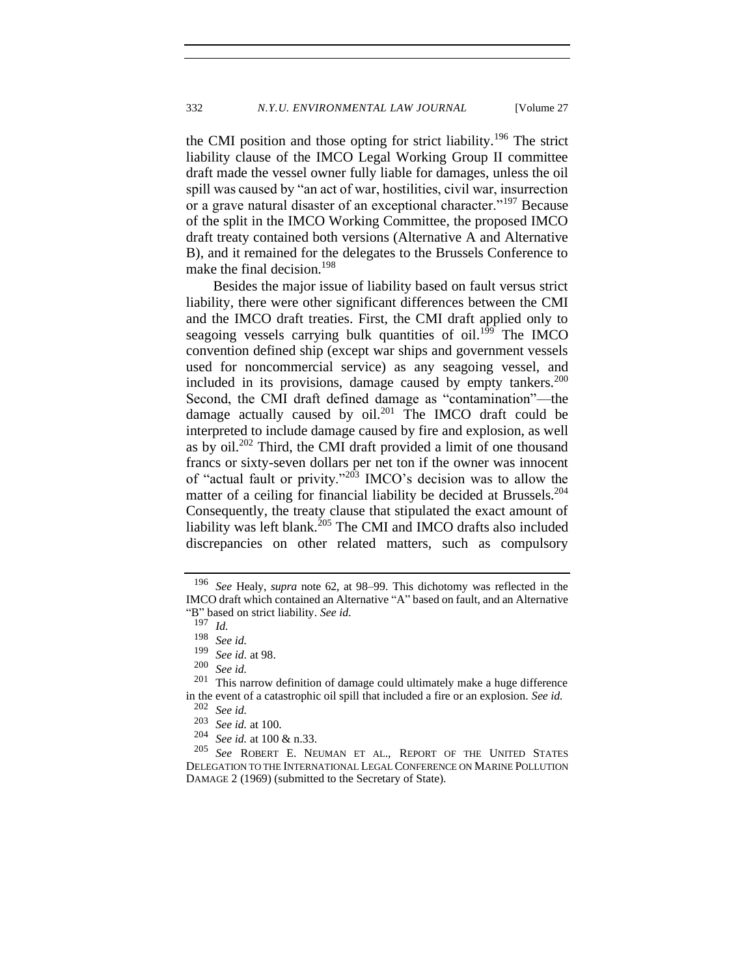the CMI position and those opting for strict liability.<sup>196</sup> The strict liability clause of the IMCO Legal Working Group II committee draft made the vessel owner fully liable for damages, unless the oil spill was caused by "an act of war, hostilities, civil war, insurrection or a grave natural disaster of an exceptional character."<sup>197</sup> Because of the split in the IMCO Working Committee, the proposed IMCO draft treaty contained both versions (Alternative A and Alternative B), and it remained for the delegates to the Brussels Conference to make the final decision.<sup>198</sup>

Besides the major issue of liability based on fault versus strict liability, there were other significant differences between the CMI and the IMCO draft treaties. First, the CMI draft applied only to seagoing vessels carrying bulk quantities of oil.<sup>199</sup> The IMCO convention defined ship (except war ships and government vessels used for noncommercial service) as any seagoing vessel, and included in its provisions, damage caused by empty tankers. $200$ Second, the CMI draft defined damage as "contamination"—the damage actually caused by  $\frac{1}{201}$  The IMCO draft could be interpreted to include damage caused by fire and explosion, as well as by  $\text{oil.}^{202}$  Third, the CMI draft provided a limit of one thousand francs or sixty-seven dollars per net ton if the owner was innocent of "actual fault or privity."<sup>203</sup> IMCO's decision was to allow the matter of a ceiling for financial liability be decided at Brussels.<sup>204</sup> Consequently, the treaty clause that stipulated the exact amount of liability was left blank. $^{205}$  The CMI and IMCO drafts also included discrepancies on other related matters, such as compulsory

<sup>196</sup> *See* Healy, *supra* note [62,](#page-12-0) at 98–99. This dichotomy was reflected in the IMCO draft which contained an Alternative "A" based on fault, and an Alternative "B" based on strict liability. *See id.*

 $\frac{197}{198}$  *Id.* 

<sup>198</sup> *See id.*

*See id.* at 98.

 $\frac{200}{201}$  *See id.* 

This narrow definition of damage could ultimately make a huge difference in the event of a catastrophic oil spill that included a fire or an explosion. *See id.*

<sup>202</sup> *See id.*

 $\frac{203}{204}$  *See id.* at 100.

<sup>&</sup>lt;sup>204</sup> *See id.* at 100 & n.33.<br><sup>205</sup> See ROBERT E. NE

See ROBERT E. NEUMAN ET AL., REPORT OF THE UNITED STATES DELEGATION TO THE INTERNATIONAL LEGAL CONFERENCE ON MARINE POLLUTION DAMAGE 2 (1969) (submitted to the Secretary of State).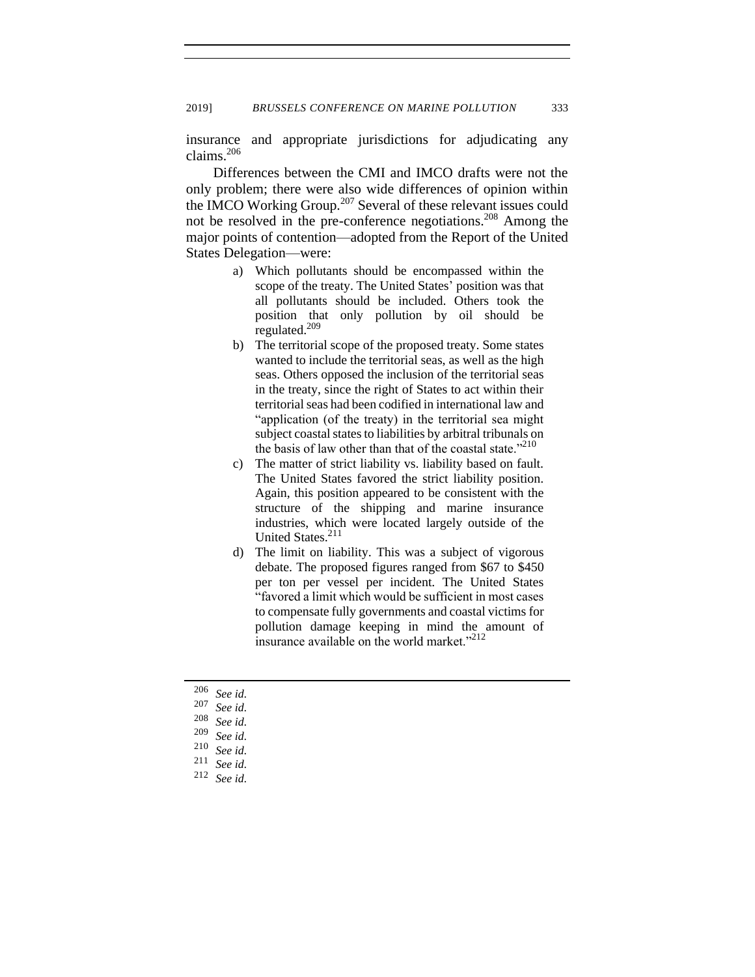insurance and appropriate jurisdictions for adjudicating any claims.<sup>206</sup>

Differences between the CMI and IMCO drafts were not the only problem; there were also wide differences of opinion within the IMCO Working Group.<sup>207</sup> Several of these relevant issues could not be resolved in the pre-conference negotiations.<sup>208</sup> Among the major points of contention—adopted from the Report of the United States Delegation—were:

- a) Which pollutants should be encompassed within the scope of the treaty. The United States' position was that all pollutants should be included. Others took the position that only pollution by oil should be regulated.<sup>209</sup>
- b) The territorial scope of the proposed treaty. Some states wanted to include the territorial seas, as well as the high seas. Others opposed the inclusion of the territorial seas in the treaty, since the right of States to act within their territorial seas had been codified in international law and "application (of the treaty) in the territorial sea might subject coastal states to liabilities by arbitral tribunals on the basis of law other than that of the coastal state."<sup>210</sup>
- c) The matter of strict liability vs. liability based on fault. The United States favored the strict liability position. Again, this position appeared to be consistent with the structure of the shipping and marine insurance industries, which were located largely outside of the United States.<sup>211</sup>
- d) The limit on liability. This was a subject of vigorous debate. The proposed figures ranged from \$67 to \$450 per ton per vessel per incident. The United States "favored a limit which would be sufficient in most cases to compensate fully governments and coastal victims for pollution damage keeping in mind the amount of insurance available on the world market."<sup>212</sup>

<sup>206</sup> *See id.*

<sup>207</sup> *See id.* 

<sup>208</sup> *See id.*

 $\frac{209}{210}$  *See id.* 

<sup>210</sup> *See id.*

See id.

<sup>212</sup> *See id.*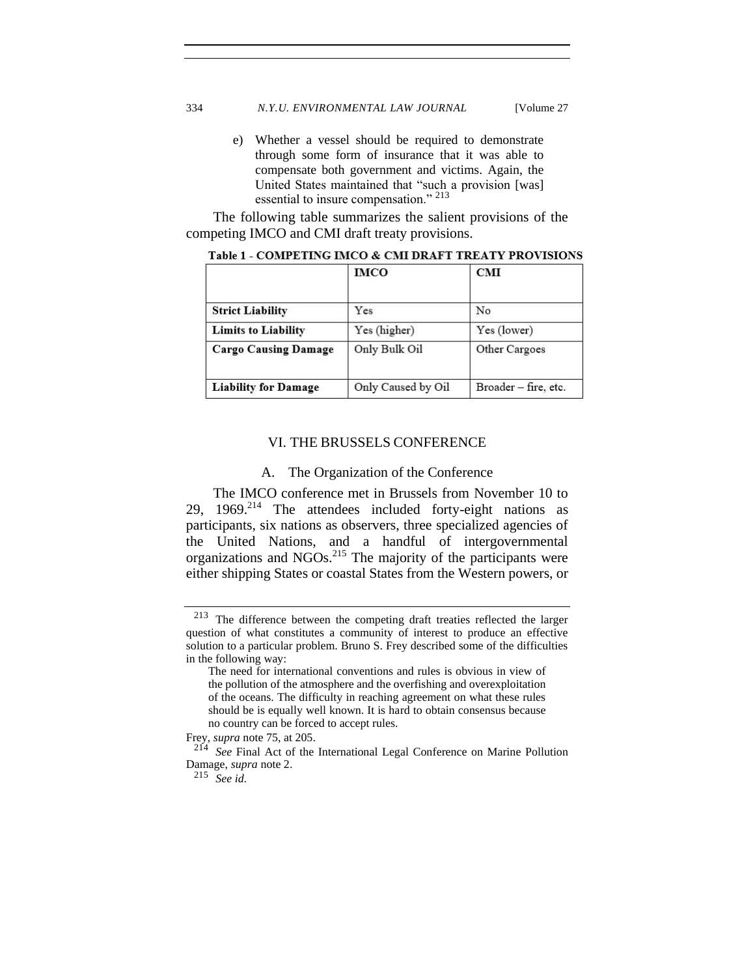#### 334 *N.Y.U. ENVIRONMENTAL LAW JOURNAL* [Volume 27

e) Whether a vessel should be required to demonstrate through some form of insurance that it was able to compensate both government and victims. Again, the United States maintained that "such a provision [was] essential to insure compensation." 213

The following table summarizes the salient provisions of the competing IMCO and CMI draft treaty provisions.

|                             | <b>IMCO</b>        | <b>CMI</b>           |
|-----------------------------|--------------------|----------------------|
| <b>Strict Liability</b>     | Yes                | No                   |
| <b>Limits to Liability</b>  | Yes (higher)       | Yes (lower)          |
| <b>Cargo Causing Damage</b> | Only Bulk Oil      | Other Cargoes        |
| <b>Liability for Damage</b> | Only Caused by Oil | Broader - fire, etc. |

Table 1 - COMPETING IMCO & CMI DRAFT TREATY PROVISIONS

## VI. THE BRUSSELS CONFERENCE

#### A. The Organization of the Conference

The IMCO conference met in Brussels from November 10 to 29,  $1969.^{214}$  The attendees included forty-eight nations as participants, six nations as observers, three specialized agencies of the United Nations, and a handful of intergovernmental organizations and NGOs.<sup>215</sup> The majority of the participants were either shipping States or coastal States from the Western powers, or

<sup>213</sup> The difference between the competing draft treaties reflected the larger question of what constitutes a community of interest to produce an effective solution to a particular problem. Bruno S. Frey described some of the difficulties in the following way:

The need for international conventions and rules is obvious in view of the pollution of the atmosphere and the overfishing and overexploitation of the oceans. The difficulty in reaching agreement on what these rules should be is equally well known. It is hard to obtain consensus because no country can be forced to accept rules.

Frey, *supra* note [75,](#page-14-0) at 205.

<sup>214</sup> *See* Final Act of the International Legal Conference on Marine Pollution Damage, *supra* note 2.

<sup>215</sup> *See id.*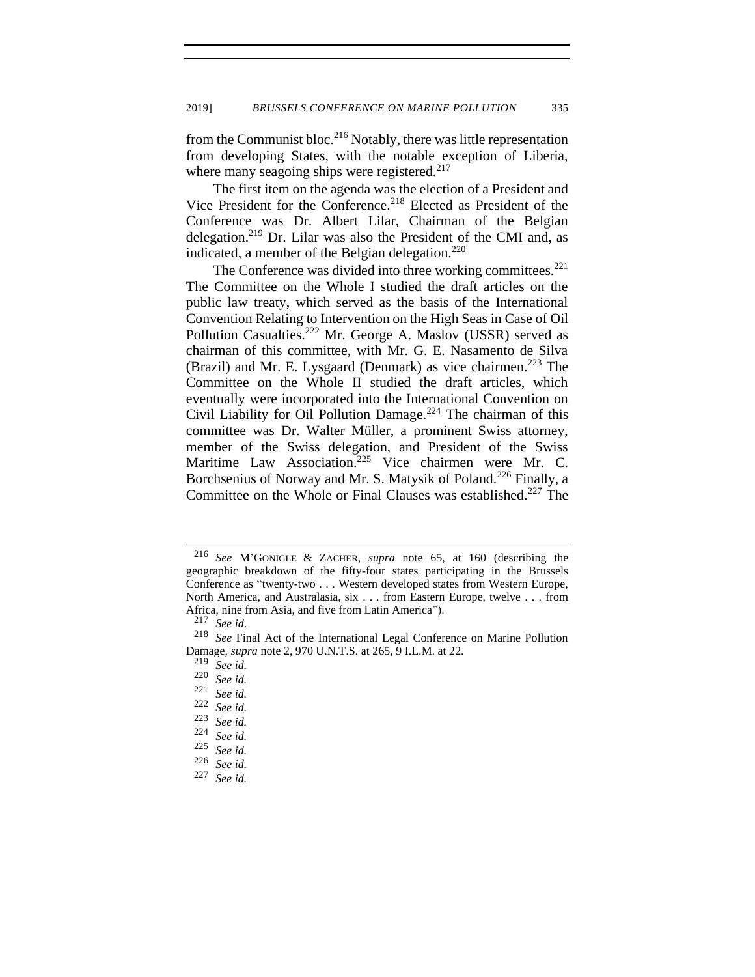from the Communist bloc.<sup>216</sup> Notably, there was little representation from developing States, with the notable exception of Liberia, where many seagoing ships were registered. $217$ 

The first item on the agenda was the election of a President and Vice President for the Conference.<sup>218</sup> Elected as President of the Conference was Dr. Albert Lilar, Chairman of the Belgian delegation.<sup>219</sup> Dr. Lilar was also the President of the CMI and, as indicated, a member of the Belgian delegation. $220$ 

The Conference was divided into three working committees. $221$ The Committee on the Whole I studied the draft articles on the public law treaty, which served as the basis of the International Convention Relating to Intervention on the High Seas in Case of Oil Pollution Casualties.<sup>222</sup> Mr. George A. Maslov (USSR) served as chairman of this committee, with Mr. G. E. Nasamento de Silva (Brazil) and Mr. E. Lysgaard (Denmark) as vice chairmen.<sup>223</sup> The Committee on the Whole II studied the draft articles, which eventually were incorporated into the International Convention on Civil Liability for Oil Pollution Damage.<sup>224</sup> The chairman of this committee was Dr. Walter Müller, a prominent Swiss attorney, member of the Swiss delegation, and President of the Swiss Maritime Law Association.<sup>225</sup> Vice chairmen were Mr. C. Borchsenius of Norway and Mr. S. Matysik of Poland.<sup>226</sup> Finally, a Committee on the Whole or Final Clauses was established.<sup>227</sup> The

<sup>216</sup> *See* M'GONIGLE & ZACHER, *supra* note [65,](#page-13-0) at 160 (describing the geographic breakdown of the fifty-four states participating in the Brussels Conference as "twenty-two . . . Western developed states from Western Europe, North America, and Australasia, six . . . from Eastern Europe, twelve . . . from Africa, nine from Asia, and five from Latin America").

<sup>217</sup> *See id*.

<sup>218</sup> *See* Final Act of the International Legal Conference on Marine Pollution Damage*, supra* note [2,](#page-2-0) 970 U.N.T.S. at 265, 9 I.L.M. at 22.

<sup>219</sup> *See id.*

<sup>220</sup> *See id.*

<sup>221</sup> *See id.*

<sup>222</sup> *See id.*

<sup>223</sup> *See id.*

<sup>224</sup> *See id.*

<sup>225</sup> *See id.*

<sup>226</sup> *See id.*

<sup>227</sup> *See id.*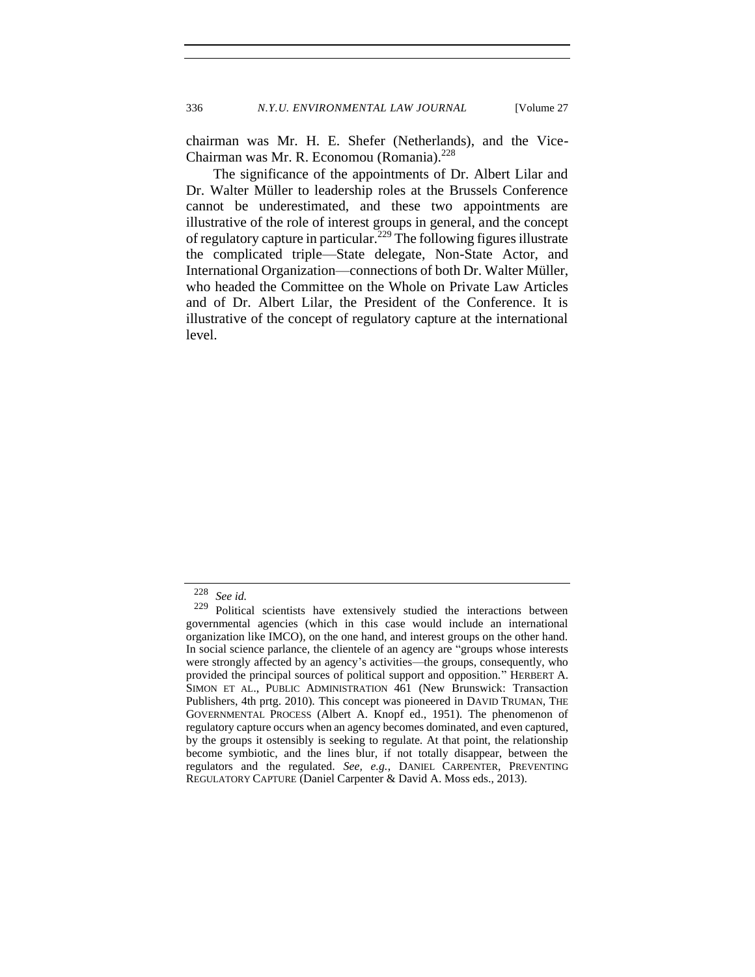chairman was Mr. H. E. Shefer (Netherlands), and the Vice-Chairman was Mr. R. Economou (Romania).<sup>228</sup>

The significance of the appointments of Dr. Albert Lilar and Dr. Walter Müller to leadership roles at the Brussels Conference cannot be underestimated, and these two appointments are illustrative of the role of interest groups in general, and the concept of regulatory capture in particular.<sup>229</sup> The following figures illustrate the complicated triple—State delegate, Non-State Actor, and International Organization—connections of both Dr. Walter Müller, who headed the Committee on the Whole on Private Law Articles and of Dr. Albert Lilar, the President of the Conference. It is illustrative of the concept of regulatory capture at the international level.

<sup>228</sup> *See id.*

<sup>229</sup> Political scientists have extensively studied the interactions between governmental agencies (which in this case would include an international organization like IMCO), on the one hand, and interest groups on the other hand. In social science parlance, the clientele of an agency are "groups whose interests were strongly affected by an agency's activities—the groups, consequently, who provided the principal sources of political support and opposition." HERBERT A. SIMON ET AL., PUBLIC ADMINISTRATION 461 (New Brunswick: Transaction Publishers, 4th prtg. 2010). This concept was pioneered in DAVID TRUMAN, THE GOVERNMENTAL PROCESS (Albert A. Knopf ed., 1951). The phenomenon of regulatory capture occurs when an agency becomes dominated, and even captured, by the groups it ostensibly is seeking to regulate. At that point, the relationship become symbiotic, and the lines blur, if not totally disappear, between the regulators and the regulated. *See, e.g.*, DANIEL CARPENTER, PREVENTING REGULATORY CAPTURE (Daniel Carpenter & David A. Moss eds., 2013).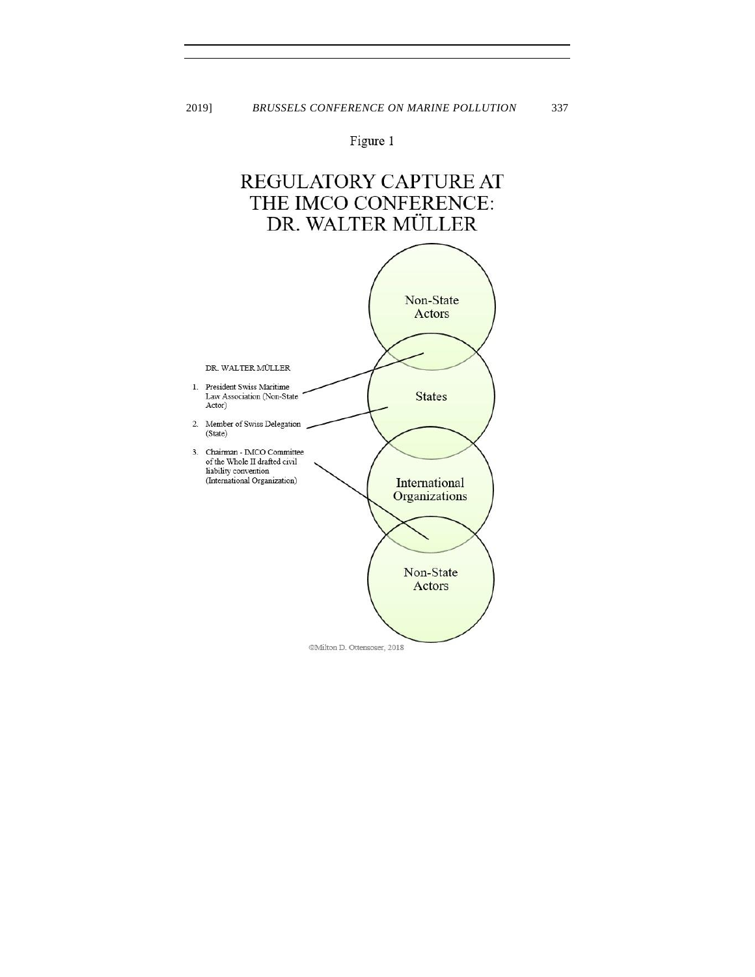Figure 1

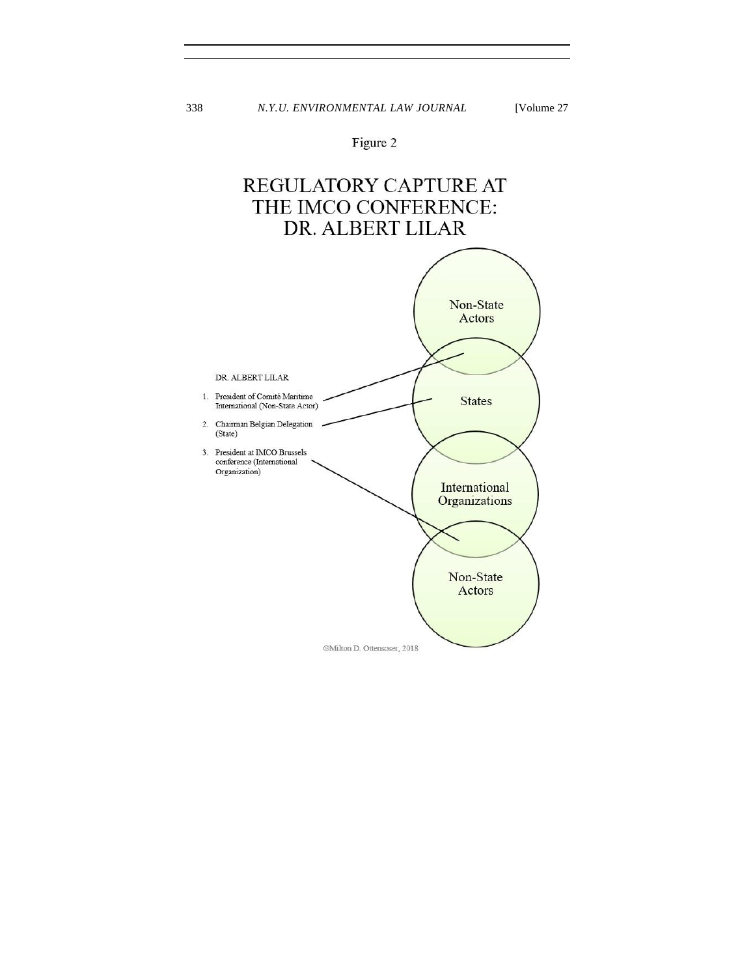# Figure 2

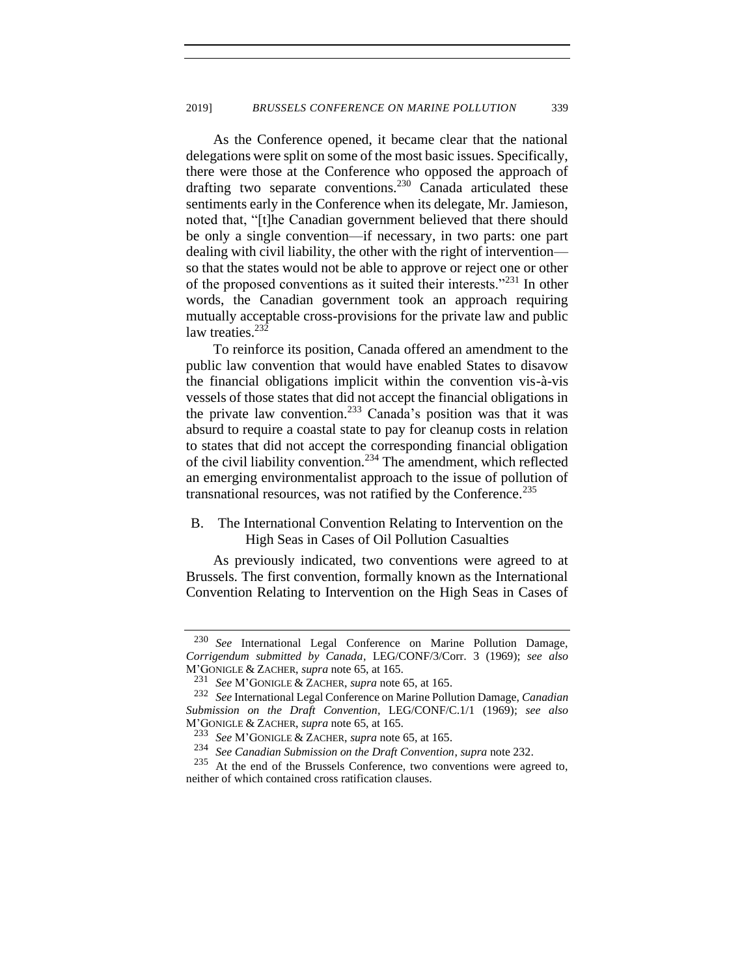As the Conference opened, it became clear that the national delegations were split on some of the most basic issues. Specifically, there were those at the Conference who opposed the approach of drafting two separate conventions.<sup>230</sup> Canada articulated these sentiments early in the Conference when its delegate, Mr. Jamieson, noted that, "[t]he Canadian government believed that there should be only a single convention—if necessary, in two parts: one part dealing with civil liability, the other with the right of intervention so that the states would not be able to approve or reject one or other of the proposed conventions as it suited their interests."<sup>231</sup> In other words, the Canadian government took an approach requiring mutually acceptable cross-provisions for the private law and public law treaties. $23\overline{2}$ 

<span id="page-40-0"></span>To reinforce its position, Canada offered an amendment to the public law convention that would have enabled States to disavow the financial obligations implicit within the convention vis-à-vis vessels of those states that did not accept the financial obligations in the private law convention.<sup>233</sup> Canada's position was that it was absurd to require a coastal state to pay for cleanup costs in relation to states that did not accept the corresponding financial obligation of the civil liability convention.<sup>234</sup> The amendment, which reflected an emerging environmentalist approach to the issue of pollution of transnational resources, was not ratified by the Conference.<sup>235</sup>

# B. The International Convention Relating to Intervention on the High Seas in Cases of Oil Pollution Casualties

As previously indicated, two conventions were agreed to at Brussels. The first convention, formally known as the International Convention Relating to Intervention on the High Seas in Cases of

<sup>230</sup> *See* International Legal Conference on Marine Pollution Damage, *Corrigendum submitted by Canada*, LEG/CONF/3/Corr. 3 (1969); *see also* M'GONIGLE & ZACHER, *supra* note [65,](#page-13-0) at 165.

<sup>231</sup> *See* M'GONIGLE & ZACHER, *supra* note [65,](#page-13-0) at 165.

<sup>232</sup> *See* International Legal Conference on Marine Pollution Damage, *Canadian Submission on the Draft Convention*, LEG/CONF/C.1/1 (1969); *see also* M'GONIGLE & ZACHER, *supra* note [65,](#page-13-0) at 165.

<sup>233</sup> *See* M'GONIGLE & ZACHER, *supra* note [65,](#page-13-0) at 165.

<sup>&</sup>lt;sup>234</sup> *See Canadian Submission on the Draft Convention, supra* note [232.](#page-40-0)<br><sup>235</sup> At the end of the Brussels Conference, two conventions were agr

At the end of the Brussels Conference, two conventions were agreed to, neither of which contained cross ratification clauses.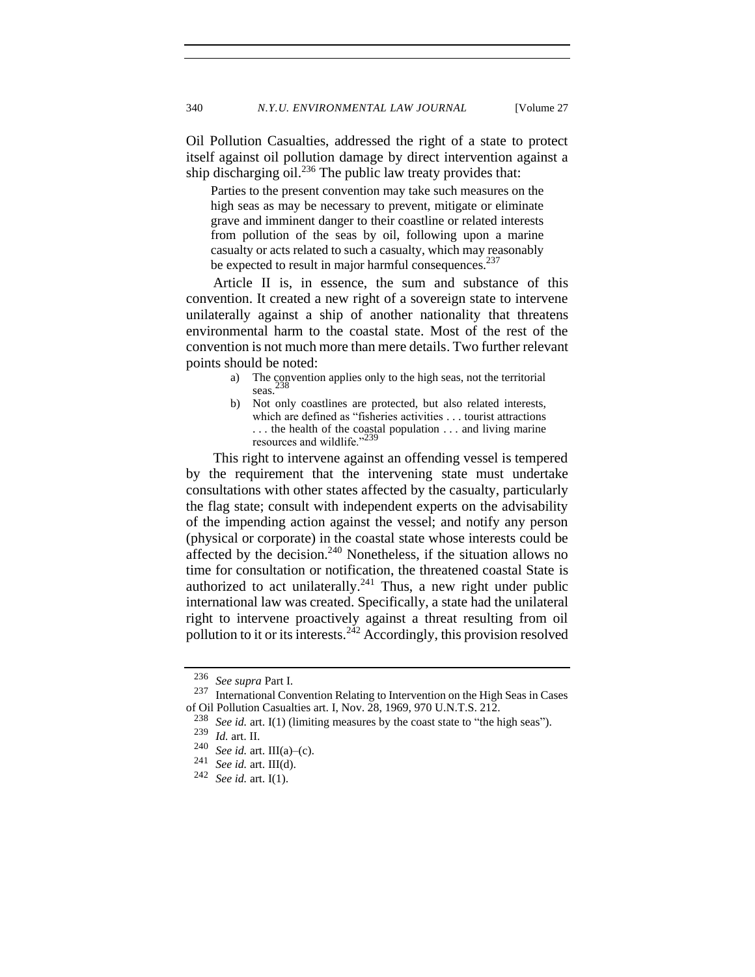Oil Pollution Casualties, addressed the right of a state to protect itself against oil pollution damage by direct intervention against a ship discharging oil.<sup>236</sup> The public law treaty provides that:

Parties to the present convention may take such measures on the high seas as may be necessary to prevent, mitigate or eliminate grave and imminent danger to their coastline or related interests from pollution of the seas by oil, following upon a marine casualty or acts related to such a casualty, which may reasonably be expected to result in major harmful consequences.<sup>237</sup>

Article II is, in essence, the sum and substance of this convention. It created a new right of a sovereign state to intervene unilaterally against a ship of another nationality that threatens environmental harm to the coastal state. Most of the rest of the convention is not much more than mere details. Two further relevant points should be noted:

- a) The convention applies only to the high seas, not the territorial seas. 238
- b) Not only coastlines are protected, but also related interests, which are defined as "fisheries activities . . . tourist attractions . . . the health of the coastal population . . . and living marine resources and wildlife."<sup>2</sup>

This right to intervene against an offending vessel is tempered by the requirement that the intervening state must undertake consultations with other states affected by the casualty, particularly the flag state; consult with independent experts on the advisability of the impending action against the vessel; and notify any person (physical or corporate) in the coastal state whose interests could be affected by the decision.<sup>240</sup> Nonetheless, if the situation allows no time for consultation or notification, the threatened coastal State is authorized to act unilaterally.<sup>241</sup> Thus, a new right under public international law was created. Specifically, a state had the unilateral right to intervene proactively against a threat resulting from oil pollution to it or its interests.<sup>242</sup> Accordingly, this provision resolved

<sup>236</sup> *See supra* Part I.

<sup>237</sup> International Convention Relating to Intervention on the High Seas in Cases of Oil Pollution Casualties art. I, Nov. 28, 1969, 970 U.N.T.S. 212.

<sup>238</sup> *See id.* art. I(1) (limiting measures by the coast state to "the high seas").

<sup>239</sup> *Id.* art. II.

<sup>&</sup>lt;sup>240</sup> *See id.* art. III(a)–(c).<br><sup>241</sup> *See id.* art. III(d)

See id. art. III(d).

<sup>242</sup> *See id.* art. I(1).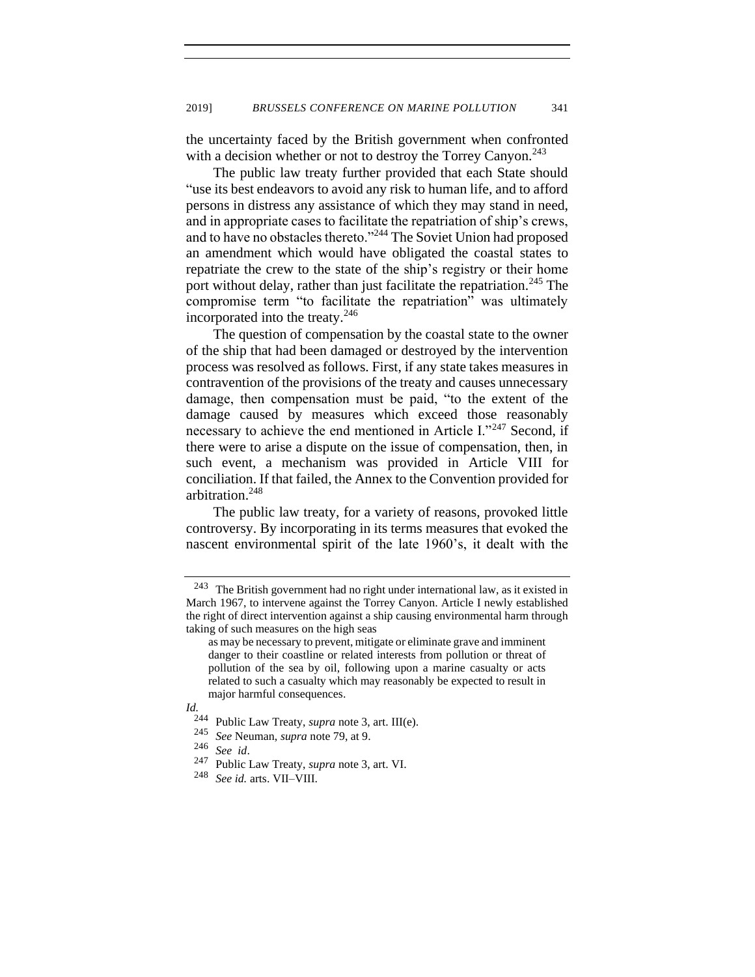the uncertainty faced by the British government when confronted with a decision whether or not to destroy the Torrey Canyon.<sup>243</sup>

The public law treaty further provided that each State should "use its best endeavors to avoid any risk to human life, and to afford persons in distress any assistance of which they may stand in need, and in appropriate cases to facilitate the repatriation of ship's crews, and to have no obstacles thereto."<sup>244</sup> The Soviet Union had proposed an amendment which would have obligated the coastal states to repatriate the crew to the state of the ship's registry or their home port without delay, rather than just facilitate the repatriation.<sup>245</sup> The compromise term "to facilitate the repatriation" was ultimately incorporated into the treaty.<sup>246</sup>

The question of compensation by the coastal state to the owner of the ship that had been damaged or destroyed by the intervention process was resolved as follows. First, if any state takes measures in contravention of the provisions of the treaty and causes unnecessary damage, then compensation must be paid, "to the extent of the damage caused by measures which exceed those reasonably necessary to achieve the end mentioned in Article I."<sup>247</sup> Second, if there were to arise a dispute on the issue of compensation, then, in such event, a mechanism was provided in Article VIII for conciliation. If that failed, the Annex to the Convention provided for arbitration.<sup>248</sup>

The public law treaty, for a variety of reasons, provoked little controversy. By incorporating in its terms measures that evoked the nascent environmental spirit of the late 1960's, it dealt with the

*Id.*

 $243$  The British government had no right under international law, as it existed in March 1967, to intervene against the Torrey Canyon. Article I newly established the right of direct intervention against a ship causing environmental harm through taking of such measures on the high seas

as may be necessary to prevent, mitigate or eliminate grave and imminent danger to their coastline or related interests from pollution or threat of pollution of the sea by oil, following upon a marine casualty or acts related to such a casualty which may reasonably be expected to result in major harmful consequences.

<sup>244</sup> Public Law Treaty, *supra* note [3,](#page-2-1) art. III(e).

<sup>245</sup> *See* Neuman, *supra* note [79,](#page-16-0) at 9.

<sup>246</sup> *See id*.

<sup>&</sup>lt;sup>247</sup> Public Law Treaty, *supra* note [3,](#page-2-1) art. VI.<br><sup>248</sup> See id. arts. VII–VIII

See id. arts. VII-VIII.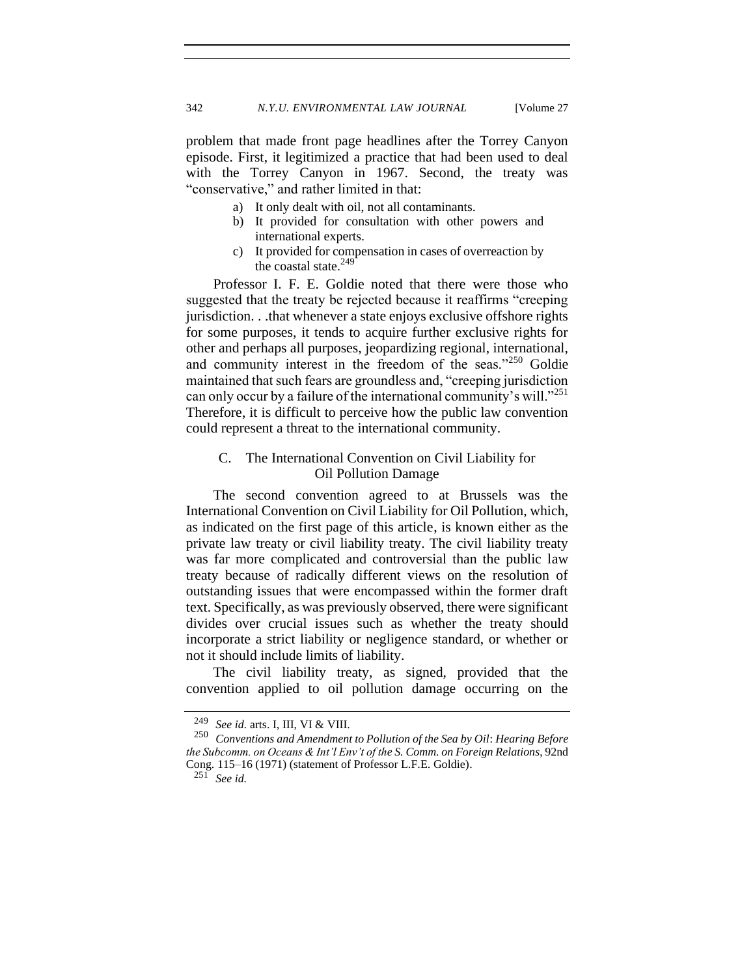problem that made front page headlines after the Torrey Canyon episode. First, it legitimized a practice that had been used to deal with the Torrey Canyon in 1967. Second, the treaty was "conservative," and rather limited in that:

- a) It only dealt with oil, not all contaminants.
- b) It provided for consultation with other powers and international experts.
- c) It provided for compensation in cases of overreaction by the coastal state.<sup>249</sup>

Professor I. F. E. Goldie noted that there were those who suggested that the treaty be rejected because it reaffirms "creeping jurisdiction. . .that whenever a state enjoys exclusive offshore rights for some purposes, it tends to acquire further exclusive rights for other and perhaps all purposes, jeopardizing regional, international, and community interest in the freedom of the seas."<sup>250</sup> Goldie maintained that such fears are groundless and, "creeping jurisdiction can only occur by a failure of the international community's will."<sup>251</sup> Therefore, it is difficult to perceive how the public law convention could represent a threat to the international community.

# C. The International Convention on Civil Liability for Oil Pollution Damage

The second convention agreed to at Brussels was the International Convention on Civil Liability for Oil Pollution, which, as indicated on the first page of this article, is known either as the private law treaty or civil liability treaty. The civil liability treaty was far more complicated and controversial than the public law treaty because of radically different views on the resolution of outstanding issues that were encompassed within the former draft text. Specifically, as was previously observed, there were significant divides over crucial issues such as whether the treaty should incorporate a strict liability or negligence standard, or whether or not it should include limits of liability.

The civil liability treaty, as signed, provided that the convention applied to oil pollution damage occurring on the

<sup>249</sup> *See id.* arts. I, III, VI & VIII.

<sup>250</sup> *Conventions and Amendment to Pollution of the Sea by Oil*: *Hearing Before the Subcomm. on Oceans & Int'l Env't of the S. Comm. on Foreign Relations*, 92nd Cong. 115–16 (1971) (statement of Professor L.F.E. Goldie).

<sup>251</sup> *See id.*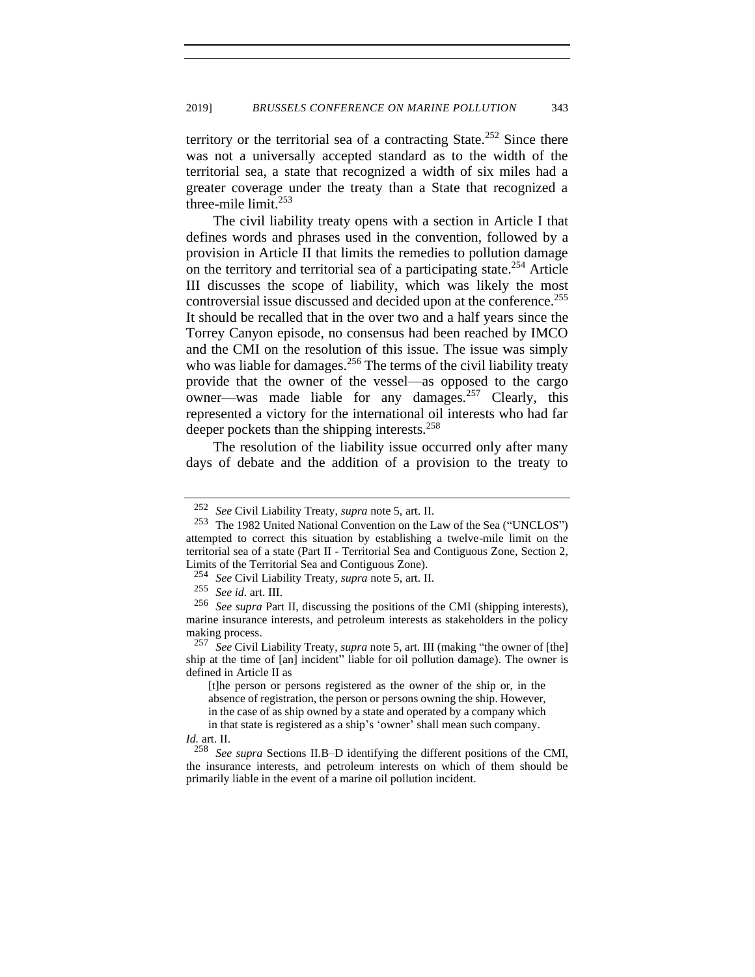territory or the territorial sea of a contracting State.<sup>252</sup> Since there was not a universally accepted standard as to the width of the territorial sea, a state that recognized a width of six miles had a greater coverage under the treaty than a State that recognized a three-mile limit.<sup>253</sup>

The civil liability treaty opens with a section in Article I that defines words and phrases used in the convention, followed by a provision in Article II that limits the remedies to pollution damage on the territory and territorial sea of a participating state.<sup>254</sup> Article III discusses the scope of liability, which was likely the most controversial issue discussed and decided upon at the conference.<sup>255</sup> It should be recalled that in the over two and a half years since the Torrey Canyon episode, no consensus had been reached by IMCO and the CMI on the resolution of this issue. The issue was simply who was liable for damages.<sup>256</sup> The terms of the civil liability treaty provide that the owner of the vessel—as opposed to the cargo owner—was made liable for any damages.<sup>257</sup> Clearly, this represented a victory for the international oil interests who had far deeper pockets than the shipping interests.<sup>258</sup>

The resolution of the liability issue occurred only after many days of debate and the addition of a provision to the treaty to

<sup>252</sup> *See* Civil Liability Treaty, *supra* not[e 5](#page-2-2)*,* art. II.

<sup>253</sup> The 1982 United National Convention on the Law of the Sea ("UNCLOS") attempted to correct this situation by establishing a twelve-mile limit on the territorial sea of a state (Part II - Territorial Sea and Contiguous Zone, Section 2, Limits of the Territorial Sea and Contiguous Zone).

<sup>254</sup> *See* Civil Liability Treaty, *supra* not[e 5,](#page-2-2) art. II.

<sup>255</sup> *See id.* art. III.

<sup>256</sup> *See supra* Part II, discussing the positions of the CMI (shipping interests), marine insurance interests, and petroleum interests as stakeholders in the policy making process.

<sup>257</sup> *See* Civil Liability Treaty, *supra* note [5,](#page-2-2) art. III (making "the owner of [the] ship at the time of [an] incident" liable for oil pollution damage). The owner is defined in Article II as

<sup>[</sup>t]he person or persons registered as the owner of the ship or, in the absence of registration, the person or persons owning the ship. However, in the case of as ship owned by a state and operated by a company which

in that state is registered as a ship's 'owner' shall mean such company.

*Id.* art. II.

<sup>258</sup> *See supra* Sections II.B–D identifying the different positions of the CMI, the insurance interests, and petroleum interests on which of them should be primarily liable in the event of a marine oil pollution incident.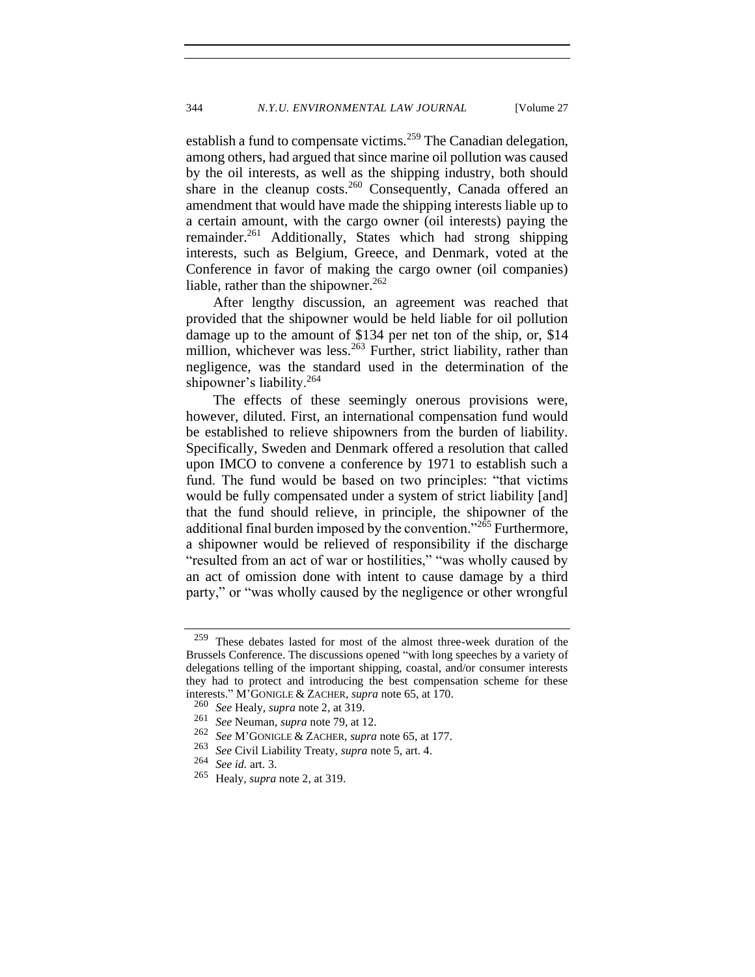establish a fund to compensate victims.<sup>259</sup> The Canadian delegation, among others, had argued that since marine oil pollution was caused by the oil interests, as well as the shipping industry, both should share in the cleanup costs.<sup>260</sup> Consequently, Canada offered an amendment that would have made the shipping interests liable up to a certain amount, with the cargo owner (oil interests) paying the remainder.<sup>261</sup> Additionally, States which had strong shipping interests, such as Belgium, Greece, and Denmark, voted at the Conference in favor of making the cargo owner (oil companies) liable, rather than the shipowner.<sup>262</sup>

After lengthy discussion, an agreement was reached that provided that the shipowner would be held liable for oil pollution damage up to the amount of \$134 per net ton of the ship, or, \$14 million, whichever was less.<sup>263</sup> Further, strict liability, rather than negligence, was the standard used in the determination of the shipowner's liability.<sup>264</sup>

The effects of these seemingly onerous provisions were, however, diluted. First, an international compensation fund would be established to relieve shipowners from the burden of liability. Specifically, Sweden and Denmark offered a resolution that called upon IMCO to convene a conference by 1971 to establish such a fund. The fund would be based on two principles: "that victims would be fully compensated under a system of strict liability [and] that the fund should relieve, in principle, the shipowner of the additional final burden imposed by the convention." $2\overline{65}$  Furthermore, a shipowner would be relieved of responsibility if the discharge "resulted from an act of war or hostilities," "was wholly caused by an act of omission done with intent to cause damage by a third party," or "was wholly caused by the negligence or other wrongful

<sup>263</sup> *See* Civil Liability Treaty, *supra* not[e 5,](#page-2-2) art. 4.

<sup>259</sup> These debates lasted for most of the almost three-week duration of the Brussels Conference. The discussions opened "with long speeches by a variety of delegations telling of the important shipping, coastal, and/or consumer interests they had to protect and introducing the best compensation scheme for these interests." M'GONIGLE & ZACHER, *supra* note [65,](#page-13-0) at 170.

<sup>260</sup> *See* Healy, *supra* not[e 2,](#page-2-0) at 319.

<sup>&</sup>lt;sup>261</sup> *See* Neuman, *supra* note [79,](#page-16-0) at 12.<br><sup>262</sup> *See M'GONIGLE & ZACHER supra* 

<sup>262</sup> *See* M'GONIGLE & ZACHER, *supra* note [65,](#page-13-0) at 177.

<sup>264</sup> *See id.* art. 3.

Healy, *supra* note [2,](#page-2-0) at 319.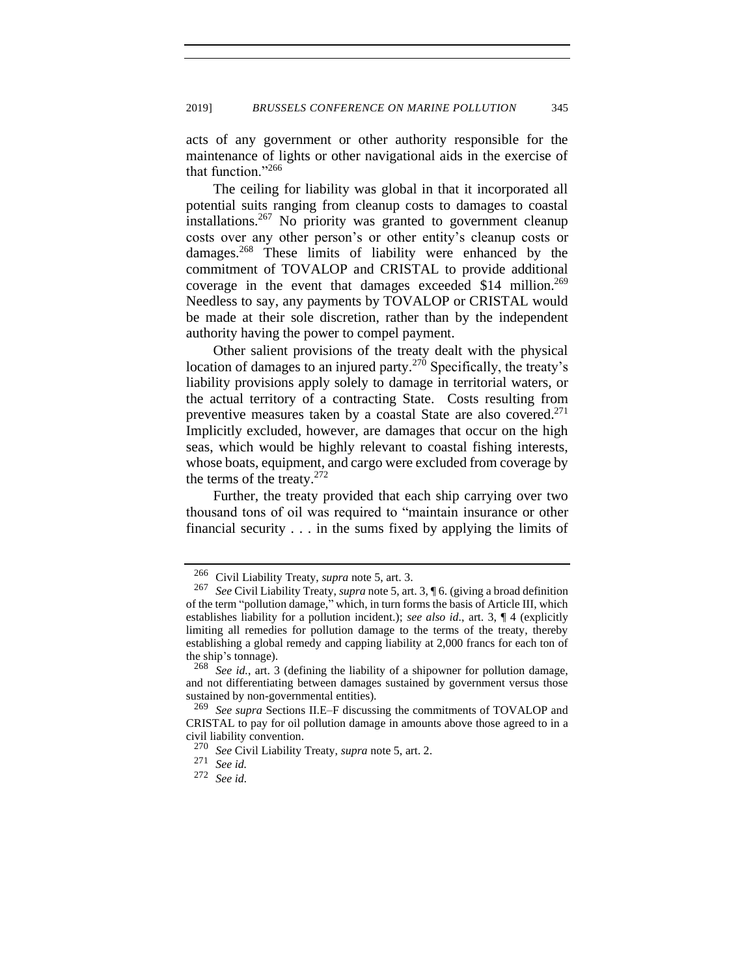acts of any government or other authority responsible for the maintenance of lights or other navigational aids in the exercise of that function."<sup>266</sup>

The ceiling for liability was global in that it incorporated all potential suits ranging from cleanup costs to damages to coastal installations.<sup>267</sup> No priority was granted to government cleanup costs over any other person's or other entity's cleanup costs or damages.<sup>268</sup> These limits of liability were enhanced by the commitment of TOVALOP and CRISTAL to provide additional coverage in the event that damages exceeded \$14 million.<sup>269</sup> Needless to say, any payments by TOVALOP or CRISTAL would be made at their sole discretion, rather than by the independent authority having the power to compel payment.

Other salient provisions of the treaty dealt with the physical location of damages to an injured party.<sup>270</sup> Specifically, the treaty's liability provisions apply solely to damage in territorial waters, or the actual territory of a contracting State. Costs resulting from preventive measures taken by a coastal State are also covered.<sup>271</sup> Implicitly excluded, however, are damages that occur on the high seas, which would be highly relevant to coastal fishing interests, whose boats, equipment, and cargo were excluded from coverage by the terms of the treaty. $272$ 

Further, the treaty provided that each ship carrying over two thousand tons of oil was required to "maintain insurance or other financial security . . . in the sums fixed by applying the limits of

<sup>266</sup> Civil Liability Treaty, *supra* note [5,](#page-2-2) art. 3.

<sup>267</sup> *See* Civil Liability Treaty, *supra* not[e 5,](#page-2-2) art. 3, ¶ 6. (giving a broad definition of the term "pollution damage," which, in turn forms the basis of Article III, which establishes liability for a pollution incident.); *see also id.*, art. 3, ¶ 4 (explicitly limiting all remedies for pollution damage to the terms of the treaty, thereby establishing a global remedy and capping liability at 2,000 francs for each ton of the ship's tonnage).

<sup>268</sup> *See id.*, art. 3 (defining the liability of a shipowner for pollution damage, and not differentiating between damages sustained by government versus those sustained by non-governmental entities).

<sup>269</sup> *See supra* Sections II.E–F discussing the commitments of TOVALOP and CRISTAL to pay for oil pollution damage in amounts above those agreed to in a civil liability convention.

<sup>270</sup> *See* Civil Liability Treaty, *supra* not[e 5,](#page-2-2) art. 2.

See id.

<sup>272</sup> *See id.*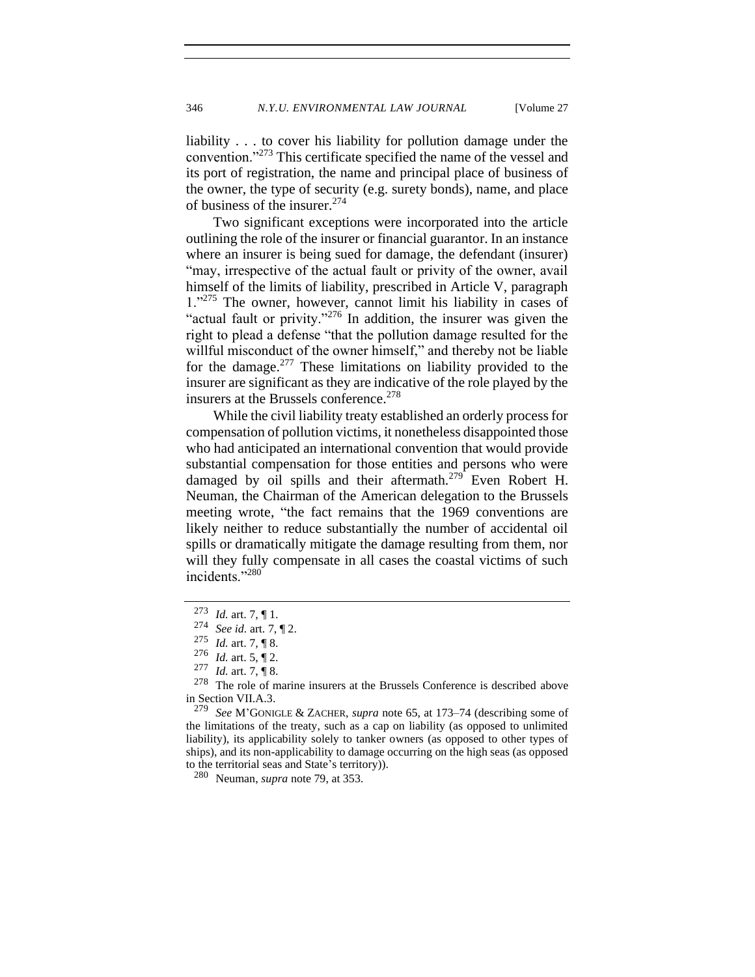liability . . . to cover his liability for pollution damage under the convention."<sup>273</sup> This certificate specified the name of the vessel and its port of registration, the name and principal place of business of the owner, the type of security (e.g. surety bonds), name, and place of business of the insurer.<sup>274</sup>

Two significant exceptions were incorporated into the article outlining the role of the insurer or financial guarantor. In an instance where an insurer is being sued for damage, the defendant (insurer) "may, irrespective of the actual fault or privity of the owner, avail himself of the limits of liability, prescribed in Article V, paragraph 1."<sup>275</sup> The owner, however, cannot limit his liability in cases of "actual fault or privity."<sup>276</sup> In addition, the insurer was given the right to plead a defense "that the pollution damage resulted for the willful misconduct of the owner himself," and thereby not be liable for the damage.<sup>277</sup> These limitations on liability provided to the insurer are significant as they are indicative of the role played by the insurers at the Brussels conference.<sup>278</sup>

While the civil liability treaty established an orderly process for compensation of pollution victims, it nonetheless disappointed those who had anticipated an international convention that would provide substantial compensation for those entities and persons who were damaged by oil spills and their aftermath.<sup>279</sup> Even Robert H. Neuman, the Chairman of the American delegation to the Brussels meeting wrote, "the fact remains that the 1969 conventions are likely neither to reduce substantially the number of accidental oil spills or dramatically mitigate the damage resulting from them, nor will they fully compensate in all cases the coastal victims of such incidents."<sup>280</sup>

<sup>273</sup> *Id.* art. 7, ¶ 1.

<sup>274</sup> *See id.* art. 7, ¶ 2.

<sup>275</sup> *Id.* art. 7, ¶ 8.

<sup>276</sup> *Id.* art. 5, ¶ 2.

 $\frac{277}{278}$  *Id.* art. 7, ¶ 8.<br>278 The role of n

The role of marine insurers at the Brussels Conference is described above in Section VII.A.3.<br> $^{279}$  See M'GONIC

See M'GONIGLE & ZACHER, *supra* note [65,](#page-13-0) at 173–74 (describing some of the limitations of the treaty, such as a cap on liability (as opposed to unlimited liability), its applicability solely to tanker owners (as opposed to other types of ships), and its non-applicability to damage occurring on the high seas (as opposed to the territorial seas and State's territory)).

<sup>280</sup> Neuman, *supra* not[e 79,](#page-16-0) at 353.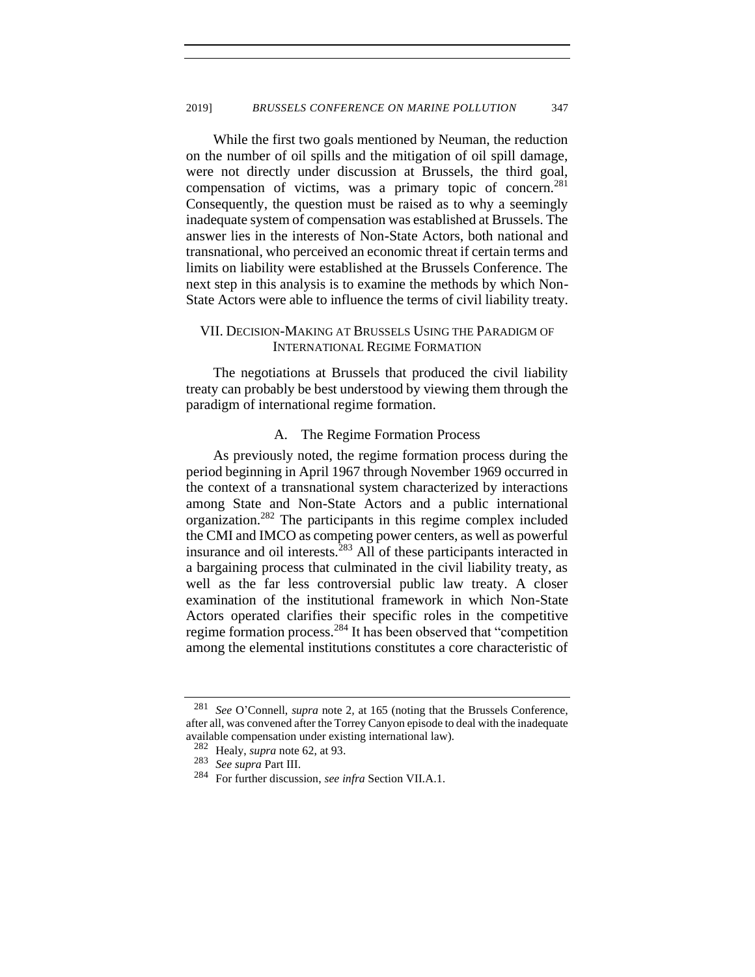While the first two goals mentioned by Neuman, the reduction on the number of oil spills and the mitigation of oil spill damage, were not directly under discussion at Brussels, the third goal, compensation of victims, was a primary topic of concern.<sup>281</sup> Consequently, the question must be raised as to why a seemingly inadequate system of compensation was established at Brussels. The answer lies in the interests of Non-State Actors, both national and transnational, who perceived an economic threat if certain terms and limits on liability were established at the Brussels Conference. The next step in this analysis is to examine the methods by which Non-State Actors were able to influence the terms of civil liability treaty.

## VII. DECISION-MAKING AT BRUSSELS USING THE PARADIGM OF INTERNATIONAL REGIME FORMATION

The negotiations at Brussels that produced the civil liability treaty can probably be best understood by viewing them through the paradigm of international regime formation.

#### A. The Regime Formation Process

As previously noted, the regime formation process during the period beginning in April 1967 through November 1969 occurred in the context of a transnational system characterized by interactions among State and Non-State Actors and a public international organization.<sup>282</sup> The participants in this regime complex included the CMI and IMCO as competing power centers, as well as powerful insurance and oil interests. $283$  All of these participants interacted in a bargaining process that culminated in the civil liability treaty, as well as the far less controversial public law treaty. A closer examination of the institutional framework in which Non-State Actors operated clarifies their specific roles in the competitive regime formation process.<sup>284</sup> It has been observed that "competition among the elemental institutions constitutes a core characteristic of

<sup>281</sup> *See* O'Connell, *supra* note [2](#page-2-0)*,* at 165 (noting that the Brussels Conference, after all, was convened after the Torrey Canyon episode to deal with the inadequate available compensation under existing international law).

<sup>282</sup> Healy, *supra* note [62,](#page-12-0) at 93.

<sup>283</sup> *See supra* Part III.

<sup>284</sup> For further discussion, *see infra* Section VII.A.1.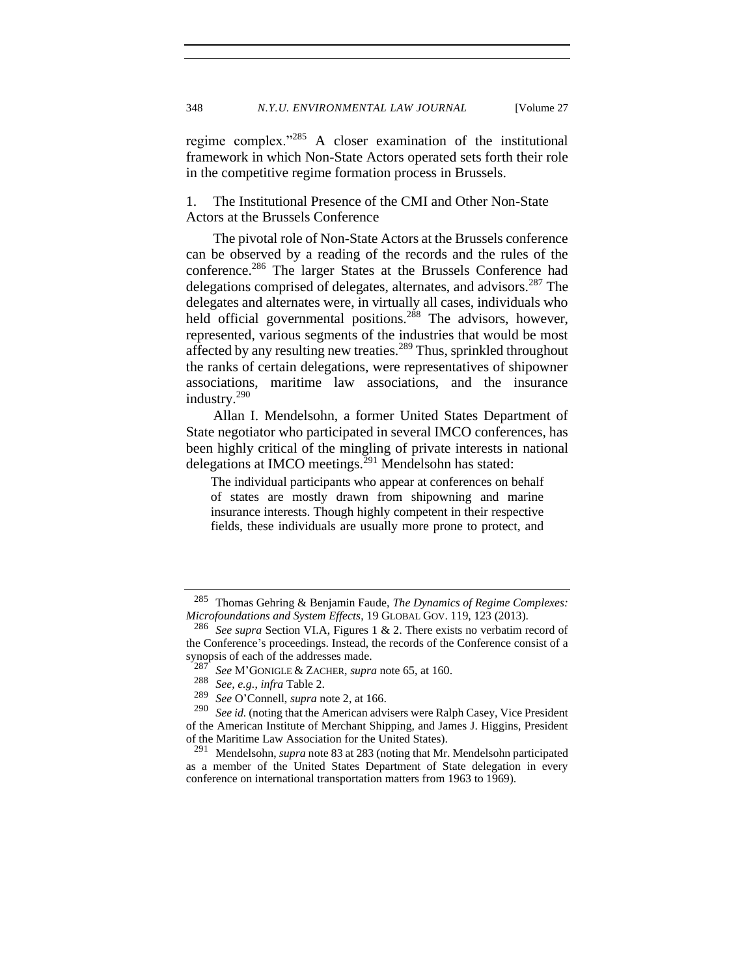regime complex."<sup>285</sup> A closer examination of the institutional framework in which Non-State Actors operated sets forth their role in the competitive regime formation process in Brussels.

1. The Institutional Presence of the CMI and Other Non-State Actors at the Brussels Conference

The pivotal role of Non-State Actors at the Brussels conference can be observed by a reading of the records and the rules of the conference.<sup>286</sup> The larger States at the Brussels Conference had delegations comprised of delegates, alternates, and advisors.<sup>287</sup> The delegates and alternates were, in virtually all cases, individuals who held official governmental positions.<sup>288</sup> The advisors, however, represented, various segments of the industries that would be most affected by any resulting new treaties.<sup>289</sup> Thus, sprinkled throughout the ranks of certain delegations, were representatives of shipowner associations, maritime law associations, and the insurance industry.<sup>290</sup>

Allan I. Mendelsohn, a former United States Department of State negotiator who participated in several IMCO conferences, has been highly critical of the mingling of private interests in national delegations at IMCO meetings. $^{291}$  Mendelsohn has stated:

The individual participants who appear at conferences on behalf of states are mostly drawn from shipowning and marine insurance interests. Though highly competent in their respective fields, these individuals are usually more prone to protect, and

<sup>285</sup> Thomas Gehring & Benjamin Faude, *The Dynamics of Regime Complexes: Microfoundations and System Effects*, 19 GLOBAL GOV. 119, 123 (2013).

<sup>286</sup> *See supra* Section VI.A, Figures 1 & 2. There exists no verbatim record of the Conference's proceedings. Instead, the records of the Conference consist of a synopsis of each of the addresses made.

<sup>287</sup> *See* M'GONIGLE & ZACHER, *supra* note [65,](#page-13-0) at 160.

<sup>288</sup> *See, e.g.*, *infra* Table 2.

<sup>289</sup> *See* O'Connell, *supra* note [2,](#page-2-0) at 166.

See id. (noting that the American advisers were Ralph Casey, Vice President of the American Institute of Merchant Shipping, and James J. Higgins, President of the Maritime Law Association for the United States).<br> $^{291}$  Mondelsohn, sungs poto 82 at 282 (poting that Mr.

<sup>291</sup> Mendelsohn, *supra* note 83 at 283 (noting that Mr. Mendelsohn participated as a member of the United States Department of State delegation in every conference on international transportation matters from 1963 to 1969).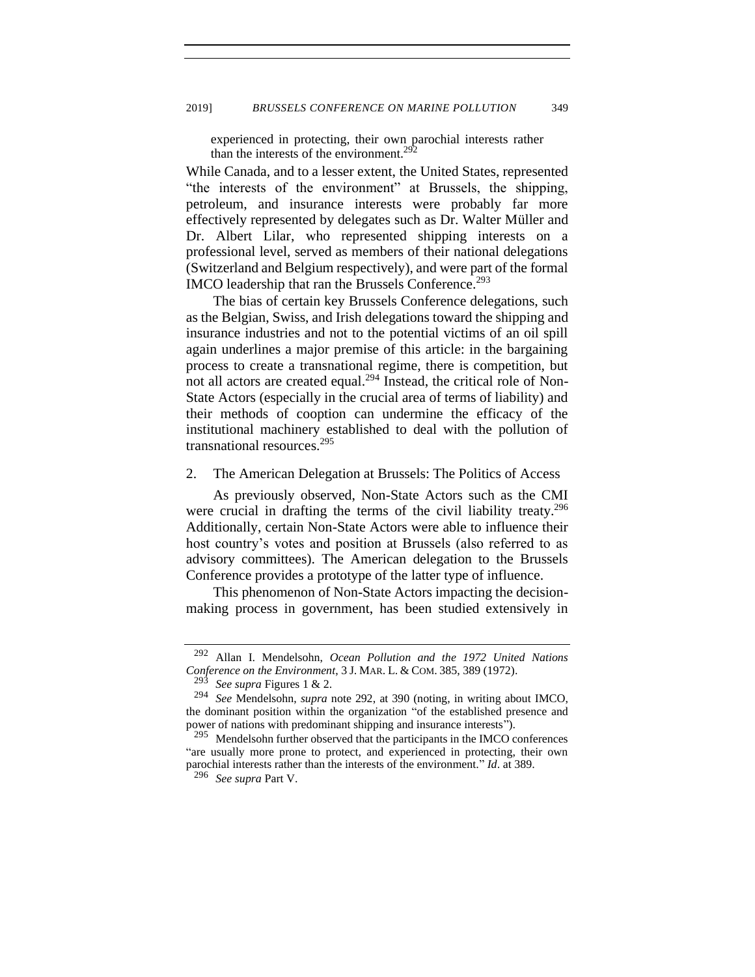<span id="page-50-0"></span>experienced in protecting, their own parochial interests rather than the interests of the environment.<sup>292</sup>

While Canada, and to a lesser extent, the United States, represented "the interests of the environment" at Brussels, the shipping, petroleum, and insurance interests were probably far more effectively represented by delegates such as Dr. Walter Müller and Dr. Albert Lilar, who represented shipping interests on a professional level, served as members of their national delegations (Switzerland and Belgium respectively), and were part of the formal IMCO leadership that ran the Brussels Conference.<sup>293</sup>

The bias of certain key Brussels Conference delegations, such as the Belgian, Swiss, and Irish delegations toward the shipping and insurance industries and not to the potential victims of an oil spill again underlines a major premise of this article: in the bargaining process to create a transnational regime, there is competition, but not all actors are created equal.<sup>294</sup> Instead, the critical role of Non-State Actors (especially in the crucial area of terms of liability) and their methods of cooption can undermine the efficacy of the institutional machinery established to deal with the pollution of transnational resources.<sup>295</sup>

## 2. The American Delegation at Brussels: The Politics of Access

As previously observed, Non-State Actors such as the CMI were crucial in drafting the terms of the civil liability treaty.<sup>296</sup> Additionally, certain Non-State Actors were able to influence their host country's votes and position at Brussels (also referred to as advisory committees). The American delegation to the Brussels Conference provides a prototype of the latter type of influence.

This phenomenon of Non-State Actors impacting the decisionmaking process in government, has been studied extensively in

<sup>292</sup> Allan I. Mendelsohn, *Ocean Pollution and the 1972 United Nations Conference on the Environment*, 3 J. MAR. L. & COM. 385, 389 (1972).

<sup>293</sup> *See supra* Figures 1 & 2.

<sup>294</sup> *See* Mendelsohn, *supra* note [292,](#page-50-0) at 390 (noting, in writing about IMCO, the dominant position within the organization "of the established presence and power of nations with predominant shipping and insurance interests").

<sup>&</sup>lt;sup>295</sup> Mendelsohn further observed that the participants in the IMCO conferences "are usually more prone to protect, and experienced in protecting, their own parochial interests rather than the interests of the environment." *Id*. at 389.

<sup>296</sup> *See supra* Part V.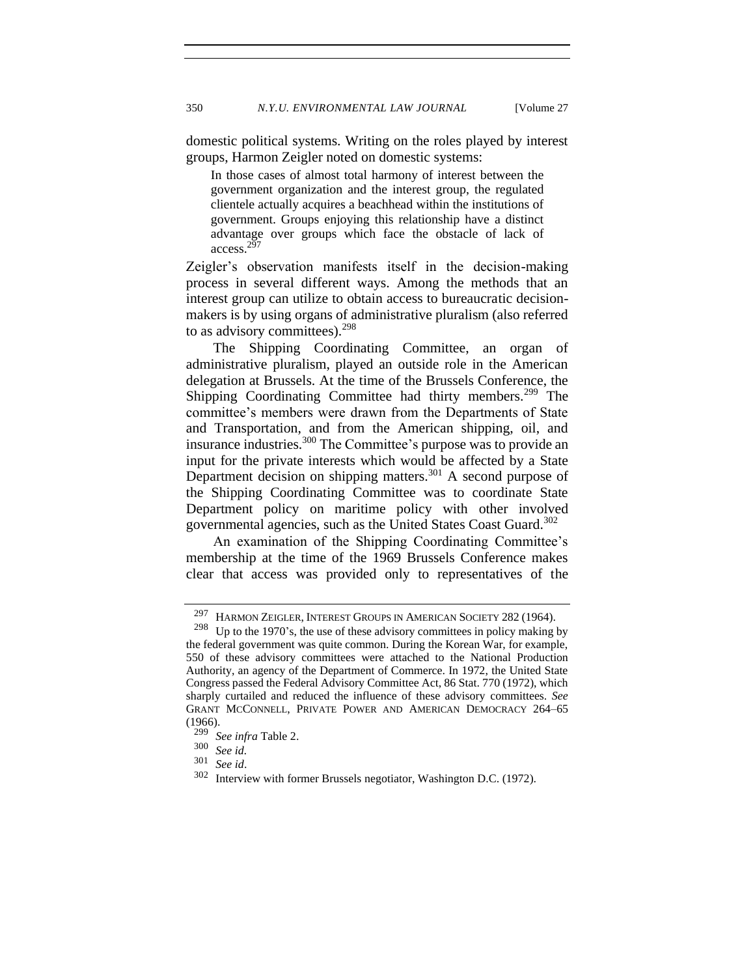domestic political systems. Writing on the roles played by interest groups, Harmon Zeigler noted on domestic systems:

In those cases of almost total harmony of interest between the government organization and the interest group, the regulated clientele actually acquires a beachhead within the institutions of government. Groups enjoying this relationship have a distinct advantage over groups which face the obstacle of lack of access.<sup>29</sup>

Zeigler's observation manifests itself in the decision-making process in several different ways. Among the methods that an interest group can utilize to obtain access to bureaucratic decisionmakers is by using organs of administrative pluralism (also referred to as advisory committees).<sup>298</sup>

The Shipping Coordinating Committee, an organ of administrative pluralism, played an outside role in the American delegation at Brussels. At the time of the Brussels Conference, the Shipping Coordinating Committee had thirty members.<sup>299</sup> The committee's members were drawn from the Departments of State and Transportation, and from the American shipping, oil, and insurance industries.<sup>300</sup> The Committee's purpose was to provide an input for the private interests which would be affected by a State Department decision on shipping matters.<sup>301</sup> A second purpose of the Shipping Coordinating Committee was to coordinate State Department policy on maritime policy with other involved governmental agencies, such as the United States Coast Guard.<sup>302</sup>

An examination of the Shipping Coordinating Committee's membership at the time of the 1969 Brussels Conference makes clear that access was provided only to representatives of the

<sup>&</sup>lt;sup>297</sup> HARMON ZEIGLER, INTEREST GROUPS IN AMERICAN SOCIETY 282 (1964).<br><sup>298</sup> Un to the 1970's the use of these advisory committees in policy making

Up to the 1970's, the use of these advisory committees in policy making by the federal government was quite common. During the Korean War, for example, 550 of these advisory committees were attached to the National Production Authority, an agency of the Department of Commerce. In 1972, the United State Congress passed the Federal Advisory Committee Act, 86 Stat. 770 (1972), which sharply curtailed and reduced the influence of these advisory committees. *See* GRANT MCCONNELL, PRIVATE POWER AND AMERICAN DEMOCRACY 264–65  $\frac{(1966)}{299}$ 

<sup>&</sup>lt;sup>299</sup> *See infra* Table 2.<br> $\frac{300}{5}$  *See id* 

<sup>300</sup> *See id.*

<sup>301</sup> *See id*.

Interview with former Brussels negotiator, Washington D.C. (1972).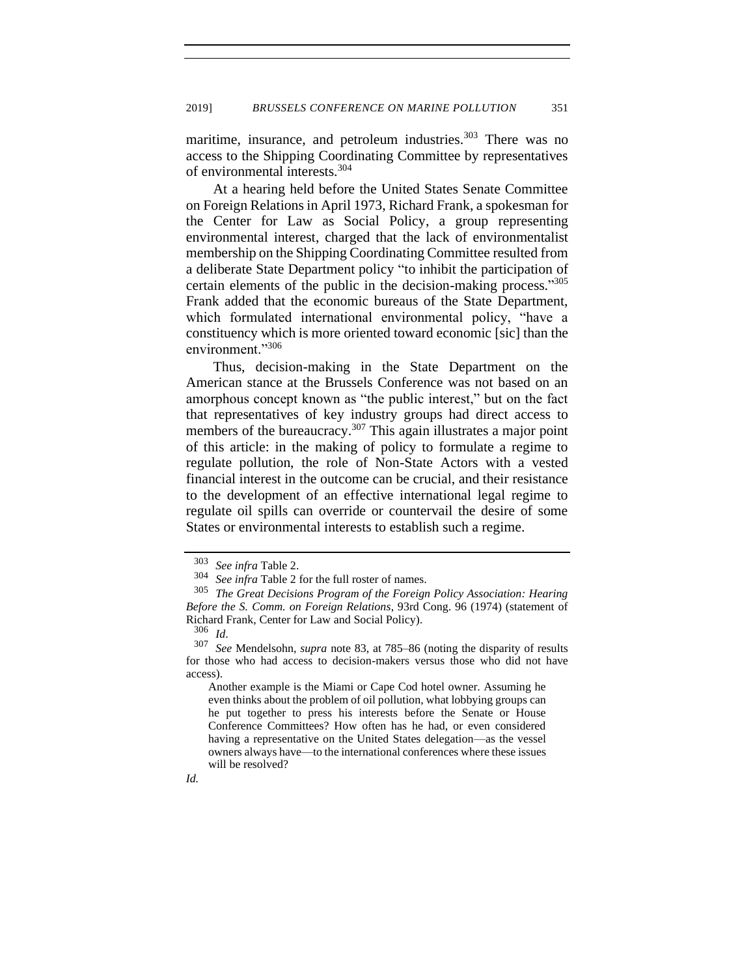maritime, insurance, and petroleum industries.<sup>303</sup> There was no access to the Shipping Coordinating Committee by representatives of environmental interests.<sup>304</sup>

At a hearing held before the United States Senate Committee on Foreign Relations in April 1973, Richard Frank, a spokesman for the Center for Law as Social Policy, a group representing environmental interest, charged that the lack of environmentalist membership on the Shipping Coordinating Committee resulted from a deliberate State Department policy "to inhibit the participation of certain elements of the public in the decision-making process." 305 Frank added that the economic bureaus of the State Department, which formulated international environmental policy, "have a constituency which is more oriented toward economic [sic] than the environment."<sup>306</sup>

Thus, decision-making in the State Department on the American stance at the Brussels Conference was not based on an amorphous concept known as "the public interest," but on the fact that representatives of key industry groups had direct access to members of the bureaucracy.<sup>307</sup> This again illustrates a major point of this article: in the making of policy to formulate a regime to regulate pollution, the role of Non-State Actors with a vested financial interest in the outcome can be crucial, and their resistance to the development of an effective international legal regime to regulate oil spills can override or countervail the desire of some States or environmental interests to establish such a regime.

Another example is the Miami or Cape Cod hotel owner. Assuming he even thinks about the problem of oil pollution, what lobbying groups can he put together to press his interests before the Senate or House Conference Committees? How often has he had, or even considered having a representative on the United States delegation—as the vessel owners always have—to the international conferences where these issues will be resolved?

*Id.*

<sup>303</sup> *See infra* Table 2.

<sup>304</sup> *See infra* Table 2 for the full roster of names.

<sup>305</sup> *The Great Decisions Program of the Foreign Policy Association: Hearing Before the S. Comm. on Foreign Relations*, 93rd Cong. 96 (1974) (statement of Richard Frank, Center for Law and Social Policy).

 $\frac{306}{307}$  *Id.* 

See Mendelsohn, *supra* note 83, at 785–86 (noting the disparity of results for those who had access to decision-makers versus those who did not have access).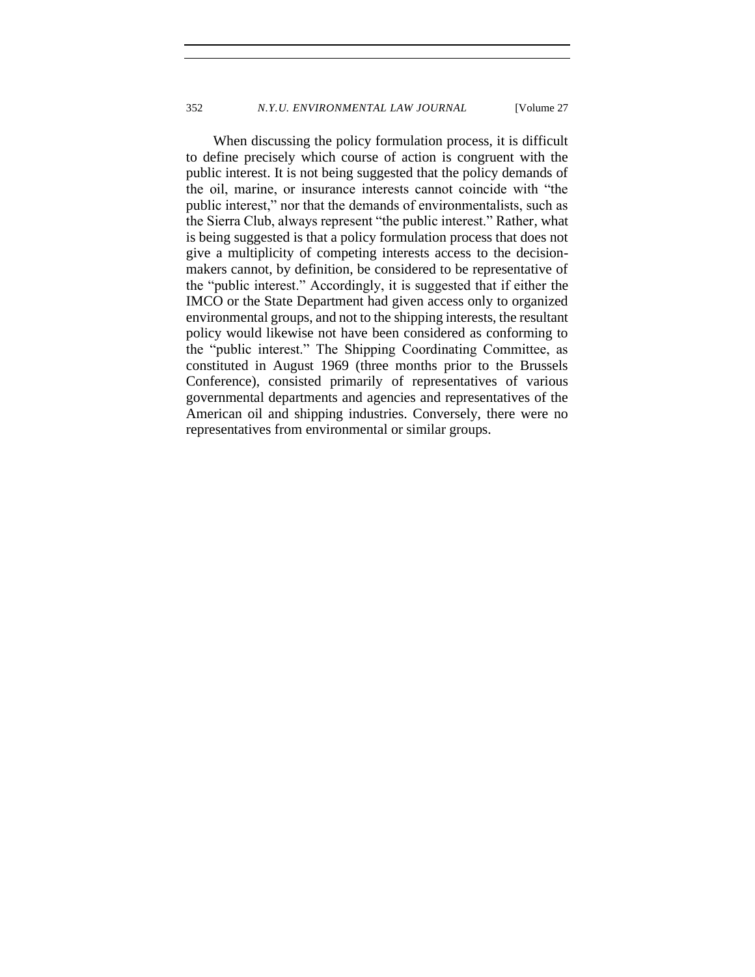When discussing the policy formulation process, it is difficult to define precisely which course of action is congruent with the public interest. It is not being suggested that the policy demands of the oil, marine, or insurance interests cannot coincide with "the public interest," nor that the demands of environmentalists, such as the Sierra Club, always represent "the public interest." Rather, what is being suggested is that a policy formulation process that does not give a multiplicity of competing interests access to the decisionmakers cannot, by definition, be considered to be representative of the "public interest." Accordingly, it is suggested that if either the IMCO or the State Department had given access only to organized environmental groups, and not to the shipping interests, the resultant policy would likewise not have been considered as conforming to the "public interest." The Shipping Coordinating Committee, as constituted in August 1969 (three months prior to the Brussels Conference), consisted primarily of representatives of various governmental departments and agencies and representatives of the American oil and shipping industries. Conversely, there were no representatives from environmental or similar groups.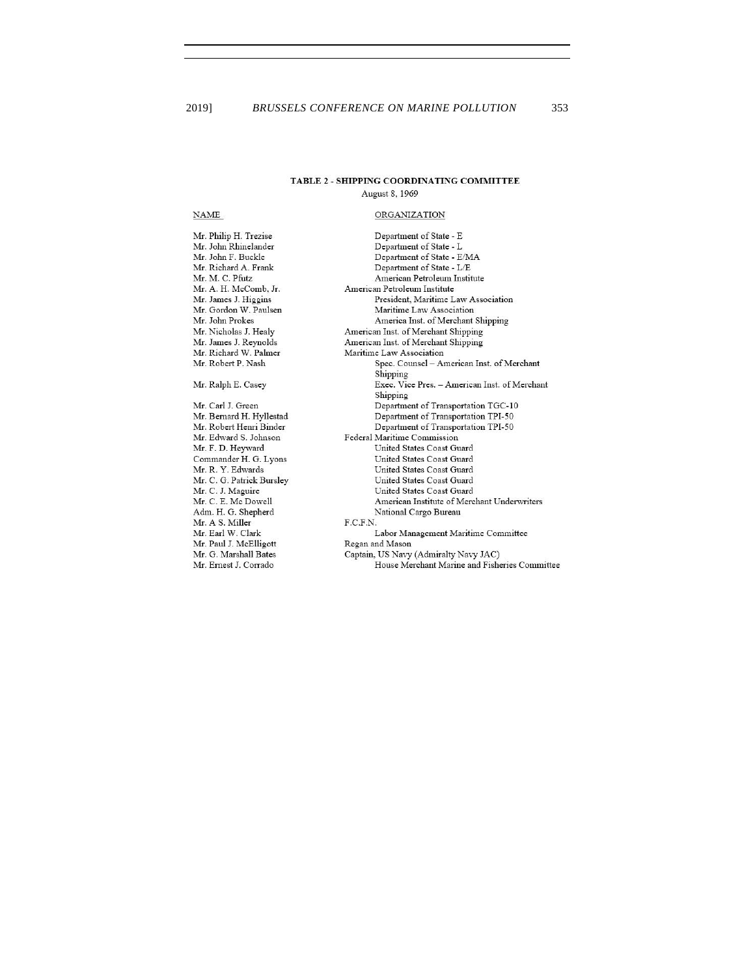#### TABLE 2 - SHIPPING COORDINATING COMMITTEE

August 8, 1969

#### **NAME**

Mr. Philip H. Trezise Mr. John Rhinelander Mr. John F. Buckle Mr. Richard A. Frank Mr. M. C. Pfutz Mr. A. H. McComb, Jr. Mr. James J. Higgins Mr. Gordon W. Paulsen Mr. John Prokes Mr. Nicholas J. Healy Mr. James J. Reynolds Mr. Richard W. Palmer Mr. Robert P. Nash Mr. Ralph E. Casey Mr. Carl J. Green Mr. Bernard H. Hyllestad Mr. Robert Henri Binder Mr. Edward S. Johnson Mr. F. D. Heyward Commander H. G. Lyons Mr. R. Y. Edwards Mr. C. G. Patrick Bursley Mr. C. J. Maguire Mr. C. E. Mc Dowell Adm. H. G. Shepherd Mr. A S. Miller Mr. Earl W. Clark Mr. Paul J. McElligott Mr. G. Marshall Bates Mr. Ernest J. Corrado

## **ORGANIZATION**

Department of State - E Department of State - L Department of State - E/MA Department of State - L/E American Petroleum Institute American Petroleum Institute President, Maritime Law Association Maritime Law Association America Inst. of Merchant Shipping American Inst. of Merchant Shipping American Inst. of Merchant Shipping Maritime Law Association Spec. Counsel - American Inst. of Merchant Shipping Exec. Vice Pres. - American Inst. of Merchant Shipping Department of Transportation TGC-10 Department of Transportation TPI-50 Department of Transportation TPI-50 Federal Maritime Commission United States Coast Guard United States Coast Guard United States Coast Guard United States Coast Guard United States Coast Guard American Institute of Merchant Underwriters National Cargo Bureau  $F.C.F.N.$ Labor Management Maritime Committee Regan and Mason Captain, US Navy (Admiralty Navy JAC) House Merchant Marine and Fisheries Committee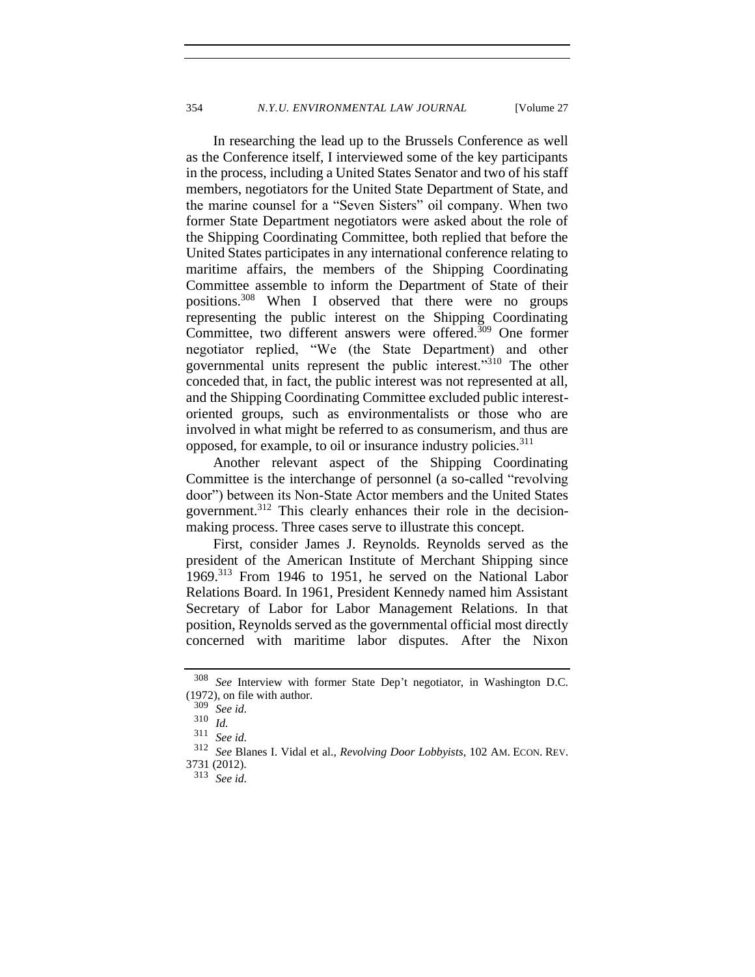In researching the lead up to the Brussels Conference as well as the Conference itself, I interviewed some of the key participants in the process, including a United States Senator and two of his staff members, negotiators for the United State Department of State, and the marine counsel for a "Seven Sisters" oil company. When two former State Department negotiators were asked about the role of the Shipping Coordinating Committee, both replied that before the United States participates in any international conference relating to maritime affairs, the members of the Shipping Coordinating Committee assemble to inform the Department of State of their positions.<sup>308</sup> When I observed that there were no groups representing the public interest on the Shipping Coordinating Committee, two different answers were offered.<sup>309</sup> One former negotiator replied, "We (the State Department) and other governmental units represent the public interest."310 The other conceded that, in fact, the public interest was not represented at all, and the Shipping Coordinating Committee excluded public interestoriented groups, such as environmentalists or those who are involved in what might be referred to as consumerism, and thus are opposed, for example, to oil or insurance industry policies.<sup>311</sup>

Another relevant aspect of the Shipping Coordinating Committee is the interchange of personnel (a so-called "revolving door") between its Non-State Actor members and the United States government.<sup>312</sup> This clearly enhances their role in the decisionmaking process. Three cases serve to illustrate this concept.

First, consider James J. Reynolds. Reynolds served as the president of the American Institute of Merchant Shipping since 1969.<sup>313</sup> From 1946 to 1951, he served on the National Labor Relations Board. In 1961, President Kennedy named him Assistant Secretary of Labor for Labor Management Relations. In that position, Reynolds served as the governmental official most directly concerned with maritime labor disputes. After the Nixon

<sup>308</sup> *See* Interview with former State Dep't negotiator, in Washington D.C. (1972), on file with author.

<sup>309</sup> *See id.*

<sup>310</sup> *Id.*

<sup>311</sup> *See id.*

<sup>312</sup> *See* Blanes I. Vidal et al., *Revolving Door Lobbyists*, 102 AM. ECON. REV.

<sup>3731 (2012).</sup>

<sup>313</sup> *See id.*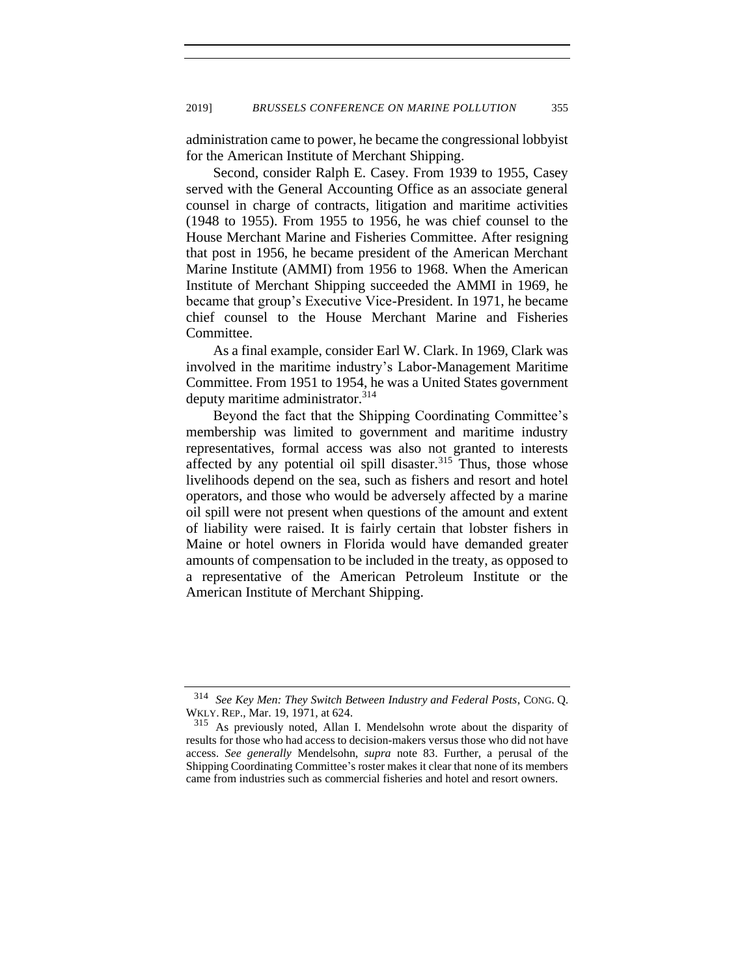administration came to power, he became the congressional lobbyist for the American Institute of Merchant Shipping.

Second, consider Ralph E. Casey. From 1939 to 1955, Casey served with the General Accounting Office as an associate general counsel in charge of contracts, litigation and maritime activities (1948 to 1955). From 1955 to 1956, he was chief counsel to the House Merchant Marine and Fisheries Committee. After resigning that post in 1956, he became president of the American Merchant Marine Institute (AMMI) from 1956 to 1968. When the American Institute of Merchant Shipping succeeded the AMMI in 1969, he became that group's Executive Vice-President. In 1971, he became chief counsel to the House Merchant Marine and Fisheries Committee.

As a final example, consider Earl W. Clark. In 1969, Clark was involved in the maritime industry's Labor-Management Maritime Committee. From 1951 to 1954, he was a United States government deputy maritime administrator.<sup>314</sup>

Beyond the fact that the Shipping Coordinating Committee's membership was limited to government and maritime industry representatives, formal access was also not granted to interests affected by any potential oil spill disaster.<sup>315</sup> Thus, those whose livelihoods depend on the sea, such as fishers and resort and hotel operators, and those who would be adversely affected by a marine oil spill were not present when questions of the amount and extent of liability were raised. It is fairly certain that lobster fishers in Maine or hotel owners in Florida would have demanded greater amounts of compensation to be included in the treaty, as opposed to a representative of the American Petroleum Institute or the American Institute of Merchant Shipping.

<sup>314</sup> *See Key Men: They Switch Between Industry and Federal Posts*, CONG. Q. WKLY. REP., Mar. 19, 1971, at 624.

<sup>&</sup>lt;sup>315</sup> As previously noted, Allan I. Mendelsohn wrote about the disparity of results for those who had access to decision-makers versus those who did not have access. *See generally* Mendelsohn, *supra* note [83.](#page-16-1) Further, a perusal of the Shipping Coordinating Committee's roster makes it clear that none of its members came from industries such as commercial fisheries and hotel and resort owners.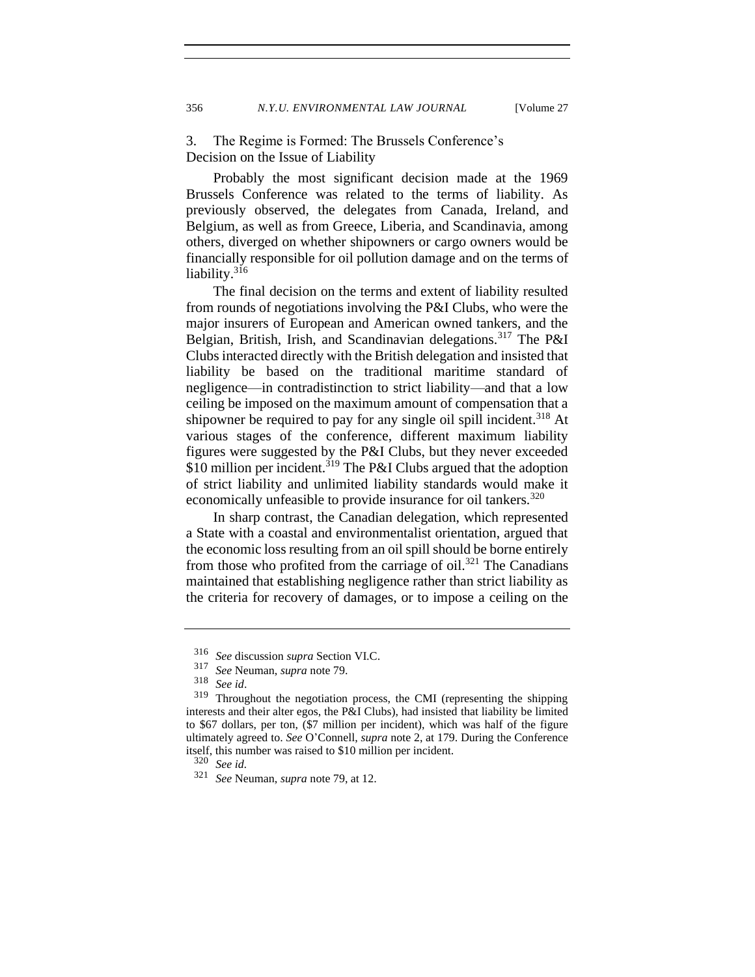3. The Regime is Formed: The Brussels Conference's Decision on the Issue of Liability

Probably the most significant decision made at the 1969 Brussels Conference was related to the terms of liability. As previously observed, the delegates from Canada, Ireland, and Belgium, as well as from Greece, Liberia, and Scandinavia, among others, diverged on whether shipowners or cargo owners would be financially responsible for oil pollution damage and on the terms of liability. $316$ 

The final decision on the terms and extent of liability resulted from rounds of negotiations involving the P&I Clubs, who were the major insurers of European and American owned tankers, and the Belgian, British, Irish, and Scandinavian delegations.<sup>317</sup> The P&I Clubs interacted directly with the British delegation and insisted that liability be based on the traditional maritime standard of negligence—in contradistinction to strict liability—and that a low ceiling be imposed on the maximum amount of compensation that a shipowner be required to pay for any single oil spill incident.<sup>318</sup> At various stages of the conference, different maximum liability figures were suggested by the P&I Clubs, but they never exceeded \$10 million per incident.<sup>319</sup> The P&I Clubs argued that the adoption of strict liability and unlimited liability standards would make it economically unfeasible to provide insurance for oil tankers.<sup>320</sup>

In sharp contrast, the Canadian delegation, which represented a State with a coastal and environmentalist orientation, argued that the economic loss resulting from an oil spill should be borne entirely from those who profited from the carriage of oil.<sup>321</sup> The Canadians maintained that establishing negligence rather than strict liability as the criteria for recovery of damages, or to impose a ceiling on the

<sup>316</sup> *See* discussion *supra* Section VI.C.

<sup>317</sup> *See* Neuman, *supra* note [79.](#page-16-0)

<sup>318</sup> *See id*.

<sup>319</sup> Throughout the negotiation process, the CMI (representing the shipping interests and their alter egos, the P&I Clubs), had insisted that liability be limited to \$67 dollars, per ton, (\$7 million per incident), which was half of the figure ultimately agreed to. *See* O'Connell, *supra* not[e 2,](#page-2-0) at 179. During the Conference itself, this number was raised to \$10 million per incident.<br> $\frac{320}{2}$  See id

<sup>320</sup> *See id.*

<sup>321</sup> *See* Neuman, *supra* note [79,](#page-16-0) at 12.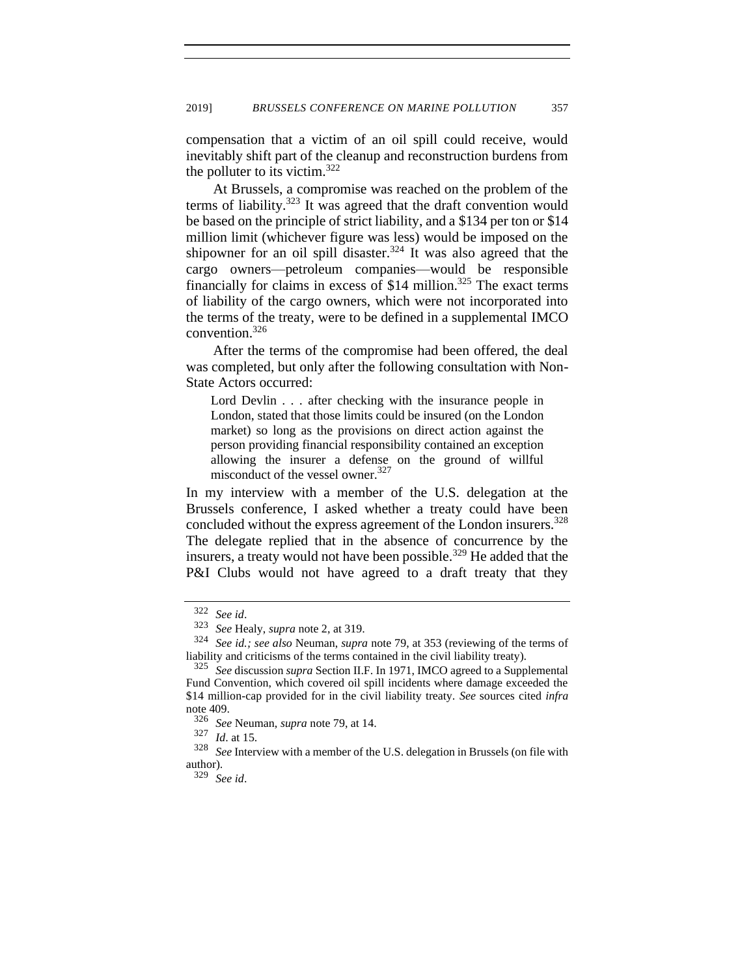compensation that a victim of an oil spill could receive, would inevitably shift part of the cleanup and reconstruction burdens from the polluter to its victim.<sup>322</sup>

At Brussels, a compromise was reached on the problem of the terms of liability.<sup>323</sup> It was agreed that the draft convention would be based on the principle of strict liability, and a \$134 per ton or \$14 million limit (whichever figure was less) would be imposed on the shipowner for an oil spill disaster.<sup>324</sup> It was also agreed that the cargo owners—petroleum companies—would be responsible financially for claims in excess of  $$14$  million.<sup>325</sup> The exact terms of liability of the cargo owners, which were not incorporated into the terms of the treaty, were to be defined in a supplemental IMCO convention.<sup>326</sup>

After the terms of the compromise had been offered, the deal was completed, but only after the following consultation with Non-State Actors occurred:

Lord Devlin . . . after checking with the insurance people in London, stated that those limits could be insured (on the London market) so long as the provisions on direct action against the person providing financial responsibility contained an exception allowing the insurer a defense on the ground of willful misconduct of the vessel owner.<sup>327</sup>

In my interview with a member of the U.S. delegation at the Brussels conference, I asked whether a treaty could have been concluded without the express agreement of the London insurers.<sup>328</sup> The delegate replied that in the absence of concurrence by the insurers, a treaty would not have been possible.<sup>329</sup> He added that the P&I Clubs would not have agreed to a draft treaty that they

<sup>322</sup> *See id*.

<sup>323</sup> *See* Healy, *supra* not[e 2,](#page-2-0) at 319.

<sup>324</sup> *See id.; see also* Neuman, *supra* note [79,](#page-16-0) at 353 (reviewing of the terms of liability and criticisms of the terms contained in the civil liability treaty).

<sup>325</sup> *See* discussion *supra* Section II.F. In 1971, IMCO agreed to a Supplemental Fund Convention, which covered oil spill incidents where damage exceeded the \$14 million-cap provided for in the civil liability treaty. *See* sources cited *infra* not[e 409.](#page-74-0)

<sup>326</sup> *See* Neuman, *supra* note [79,](#page-16-0) at 14.

 $\frac{327}{328}$  *Id.* at 15.

See Interview with a member of the U.S. delegation in Brussels (on file with author).

<sup>329</sup> *See id*.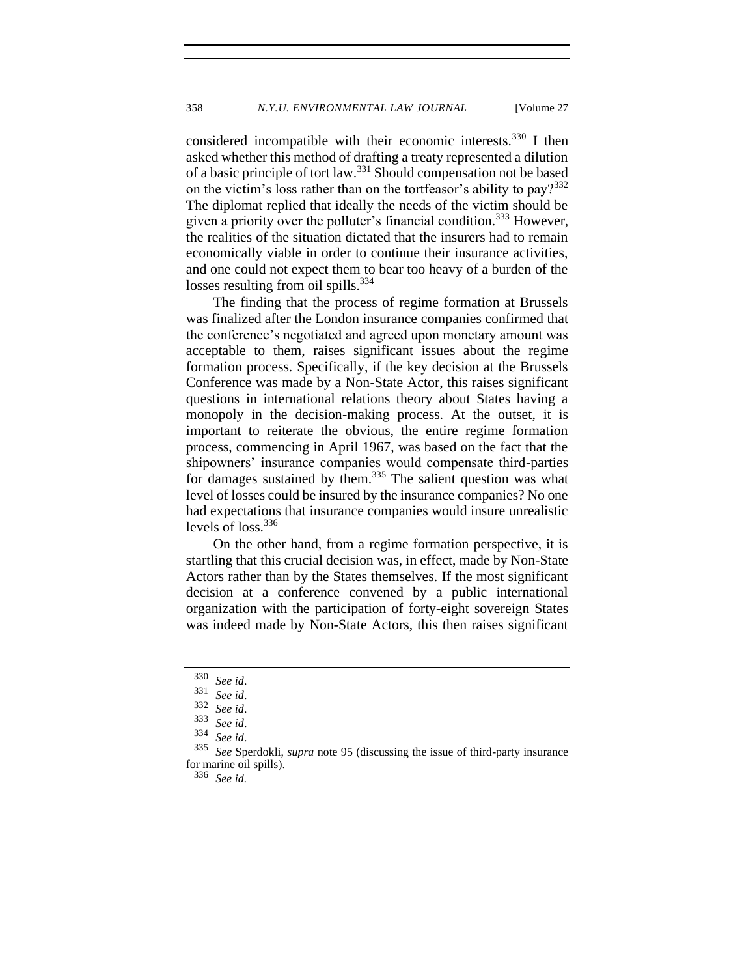considered incompatible with their economic interests.<sup>330</sup> I then asked whether this method of drafting a treaty represented a dilution of a basic principle of tort law.<sup>331</sup> Should compensation not be based on the victim's loss rather than on the tortfeasor's ability to pay? $332$ The diplomat replied that ideally the needs of the victim should be given a priority over the polluter's financial condition.<sup>333</sup> However, the realities of the situation dictated that the insurers had to remain economically viable in order to continue their insurance activities, and one could not expect them to bear too heavy of a burden of the losses resulting from oil spills. $334$ 

The finding that the process of regime formation at Brussels was finalized after the London insurance companies confirmed that the conference's negotiated and agreed upon monetary amount was acceptable to them, raises significant issues about the regime formation process. Specifically, if the key decision at the Brussels Conference was made by a Non-State Actor, this raises significant questions in international relations theory about States having a monopoly in the decision-making process. At the outset, it is important to reiterate the obvious, the entire regime formation process, commencing in April 1967, was based on the fact that the shipowners' insurance companies would compensate third-parties for damages sustained by them.<sup>335</sup> The salient question was what level of losses could be insured by the insurance companies? No one had expectations that insurance companies would insure unrealistic levels of  $loss.<sup>336</sup>$ 

On the other hand, from a regime formation perspective, it is startling that this crucial decision was, in effect, made by Non-State Actors rather than by the States themselves. If the most significant decision at a conference convened by a public international organization with the participation of forty-eight sovereign States was indeed made by Non-State Actors, this then raises significant

<sup>336</sup> *See id.*

<sup>330</sup> *See id*.

<sup>331</sup> *See id*.

<sup>332</sup> *See id*.

<sup>333</sup> *See id*.

<sup>334</sup> *See id*.

<sup>335</sup> *See* Sperdokli, *supra* note [95](#page-18-0) (discussing the issue of third-party insurance for marine oil spills).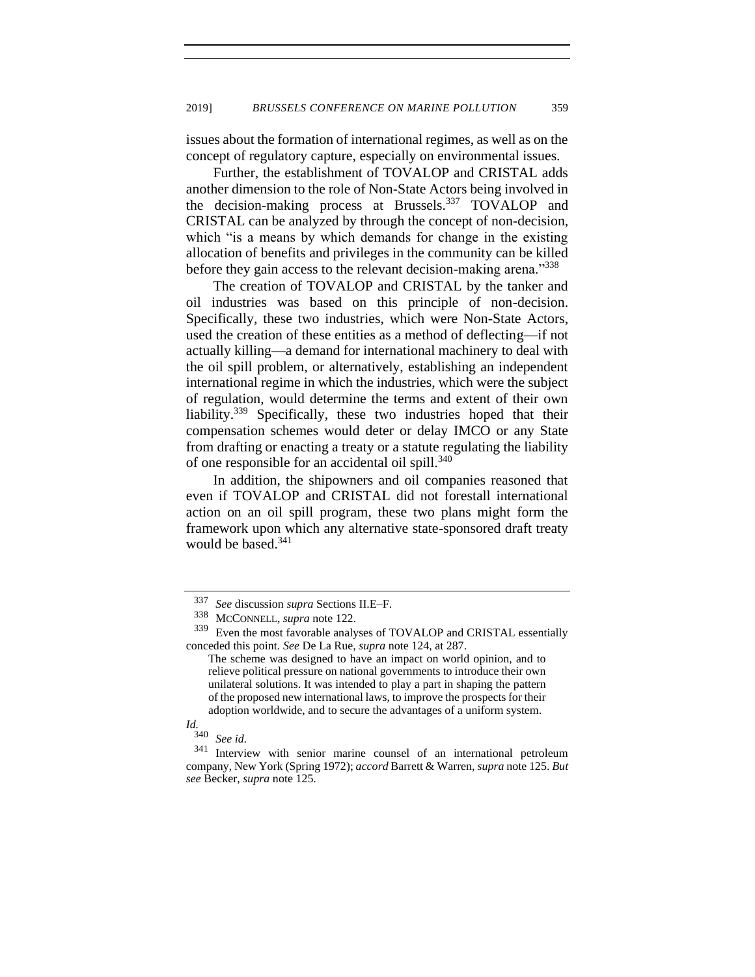issues about the formation of international regimes, as well as on the concept of regulatory capture, especially on environmental issues.

Further, the establishment of TOVALOP and CRISTAL adds another dimension to the role of Non-State Actors being involved in the decision-making process at Brussels.<sup>337</sup> TOVALOP and CRISTAL can be analyzed by through the concept of non-decision, which "is a means by which demands for change in the existing allocation of benefits and privileges in the community can be killed before they gain access to the relevant decision-making arena."<sup>338</sup>

The creation of TOVALOP and CRISTAL by the tanker and oil industries was based on this principle of non-decision. Specifically, these two industries, which were Non-State Actors, used the creation of these entities as a method of deflecting—if not actually killing—a demand for international machinery to deal with the oil spill problem, or alternatively, establishing an independent international regime in which the industries, which were the subject of regulation, would determine the terms and extent of their own liability.<sup>339</sup> Specifically, these two industries hoped that their compensation schemes would deter or delay IMCO or any State from drafting or enacting a treaty or a statute regulating the liability of one responsible for an accidental oil spill.<sup>340</sup>

In addition, the shipowners and oil companies reasoned that even if TOVALOP and CRISTAL did not forestall international action on an oil spill program, these two plans might form the framework upon which any alternative state-sponsored draft treaty would be based.<sup>341</sup>

# *Id.*

<sup>337</sup> *See* discussion *supra* Sections II.E–F.

<sup>&</sup>lt;sup>338</sup> MCCONNELL, *supra* not[e 122.](#page-23-0)<br><sup>339</sup> Even the most favorable analy

Even the most favorable analyses of TOVALOP and CRISTAL essentially conceded this point. *See* De La Rue, *supra* note [124,](#page-23-1) at 287.

The scheme was designed to have an impact on world opinion, and to relieve political pressure on national governments to introduce their own unilateral solutions. It was intended to play a part in shaping the pattern of the proposed new international laws, to improve the prospects for their adoption worldwide, and to secure the advantages of a uniform system.

See id.

<sup>341</sup> Interview with senior marine counsel of an international petroleum company, New York (Spring 1972); *accord* Barrett & Warren, *supra* not[e 125.](#page-24-0) *But see* Becker, *supra* note [125.](#page-24-0)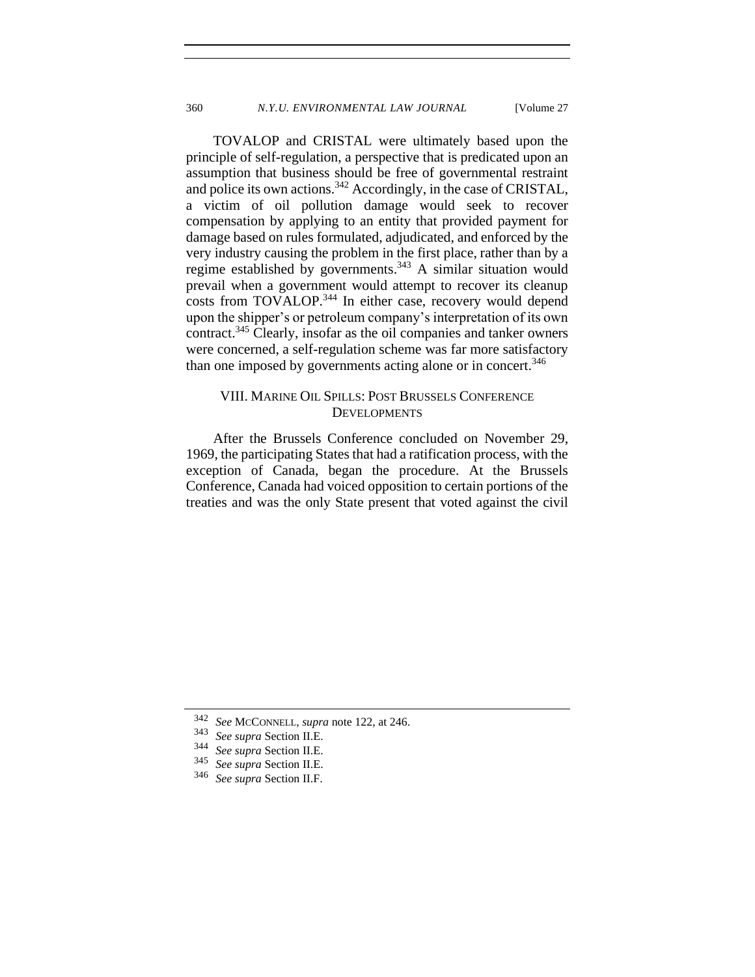TOVALOP and CRISTAL were ultimately based upon the principle of self-regulation, a perspective that is predicated upon an assumption that business should be free of governmental restraint and police its own actions.<sup>342</sup> Accordingly, in the case of CRISTAL, a victim of oil pollution damage would seek to recover compensation by applying to an entity that provided payment for damage based on rules formulated, adjudicated, and enforced by the very industry causing the problem in the first place, rather than by a regime established by governments.<sup>343</sup> A similar situation would prevail when a government would attempt to recover its cleanup costs from TOVALOP.<sup>344</sup> In either case, recovery would depend upon the shipper's or petroleum company's interpretation of its own contract.<sup>345</sup> Clearly, insofar as the oil companies and tanker owners were concerned, a self-regulation scheme was far more satisfactory than one imposed by governments acting alone or in concert.<sup>346</sup>

# VIII. MARINE OIL SPILLS: POST BRUSSELS CONFERENCE **DEVELOPMENTS**

After the Brussels Conference concluded on November 29, 1969, the participating States that had a ratification process, with the exception of Canada, began the procedure. At the Brussels Conference, Canada had voiced opposition to certain portions of the treaties and was the only State present that voted against the civil

<sup>342</sup> *See* MCCONNELL, *supra* note [122,](#page-23-0) at 246.

<sup>343</sup> *See supra* Section II.E.

<sup>344</sup> *See supra* Section II.E.

<sup>345</sup> *See supra* Section II.E.

See supra Section II.F.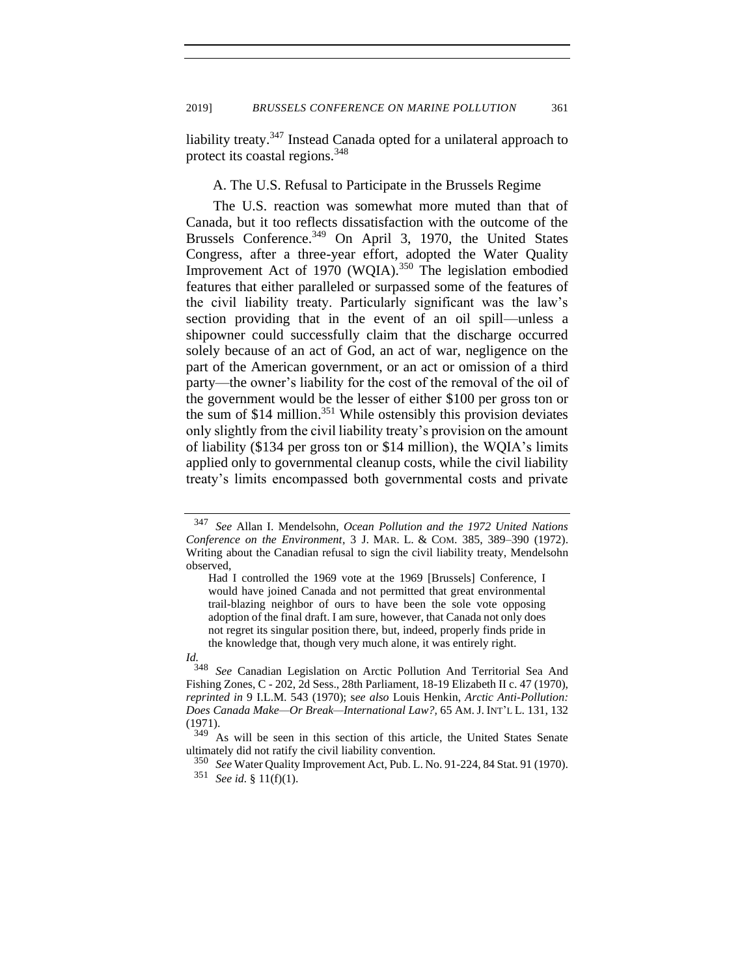liability treaty.<sup>347</sup> Instead Canada opted for a unilateral approach to protect its coastal regions.<sup>348</sup>

#### A. The U.S. Refusal to Participate in the Brussels Regime

The U.S. reaction was somewhat more muted than that of Canada, but it too reflects dissatisfaction with the outcome of the Brussels Conference.<sup>349</sup> On April 3, 1970, the United States Congress, after a three-year effort, adopted the Water Quality Improvement Act of 1970 (WQIA).<sup>350</sup> The legislation embodied features that either paralleled or surpassed some of the features of the civil liability treaty. Particularly significant was the law's section providing that in the event of an oil spill—unless a shipowner could successfully claim that the discharge occurred solely because of an act of God, an act of war, negligence on the part of the American government, or an act or omission of a third party—the owner's liability for the cost of the removal of the oil of the government would be the lesser of either \$100 per gross ton or the sum of \$14 million. <sup>351</sup> While ostensibly this provision deviates only slightly from the civil liability treaty's provision on the amount of liability (\$134 per gross ton or \$14 million), the WQIA's limits applied only to governmental cleanup costs, while the civil liability treaty's limits encompassed both governmental costs and private

<sup>347</sup> *See* Allan I. Mendelsohn, *Ocean Pollution and the 1972 United Nations Conference on the Environment*, 3 J. MAR. L. & COM. 385, 389–390 (1972). Writing about the Canadian refusal to sign the civil liability treaty, Mendelsohn observed,

Had I controlled the 1969 vote at the 1969 [Brussels] Conference, I would have joined Canada and not permitted that great environmental trail-blazing neighbor of ours to have been the sole vote opposing adoption of the final draft. I am sure, however, that Canada not only does not regret its singular position there, but, indeed, properly finds pride in the knowledge that, though very much alone, it was entirely right.

*Id.*

<sup>348</sup> *See* Canadian Legislation on Arctic Pollution And Territorial Sea And Fishing Zones, C - 202, 2d Sess., 28th Parliament, 18-19 Elizabeth II c. 47 (1970), *reprinted in* 9 I.L.M. 543 (1970); s*ee also* Louis Henkin, *Arctic Anti-Pollution: Does Canada Make—Or Break—International Law?,* 65 AM.J. INT'L L. 131, 132 (1971).

<sup>&</sup>lt;sup>349</sup> As will be seen in this section of this article, the United States Senate ultimately did not ratify the civil liability convention.

<sup>350</sup> *See* Water Quality Improvement Act, Pub. L. No. 91-224, 84 Stat. 91 (1970). <sup>351</sup> *See id.* § 11(f)(1).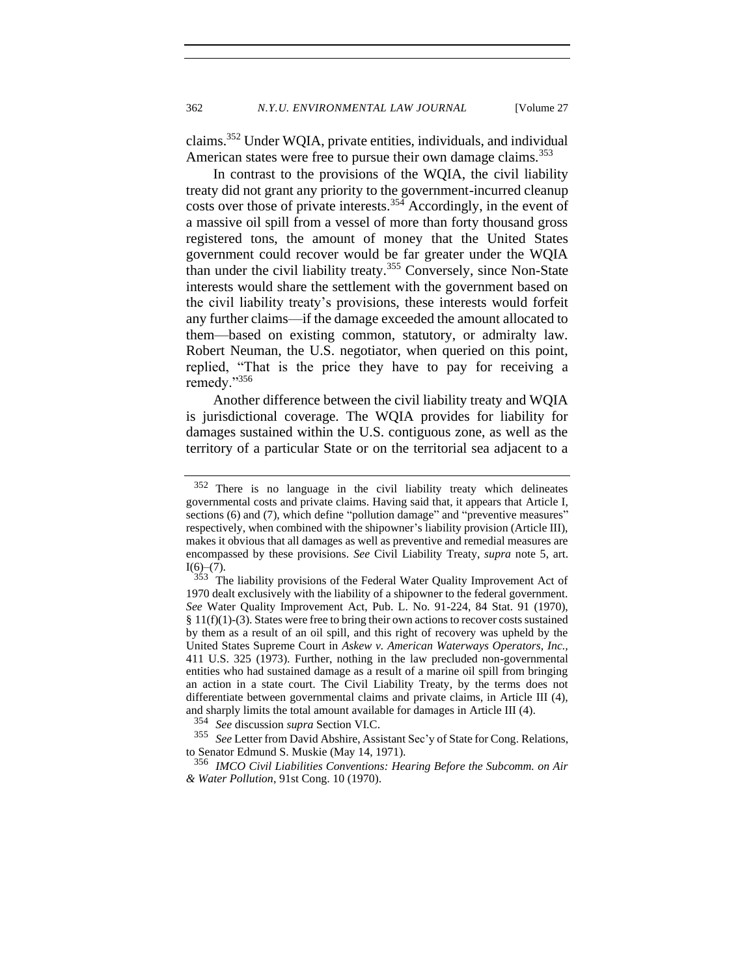claims.<sup>352</sup> Under WQIA, private entities, individuals, and individual American states were free to pursue their own damage claims.<sup>353</sup>

In contrast to the provisions of the WQIA, the civil liability treaty did not grant any priority to the government-incurred cleanup costs over those of private interests.<sup>354</sup> Accordingly, in the event of a massive oil spill from a vessel of more than forty thousand gross registered tons, the amount of money that the United States government could recover would be far greater under the WQIA than under the civil liability treaty.<sup>355</sup> Conversely, since Non-State interests would share the settlement with the government based on the civil liability treaty's provisions, these interests would forfeit any further claims—if the damage exceeded the amount allocated to them—based on existing common, statutory, or admiralty law. Robert Neuman, the U.S. negotiator, when queried on this point, replied, "That is the price they have to pay for receiving a remedy."356

Another difference between the civil liability treaty and WQIA is jurisdictional coverage. The WQIA provides for liability for damages sustained within the U.S. contiguous zone, as well as the territory of a particular State or on the territorial sea adjacent to a

<sup>352</sup> There is no language in the civil liability treaty which delineates governmental costs and private claims. Having said that, it appears that Article I, sections (6) and (7), which define "pollution damage" and "preventive measures" respectively, when combined with the shipowner's liability provision (Article III), makes it obvious that all damages as well as preventive and remedial measures are encompassed by these provisions. *See* Civil Liability Treaty, *supra* note [5,](#page-2-2) art.  $\frac{I(6)-(7)}{353}$ .

The liability provisions of the Federal Water Quality Improvement Act of 1970 dealt exclusively with the liability of a shipowner to the federal government. *See* Water Quality Improvement Act, Pub. L. No. 91-224, 84 Stat. 91 (1970), § 11(f)(1)-(3). States were free to bring their own actions to recover costs sustained by them as a result of an oil spill, and this right of recovery was upheld by the United States Supreme Court in *Askew v. American Waterways Operators, Inc.,*  411 U.S. 325 (1973). Further, nothing in the law precluded non-governmental entities who had sustained damage as a result of a marine oil spill from bringing an action in a state court. The Civil Liability Treaty, by the terms does not differentiate between governmental claims and private claims, in Article III (4), and sharply limits the total amount available for damages in Article III (4).

<sup>&</sup>lt;sup>354</sup> *See* discussion *supra* Section VI.C.<br><sup>355</sup> See I etter from David Abshire Ass.

See Letter from David Abshire, Assistant Sec'y of State for Cong. Relations, to Senator Edmund S. Muskie (May 14, 1971).

<sup>356</sup> *IMCO Civil Liabilities Conventions: Hearing Before the Subcomm. on Air & Water Pollution*, 91st Cong. 10 (1970).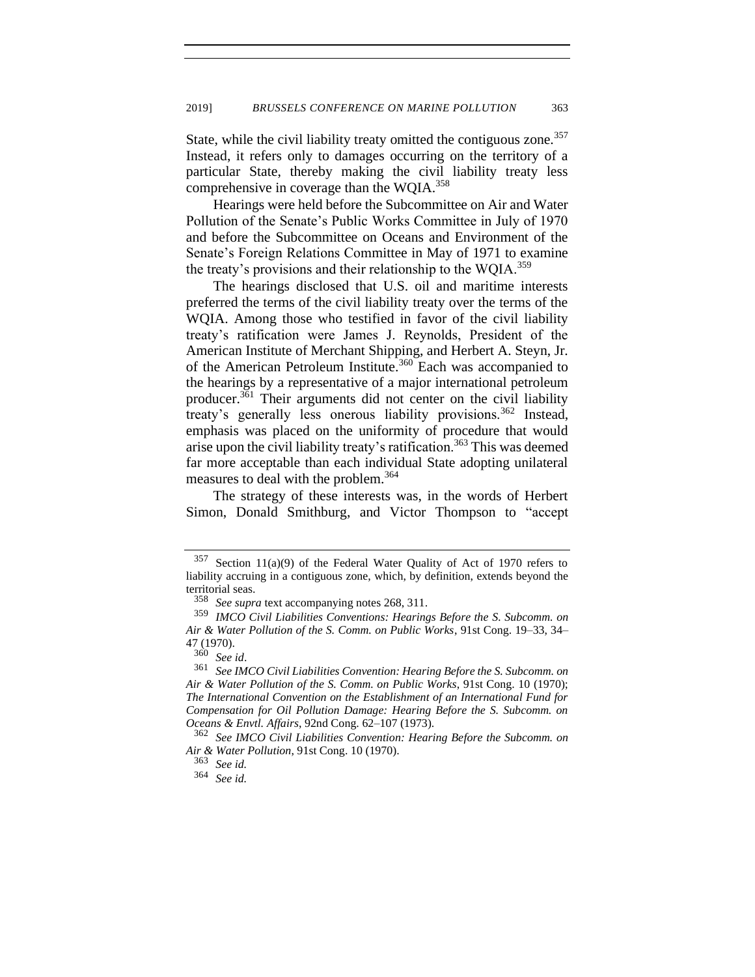State, while the civil liability treaty omitted the contiguous zone.<sup>357</sup> Instead, it refers only to damages occurring on the territory of a particular State, thereby making the civil liability treaty less comprehensive in coverage than the WQIA.<sup>358</sup>

Hearings were held before the Subcommittee on Air and Water Pollution of the Senate's Public Works Committee in July of 1970 and before the Subcommittee on Oceans and Environment of the Senate's Foreign Relations Committee in May of 1971 to examine the treaty's provisions and their relationship to the WQIA. $^{359}$ 

The hearings disclosed that U.S. oil and maritime interests preferred the terms of the civil liability treaty over the terms of the WQIA. Among those who testified in favor of the civil liability treaty's ratification were James J. Reynolds, President of the American Institute of Merchant Shipping, and Herbert A. Steyn, Jr. of the American Petroleum Institute.<sup>360</sup> Each was accompanied to the hearings by a representative of a major international petroleum producer.<sup>361</sup> Their arguments did not center on the civil liability treaty's generally less onerous liability provisions.<sup>362</sup> Instead, emphasis was placed on the uniformity of procedure that would arise upon the civil liability treaty's ratification.<sup>363</sup> This was deemed far more acceptable than each individual State adopting unilateral measures to deal with the problem.<sup>364</sup>

The strategy of these interests was, in the words of Herbert Simon, Donald Smithburg, and Victor Thompson to "accept

 $357$  Section 11(a)(9) of the Federal Water Quality of Act of 1970 refers to liability accruing in a contiguous zone, which, by definition, extends beyond the territorial seas.

<sup>358</sup> *See supra* text accompanying notes 268, 311.

<sup>359</sup> *IMCO Civil Liabilities Conventions: Hearings Before the S. Subcomm. on Air & Water Pollution of the S. Comm. on Public Works*, 91st Cong. 19–33, 34– 47 (1970).

<sup>360</sup> *See id*.

<sup>361</sup> *See IMCO Civil Liabilities Convention: Hearing Before the S. Subcomm. on Air & Water Pollution of the S. Comm. on Public Works*, 91st Cong. 10 (1970); *The International Convention on the Establishment of an International Fund for Compensation for Oil Pollution Damage: Hearing Before the S. Subcomm. on Oceans & Envtl. Affairs*, 92nd Cong. 62–107 (1973).

<sup>362</sup> *See IMCO Civil Liabilities Convention: Hearing Before the Subcomm. on Air & Water Pollution*, 91st Cong. 10 (1970).

<sup>363</sup> *See id.*

<sup>364</sup> *See id.*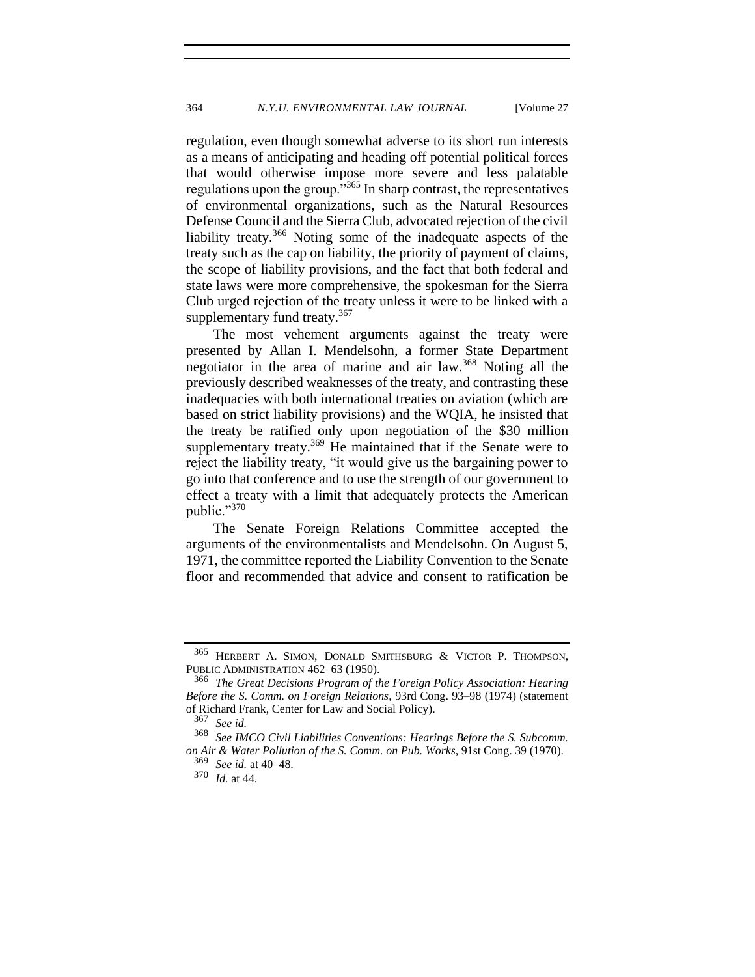regulation, even though somewhat adverse to its short run interests as a means of anticipating and heading off potential political forces that would otherwise impose more severe and less palatable regulations upon the group.<sup>3365</sup> In sharp contrast, the representatives of environmental organizations, such as the Natural Resources Defense Council and the Sierra Club, advocated rejection of the civil liability treaty.<sup>366</sup> Noting some of the inadequate aspects of the treaty such as the cap on liability, the priority of payment of claims, the scope of liability provisions, and the fact that both federal and state laws were more comprehensive, the spokesman for the Sierra Club urged rejection of the treaty unless it were to be linked with a supplementary fund treaty.<sup>367</sup>

The most vehement arguments against the treaty were presented by Allan I. Mendelsohn, a former State Department negotiator in the area of marine and air law.<sup>368</sup> Noting all the previously described weaknesses of the treaty, and contrasting these inadequacies with both international treaties on aviation (which are based on strict liability provisions) and the WQIA, he insisted that the treaty be ratified only upon negotiation of the \$30 million supplementary treaty.<sup>369</sup> He maintained that if the Senate were to reject the liability treaty, "it would give us the bargaining power to go into that conference and to use the strength of our government to effect a treaty with a limit that adequately protects the American public."370

The Senate Foreign Relations Committee accepted the arguments of the environmentalists and Mendelsohn. On August 5, 1971, the committee reported the Liability Convention to the Senate floor and recommended that advice and consent to ratification be

<sup>365</sup> HERBERT A. SIMON, DONALD SMITHSBURG & VICTOR P. THOMPSON, PUBLIC ADMINISTRATION 462–63 (1950).

<sup>366</sup> *The Great Decisions Program of the Foreign Policy Association: Hearing Before the S. Comm. on Foreign Relations*, 93rd Cong. 93–98 (1974) (statement of Richard Frank, Center for Law and Social Policy).

<sup>367</sup> *See id.*

<sup>368</sup> *See IMCO Civil Liabilities Conventions: Hearings Before the S. Subcomm. on Air & Water Pollution of the S. Comm. on Pub. Works*, 91st Cong. 39 (1970). <sup>369</sup> *See id.* at 40–48.

<sup>370</sup> *Id.* at 44.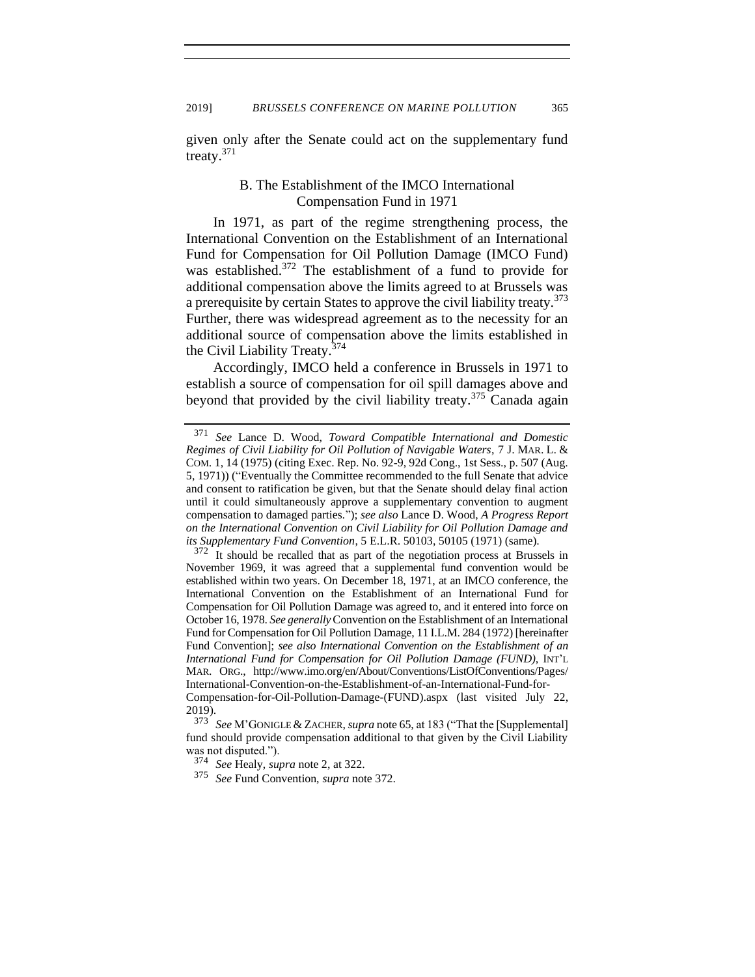given only after the Senate could act on the supplementary fund treaty. $371$ 

# <span id="page-66-0"></span>B. The Establishment of the IMCO International Compensation Fund in 1971

In 1971, as part of the regime strengthening process, the International Convention on the Establishment of an International Fund for Compensation for Oil Pollution Damage (IMCO Fund) was established.<sup>372</sup> The establishment of a fund to provide for additional compensation above the limits agreed to at Brussels was a prerequisite by certain States to approve the civil liability treaty.<sup>373</sup> Further, there was widespread agreement as to the necessity for an additional source of compensation above the limits established in the Civil Liability Treaty.<sup>374</sup>

Accordingly, IMCO held a conference in Brussels in 1971 to establish a source of compensation for oil spill damages above and beyond that provided by the civil liability treaty.<sup>375</sup> Canada again

<sup>371</sup> *See* Lance D. Wood, *Toward Compatible International and Domestic Regimes of Civil Liability for Oil Pollution of Navigable Waters*, 7 J. MAR. L. & COM. 1, 14 (1975) (citing Exec. Rep. No. 92-9, 92d Cong., 1st Sess., p. 507 (Aug. 5, 1971)) ("Eventually the Committee recommended to the full Senate that advice and consent to ratification be given, but that the Senate should delay final action until it could simultaneously approve a supplementary convention to augment compensation to damaged parties*.*"); *see also* Lance D. Wood, *A Progress Report on the International Convention on Civil Liability for Oil Pollution Damage and its Supplementary Fund Convention*, 5 E.L.R. 50103, 50105 (1971) (same).

<sup>&</sup>lt;sup>372</sup> It should be recalled that as part of the negotiation process at Brussels in November 1969, it was agreed that a supplemental fund convention would be established within two years. On December 18, 1971, at an IMCO conference, the International Convention on the Establishment of an International Fund for Compensation for Oil Pollution Damage was agreed to, and it entered into force on October 16, 1978. *See generally*Convention on the Establishment of an International Fund for Compensation for Oil Pollution Damage, 11 I.L.M. 284 (1972) [hereinafter Fund Convention]; *see also International Convention on the Establishment of an International Fund for Compensation for Oil Pollution Damage (FUND)*, INT'L MAR. ORG., http://www.imo.org/en/About/Conventions/ListOfConventions/Pages/ International-Convention-on-the-Establishment-of-an-International-Fund-for-

Compensation-for-Oil-Pollution-Damage-(FUND).aspx (last visited July 22, 2019).

<sup>373</sup> *See* M'GONIGLE & ZACHER, *supra* not[e 65,](#page-13-0) at 183 ("That the [Supplemental] fund should provide compensation additional to that given by the Civil Liability was not disputed.").

<sup>374</sup> *See* Healy, *supra* not[e 2,](#page-2-0) at 322.

<sup>375</sup> *See* Fund Convention, *supra* note [372.](#page-66-0)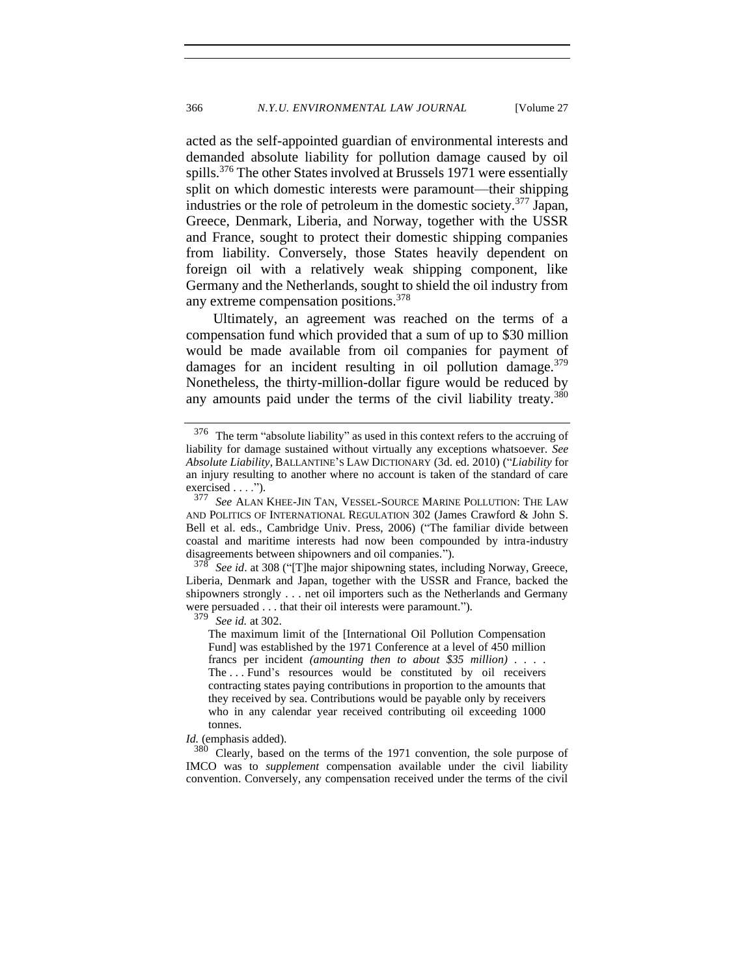<span id="page-67-0"></span>acted as the self-appointed guardian of environmental interests and demanded absolute liability for pollution damage caused by oil spills.<sup>376</sup> The other States involved at Brussels 1971 were essentially split on which domestic interests were paramount—their shipping industries or the role of petroleum in the domestic society.<sup>377</sup> Japan, Greece, Denmark, Liberia, and Norway, together with the USSR and France, sought to protect their domestic shipping companies from liability. Conversely, those States heavily dependent on foreign oil with a relatively weak shipping component, like Germany and the Netherlands, sought to shield the oil industry from any extreme compensation positions.<sup>378</sup>

Ultimately, an agreement was reached on the terms of a compensation fund which provided that a sum of up to \$30 million would be made available from oil companies for payment of damages for an incident resulting in oil pollution damage. $379$ Nonetheless, the thirty-million-dollar figure would be reduced by any amounts paid under the terms of the civil liability treaty.<sup>380</sup>

<sup>378</sup> *See id*. at 308 ("[T]he major shipowning states, including Norway, Greece, Liberia, Denmark and Japan, together with the USSR and France, backed the shipowners strongly . . . net oil importers such as the Netherlands and Germany were persuaded . . . that their oil interests were paramount.").<br> $379 \text{ S} \approx 14.4202$ 

See id. at 302.

The maximum limit of the [International Oil Pollution Compensation Fund] was established by the 1971 Conference at a level of 450 million francs per incident *(amounting then to about \$35 million) . . . .*  The . . . Fund's resources would be constituted by oil receivers contracting states paying contributions in proportion to the amounts that they received by sea. Contributions would be payable only by receivers who in any calendar year received contributing oil exceeding 1000 tonnes.

*Id.* (emphasis added).

 $380$  Clearly, based on the terms of the 1971 convention, the sole purpose of IMCO was to *supplement* compensation available under the civil liability convention. Conversely, any compensation received under the terms of the civil

<sup>376</sup> The term "absolute liability" as used in this context refers to the accruing of liability for damage sustained without virtually any exceptions whatsoever. *See Absolute Liability*, BALLANTINE'S LAW DICTIONARY (3d. ed. 2010) ("*Liability* for an injury resulting to another where no account is taken of the standard of care exercised  $\dots$ ").<br>377 See ALAN

See ALAN KHEE-JIN TAN, VESSEL-SOURCE MARINE POLLUTION: THE LAW AND POLITICS OF INTERNATIONAL REGULATION 302 (James Crawford & John S. Bell et al. eds., Cambridge Univ. Press, 2006) ("The familiar divide between coastal and maritime interests had now been compounded by intra-industry disagreements between shipowners and oil companies.").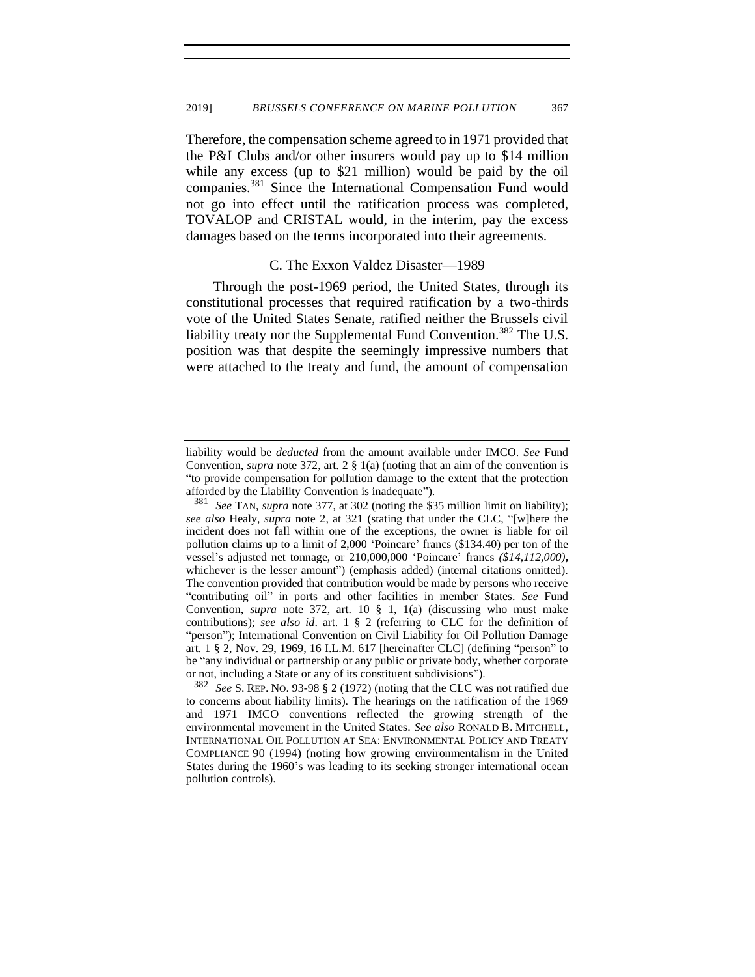<span id="page-68-0"></span>Therefore, the compensation scheme agreed to in 1971 provided that the P&I Clubs and/or other insurers would pay up to \$14 million while any excess (up to \$21 million) would be paid by the oil companies.<sup>381</sup> Since the International Compensation Fund would not go into effect until the ratification process was completed, TOVALOP and CRISTAL would, in the interim, pay the excess damages based on the terms incorporated into their agreements.

#### C. The Exxon Valdez Disaster—1989

Through the post-1969 period, the United States, through its constitutional processes that required ratification by a two-thirds vote of the United States Senate, ratified neither the Brussels civil liability treaty nor the Supplemental Fund Convention.<sup>382</sup> The U.S. position was that despite the seemingly impressive numbers that were attached to the treaty and fund, the amount of compensation

liability would be *deducted* from the amount available under IMCO. *See* Fund Convention, *supra* note [372,](#page-66-0) art. 2 § 1(a) (noting that an aim of the convention is "to provide compensation for pollution damage to the extent that the protection afforded by the Liability Convention is inadequate").

See TAN, *supra* note [377,](#page-67-0) at 302 (noting the \$35 million limit on liability); *see also* Healy, *supra* note [2,](#page-2-0) at 321 (stating that under the CLC, "[w]here the incident does not fall within one of the exceptions, the owner is liable for oil pollution claims up to a limit of 2,000 'Poincare' francs (\$134.40) per ton of the vessel's adjusted net tonnage, or 210,000,000 'Poincare' francs *(\$14,112,000)***,** whichever is the lesser amount") (emphasis added) (internal citations omitted). The convention provided that contribution would be made by persons who receive "contributing oil" in ports and other facilities in member States. *See* Fund Convention, *supra* note [372,](#page-66-0) art. 10 § 1, 1(a) (discussing who must make contributions); *see also id*. art. 1 § 2 (referring to CLC for the definition of "person"); International Convention on Civil Liability for Oil Pollution Damage art. 1 § 2, Nov. 29, 1969, 16 I.L.M. 617 [hereinafter CLC] (defining "person" to be "any individual or partnership or any public or private body, whether corporate or not, including a State or any of its constituent subdivisions").

<sup>382</sup> *See* S. REP. NO. 93-98 § 2 (1972) (noting that the CLC was not ratified due to concerns about liability limits). The hearings on the ratification of the 1969 and 1971 IMCO conventions reflected the growing strength of the environmental movement in the United States. *See also* RONALD B. MITCHELL, INTERNATIONAL OIL POLLUTION AT SEA: ENVIRONMENTAL POLICY AND TREATY COMPLIANCE 90 (1994) (noting how growing environmentalism in the United States during the 1960's was leading to its seeking stronger international ocean pollution controls).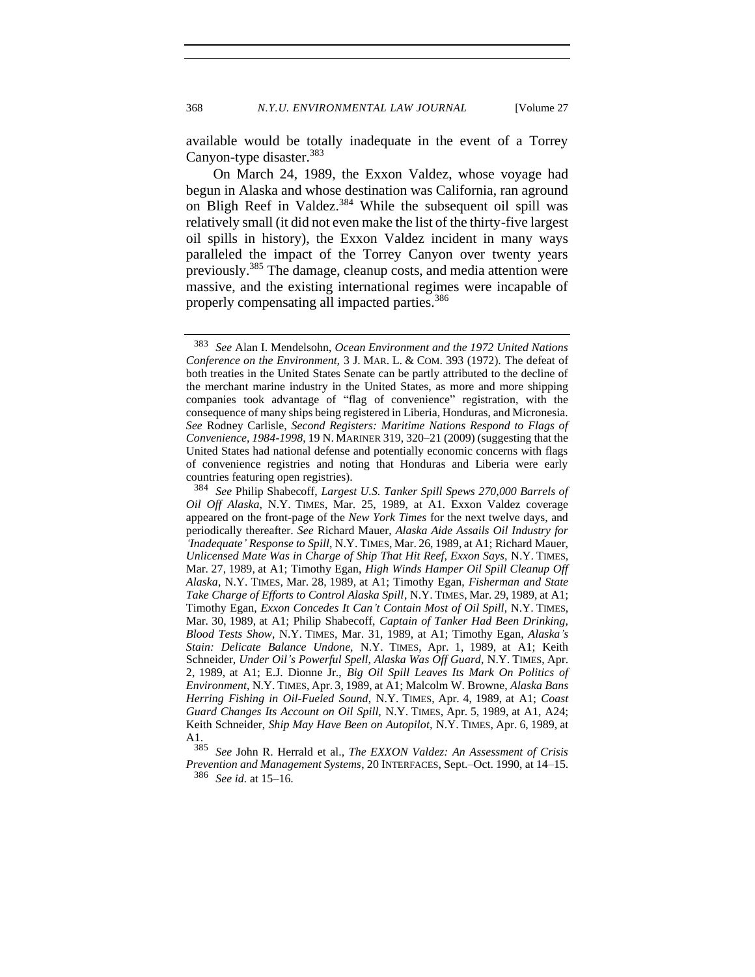available would be totally inadequate in the event of a Torrey Canyon-type disaster.<sup>383</sup>

On March 24, 1989, the Exxon Valdez, whose voyage had begun in Alaska and whose destination was California, ran aground on Bligh Reef in Valdez.<sup>384</sup> While the subsequent oil spill was relatively small (it did not even make the list of the thirty-five largest oil spills in history), the Exxon Valdez incident in many ways paralleled the impact of the Torrey Canyon over twenty years previously.<sup>385</sup> The damage, cleanup costs, and media attention were massive, and the existing international regimes were incapable of properly compensating all impacted parties.<sup>386</sup>

<span id="page-69-0"></span><sup>383</sup> *See* Alan I. Mendelsohn, *Ocean Environment and the 1972 United Nations Conference on the Environment,* 3 J. MAR. L. & COM. 393 (1972). The defeat of both treaties in the United States Senate can be partly attributed to the decline of the merchant marine industry in the United States, as more and more shipping companies took advantage of "flag of convenience" registration, with the consequence of many ships being registered in Liberia, Honduras, and Micronesia. *See* Rodney Carlisle, *Second Registers: Maritime Nations Respond to Flags of Convenience, 1984-1998*, 19 N. MARINER 319, 320–21 (2009) (suggesting that the United States had national defense and potentially economic concerns with flags of convenience registries and noting that Honduras and Liberia were early countries featuring open registries).

<sup>384</sup> *See* Philip Shabecoff, *Largest U.S. Tanker Spill Spews 270,000 Barrels of Oil Off Alaska*, N.Y. TIMES, Mar. 25, 1989, at A1. Exxon Valdez coverage appeared on the front-page of the *New York Times* for the next twelve days, and periodically thereafter. *See* Richard Mauer, *Alaska Aide Assails Oil Industry for 'Inadequate' Response to Spill*, N.Y. TIMES, Mar. 26, 1989, at A1; Richard Mauer, *Unlicensed Mate Was in Charge of Ship That Hit Reef, Exxon Says,* N.Y. TIMES, Mar. 27, 1989, at A1; Timothy Egan, *High Winds Hamper Oil Spill Cleanup Off Alaska*, N.Y. TIMES, Mar. 28, 1989, at A1; Timothy Egan, *Fisherman and State Take Charge of Efforts to Control Alaska Spill*, N.Y. TIMES, Mar. 29, 1989, at A1; Timothy Egan, *Exxon Concedes It Can't Contain Most of Oil Spill*, N.Y. TIMES, Mar. 30, 1989, at A1; Philip Shabecoff, *Captain of Tanker Had Been Drinking, Blood Tests Show*, N.Y. TIMES, Mar. 31, 1989, at A1; Timothy Egan, *Alaska's Stain: Delicate Balance Undone,* N.Y. TIMES, Apr. 1, 1989, at A1; Keith Schneider, *Under Oil's Powerful Spell, Alaska Was Off Guard*, N.Y. TIMES, Apr. 2, 1989, at A1; E.J. Dionne Jr., *Big Oil Spill Leaves Its Mark On Politics of Environment*, N.Y. TIMES, Apr. 3, 1989, at A1; Malcolm W. Browne, *Alaska Bans Herring Fishing in Oil-Fueled Sound*, N.Y. TIMES, Apr. 4, 1989, at A1; *Coast Guard Changes Its Account on Oil Spill,* N.Y. TIMES, Apr. 5, 1989, at A1, A24; Keith Schneider, *Ship May Have Been on Autopilot,* N.Y. TIMES, Apr. 6, 1989, at  $A_{385}^1$ 

<sup>385</sup> *See* John R. Herrald et al., *The EXXON Valdez: An Assessment of Crisis Prevention and Management Systems*, 20 INTERFACES, Sept.–Oct. 1990, at 14–15. <sup>386</sup> *See id.* at 15–16.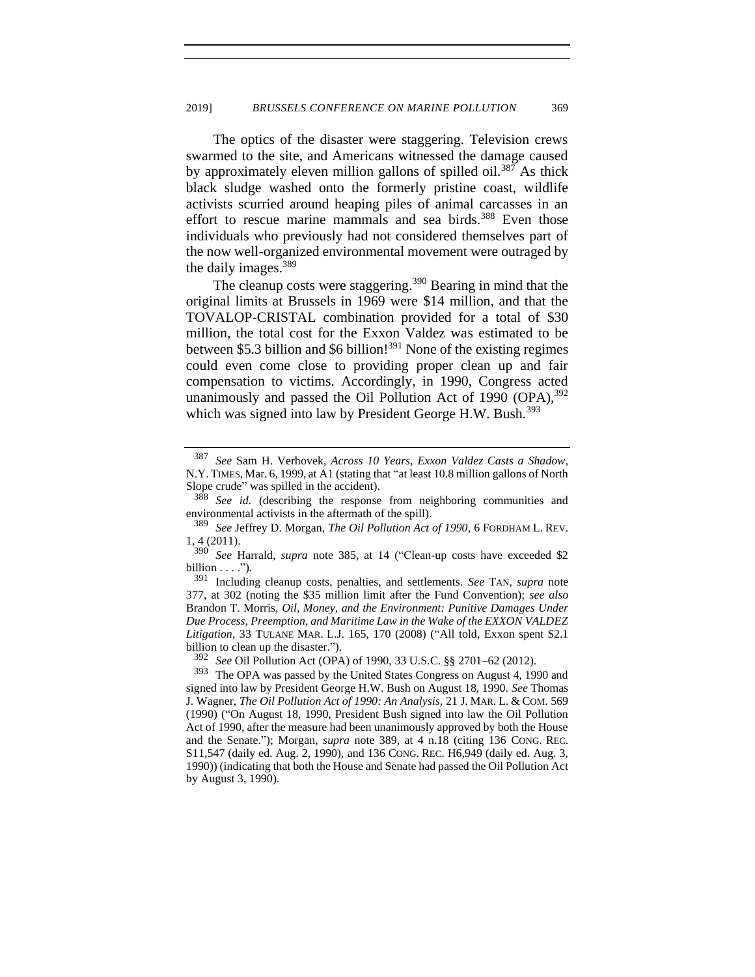The optics of the disaster were staggering. Television crews swarmed to the site, and Americans witnessed the damage caused by approximately eleven million gallons of spilled oil.<sup>387</sup> As thick black sludge washed onto the formerly pristine coast, wildlife activists scurried around heaping piles of animal carcasses in an effort to rescue marine mammals and sea birds.<sup>388</sup> Even those individuals who previously had not considered themselves part of the now well-organized environmental movement were outraged by the daily images.<sup>389</sup>

<span id="page-70-0"></span>The cleanup costs were staggering.<sup>390</sup> Bearing in mind that the original limits at Brussels in 1969 were \$14 million, and that the TOVALOP-CRISTAL combination provided for a total of \$30 million, the total cost for the Exxon Valdez was estimated to be between \$5.3 billion and \$6 billion!<sup>391</sup> None of the existing regimes could even come close to providing proper clean up and fair compensation to victims. Accordingly, in 1990, Congress acted unanimously and passed the Oil Pollution Act of 1990  $(OPA)_{0.5}^{392}$ which was signed into law by President George H.W. Bush.<sup>393</sup>

<sup>387</sup> *See* Sam H. Verhovek, *Across 10 Years, Exxon Valdez Casts a Shadow*, N.Y. TIMES, Mar. 6, 1999, at A1 (stating that "at least 10.8 million gallons of North Slope crude" was spilled in the accident).

<sup>&</sup>lt;sup>388</sup> *See id.* (describing the response from neighboring communities and environmental activists in the aftermath of the spill).

<sup>389</sup> *See* Jeffrey D. Morgan, *The Oil Pollution Act of 1990*, 6 FORDHAM L. REV. 1, 4 (2011).

<sup>390</sup> *See* Harrald, *supra* note [385,](#page-69-0) at 14 ("Clean-up costs have exceeded \$2 billion  $\dots$ .").

<sup>391</sup> Including cleanup costs, penalties, and settlements. *See* TAN, *supra* note [377,](#page-67-0) at 302 (noting the \$35 million limit after the Fund Convention); *see also* Brandon T. Morris, *Oil, Money, and the Environment: Punitive Damages Under Due Process, Preemption, and Maritime Law in the Wake of the EXXON VALDEZ Litigation*, 33 TULANE MAR. L.J. 165, 170 (2008) ("All told, Exxon spent \$2.1 billion to clean up the disaster.").

<sup>392</sup> *See* Oil Pollution Act (OPA) of 1990, 33 U.S.C. §§ 2701–62 (2012).

<sup>393</sup> The OPA was passed by the United States Congress on August 4, 1990 and signed into law by President George H.W. Bush on August 18, 1990. *See* Thomas J. Wagner, *The Oil Pollution Act of 1990: An Analysis,* 21 J. MAR. L. & COM. 569 (1990) ("On August 18, 1990, President Bush signed into law the Oil Pollution Act of 1990, after the measure had been unanimously approved by both the House and the Senate."); Morgan, *supra* note [389](#page-70-0)*,* at 4 n.18 (citing 136 CONG. REC. S11,547 (daily ed. Aug. 2, 1990), and 136 CONG. REC. H6,949 (daily ed. Aug. 3, 1990)) (indicating that both the House and Senate had passed the Oil Pollution Act by August 3, 1990).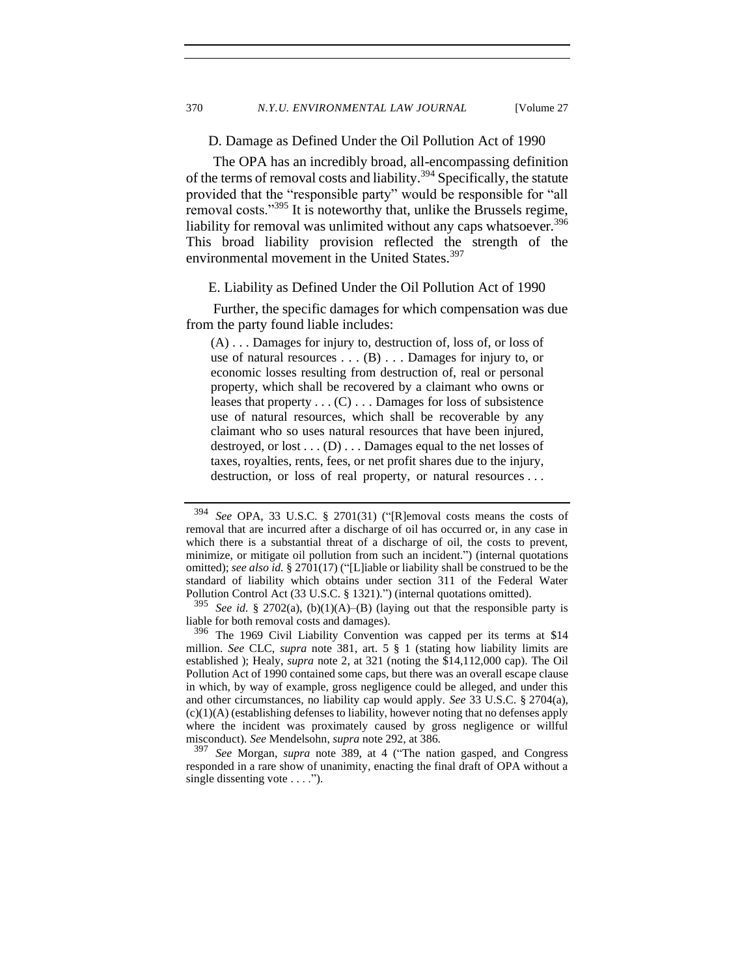D. Damage as Defined Under the Oil Pollution Act of 1990

The OPA has an incredibly broad, all-encompassing definition of the terms of removal costs and liability.<sup>394</sup> Specifically, the statute provided that the "responsible party" would be responsible for "all removal costs."<sup>395</sup> It is noteworthy that, unlike the Brussels regime, liability for removal was unlimited without any caps whatsoever.<sup>396</sup> This broad liability provision reflected the strength of the environmental movement in the United States.<sup>397</sup>

#### E. Liability as Defined Under the Oil Pollution Act of 1990

Further, the specific damages for which compensation was due from the party found liable includes:

(A) . . . Damages for injury to, destruction of, loss of, or loss of use of natural resources . . . (B) . . . Damages for injury to, or economic losses resulting from destruction of, real or personal property, which shall be recovered by a claimant who owns or leases that property  $\dots$  (C)  $\dots$  Damages for loss of subsistence use of natural resources, which shall be recoverable by any claimant who so uses natural resources that have been injured, destroyed, or lost . . . (D) . . . Damages equal to the net losses of taxes, royalties, rents, fees, or net profit shares due to the injury, destruction, or loss of real property, or natural resources . . .

<sup>394</sup> *See* OPA, 33 U.S.C. § 2701(31) ("[R]emoval costs means the costs of removal that are incurred after a discharge of oil has occurred or, in any case in which there is a substantial threat of a discharge of oil, the costs to prevent, minimize, or mitigate oil pollution from such an incident.") (internal quotations omitted); *see also id.* § 2701(17) ("[L]iable or liability shall be construed to be the standard of liability which obtains under section 311 of the Federal Water Pollution Control Act (33 U.S.C. § 1321).") (internal quotations omitted).

 $395$  *See id.* § 2702(a), (b)(1)(A)–(B) (laying out that the responsible party is liable for both removal costs and damages).

<sup>396</sup> The 1969 Civil Liability Convention was capped per its terms at \$14 million. *See* CLC, *supra* note [381,](#page-68-0) art. 5 § 1 (stating how liability limits are established ); Healy, *supra* note [2,](#page-2-0) at 321 (noting the \$14,112,000 cap). The Oil Pollution Act of 1990 contained some caps, but there was an overall escape clause in which, by way of example, gross negligence could be alleged, and under this and other circumstances, no liability cap would apply. *See* 33 U.S.C. § 2704(a), (c)(1)(A) (establishing defenses to liability, however noting that no defenses apply where the incident was proximately caused by gross negligence or willful misconduct). *See* Mendelsohn, *supra* not[e 292,](#page-50-0) at 386.

<sup>397</sup> *See* Morgan, *supra* note [389,](#page-70-0) at 4 ("The nation gasped, and Congress responded in a rare show of unanimity, enacting the final draft of OPA without a single dissenting vote  $\dots$ .").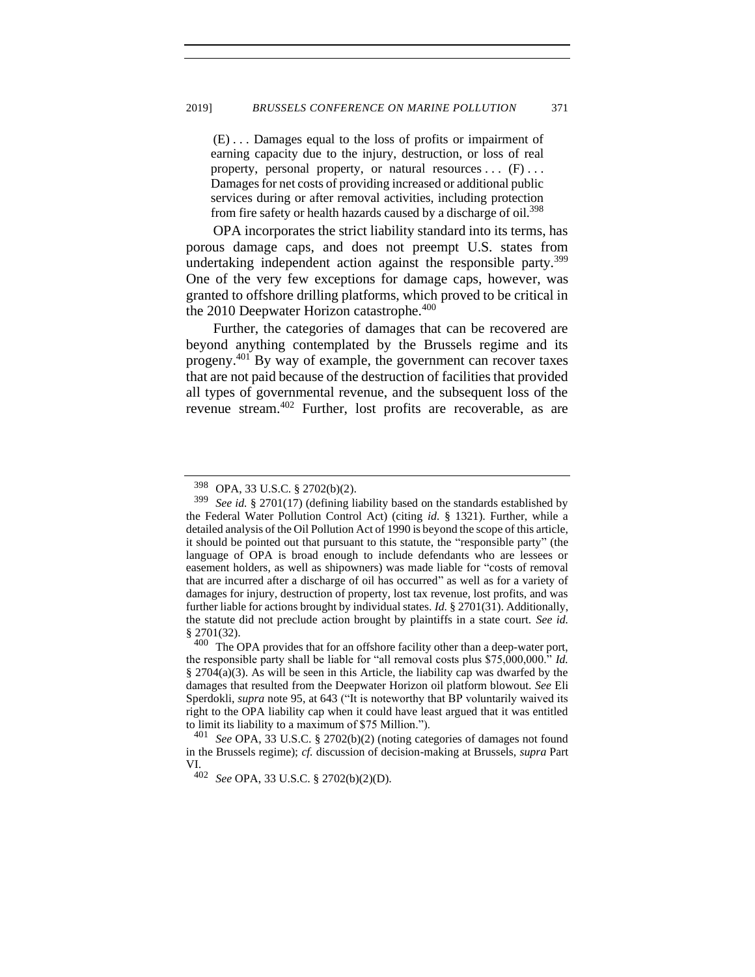(E) . . . Damages equal to the loss of profits or impairment of earning capacity due to the injury, destruction, or loss of real property, personal property, or natural resources  $\dots$  (F)  $\dots$ Damages for net costs of providing increased or additional public services during or after removal activities, including protection from fire safety or health hazards caused by a discharge of oil.<sup>398</sup>

OPA incorporates the strict liability standard into its terms, has porous damage caps, and does not preempt U.S. states from undertaking independent action against the responsible party.<sup>399</sup> One of the very few exceptions for damage caps, however, was granted to offshore drilling platforms, which proved to be critical in the 2010 Deepwater Horizon catastrophe.<sup>400</sup>

Further, the categories of damages that can be recovered are beyond anything contemplated by the Brussels regime and its progeny.<sup>401</sup> By way of example, the government can recover taxes that are not paid because of the destruction of facilities that provided all types of governmental revenue, and the subsequent loss of the revenue stream.<sup>402</sup> Further, lost profits are recoverable, as are

 $398$  OPA, 33 U.S.C. § 2702(b)(2).<br> $399$  See id § 2701(17) (defining li

See id. § 2701(17) (defining liability based on the standards established by the Federal Water Pollution Control Act) (citing *id.* § 1321). Further, while a detailed analysis of the Oil Pollution Act of 1990 is beyond the scope of this article, it should be pointed out that pursuant to this statute, the "responsible party" (the language of OPA is broad enough to include defendants who are lessees or easement holders, as well as shipowners) was made liable for "costs of removal that are incurred after a discharge of oil has occurred" as well as for a variety of damages for injury, destruction of property, lost tax revenue, lost profits, and was further liable for actions brought by individual states. *Id.* § 2701(31). Additionally, the statute did not preclude action brought by plaintiffs in a state court. *See id.*   $\frac{2701(32)}{400}$ .

The OPA provides that for an offshore facility other than a deep-water port, the responsible party shall be liable for "all removal costs plus \$75,000,000." *Id.* § 2704(a)(3). As will be seen in this Article, the liability cap was dwarfed by the damages that resulted from the Deepwater Horizon oil platform blowout. *See* Eli Sperdokli, *supra* note 95, at 643 ("It is noteworthy that BP voluntarily waived its right to the OPA liability cap when it could have least argued that it was entitled to limit its liability to a maximum of \$75 Million.").

See OPA, 33 U.S.C. § 2702(b)(2) (noting categories of damages not found in the Brussels regime); *cf.* discussion of decision-making at Brussels, *supra* Part VI.

<sup>402</sup> *See* OPA, 33 U.S.C. § 2702(b)(2)(D).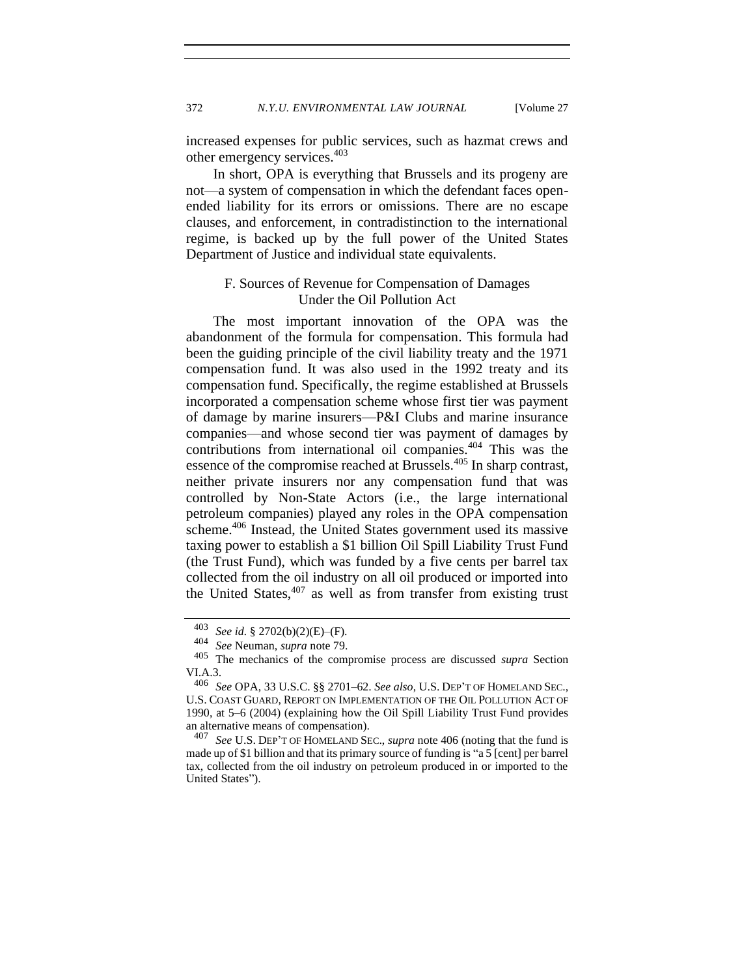increased expenses for public services, such as hazmat crews and other emergency services.<sup>403</sup>

In short, OPA is everything that Brussels and its progeny are not—a system of compensation in which the defendant faces openended liability for its errors or omissions. There are no escape clauses, and enforcement, in contradistinction to the international regime, is backed up by the full power of the United States Department of Justice and individual state equivalents.

## F. Sources of Revenue for Compensation of Damages Under the Oil Pollution Act

The most important innovation of the OPA was the abandonment of the formula for compensation. This formula had been the guiding principle of the civil liability treaty and the 1971 compensation fund. It was also used in the 1992 treaty and its compensation fund. Specifically, the regime established at Brussels incorporated a compensation scheme whose first tier was payment of damage by marine insurers—P&I Clubs and marine insurance companies—and whose second tier was payment of damages by contributions from international oil companies.<sup>404</sup> This was the essence of the compromise reached at Brussels.<sup>405</sup> In sharp contrast, neither private insurers nor any compensation fund that was controlled by Non-State Actors (i.e., the large international petroleum companies) played any roles in the OPA compensation scheme.<sup>406</sup> Instead, the United States government used its massive taxing power to establish a \$1 billion Oil Spill Liability Trust Fund (the Trust Fund), which was funded by a five cents per barrel tax collected from the oil industry on all oil produced or imported into the United States,  $407$  as well as from transfer from existing trust

<span id="page-73-0"></span><sup>403</sup> *See id.* § 2702(b)(2)(E)–(F).

<sup>404</sup> *See* Neuman, *supra* note [79.](#page-16-0)

<sup>405</sup> The mechanics of the compromise process are discussed *supra* Section  $VIA.3.406.6$ 

<sup>406</sup> *See* OPA, 33 U.S.C. §§ 2701–62. *See also*, U.S. DEP'T OF HOMELAND SEC., U.S. COAST GUARD, REPORT ON IMPLEMENTATION OF THE OIL POLLUTION ACT OF 1990, at 5–6 (2004) (explaining how the Oil Spill Liability Trust Fund provides an alternative means of compensation).<br> $407 \text{ }$ See IIS DEP'T OF HOMELAND SE

<sup>407</sup> *See* U.S. DEP'T OF HOMELAND SEC., *supra* note 406 (noting that the fund is made up of \$1 billion and that its primary source of funding is "a 5 [cent] per barrel tax, collected from the oil industry on petroleum produced in or imported to the United States").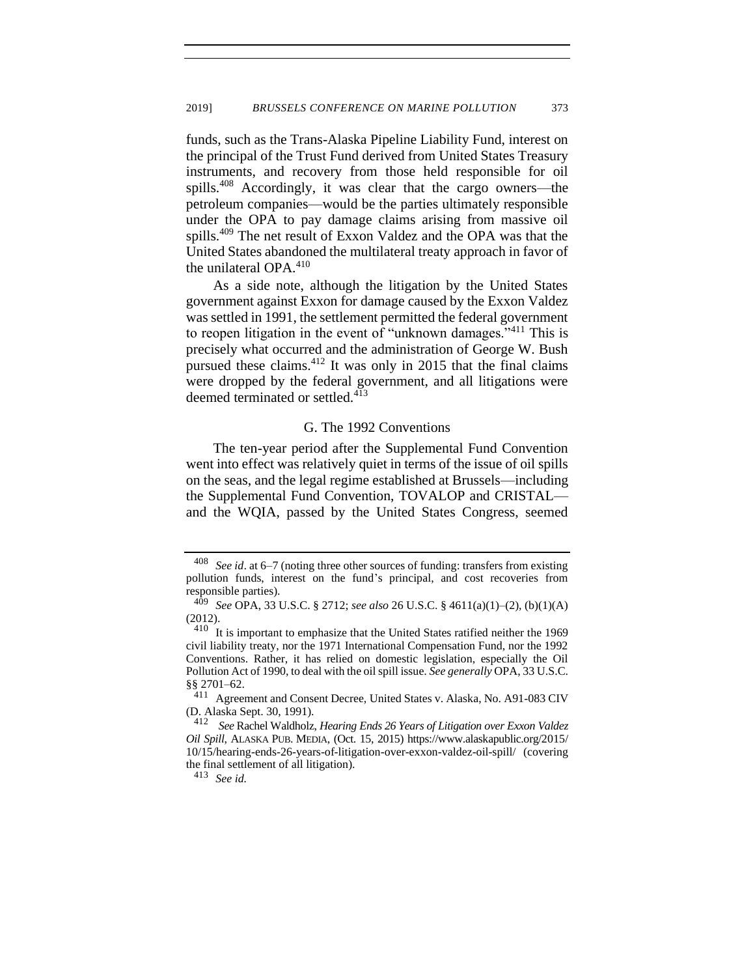funds, such as the Trans-Alaska Pipeline Liability Fund, interest on the principal of the Trust Fund derived from United States Treasury instruments, and recovery from those held responsible for oil spills.<sup>408</sup> Accordingly, it was clear that the cargo owners—the petroleum companies—would be the parties ultimately responsible under the OPA to pay damage claims arising from massive oil spills.<sup>409</sup> The net result of Exxon Valdez and the OPA was that the United States abandoned the multilateral treaty approach in favor of the unilateral OPA.<sup>410</sup>

As a side note, although the litigation by the United States government against Exxon for damage caused by the Exxon Valdez was settled in 1991, the settlement permitted the federal government to reopen litigation in the event of "unknown damages."<sup>411</sup> This is precisely what occurred and the administration of George W. Bush pursued these claims.<sup>412</sup> It was only in 2015 that the final claims were dropped by the federal government, and all litigations were deemed terminated or settled.<sup>413</sup>

## <span id="page-74-0"></span>G. The 1992 Conventions

The ten-year period after the Supplemental Fund Convention went into effect was relatively quiet in terms of the issue of oil spills on the seas, and the legal regime established at Brussels—including the Supplemental Fund Convention, TOVALOP and CRISTAL and the WQIA, passed by the United States Congress, seemed

<sup>408</sup> *See id*. at 6–7 (noting three other sources of funding: transfers from existing pollution funds, interest on the fund's principal, and cost recoveries from responsible parties).

<sup>409</sup> *See* OPA, 33 U.S.C. § 2712; *see also* 26 U.S.C. § 4611(a)(1)–(2), (b)(1)(A) (2012).

 $410$  It is important to emphasize that the United States ratified neither the 1969 civil liability treaty, nor the 1971 International Compensation Fund, nor the 1992 Conventions. Rather, it has relied on domestic legislation, especially the Oil Pollution Act of 1990, to deal with the oil spill issue. *See generally* OPA, 33 U.S.C. §§ 2701–62.

<sup>&</sup>lt;sup>411</sup> Agreement and Consent Decree, United States v. Alaska, No. A91-083 CIV (D. Alaska Sept. 30, 1991).

<sup>412</sup> *See* Rachel Waldholz, *Hearing Ends 26 Years of Litigation over Exxon Valdez Oil Spill*, ALASKA PUB. MEDIA, (Oct. 15, 2015) https://www.alaskapublic.org/2015/ 10/15/hearing-ends-26-years-of-litigation-over-exxon-valdez-oil-spill/ (covering the final settlement of all litigation).

<sup>413</sup> *See id.*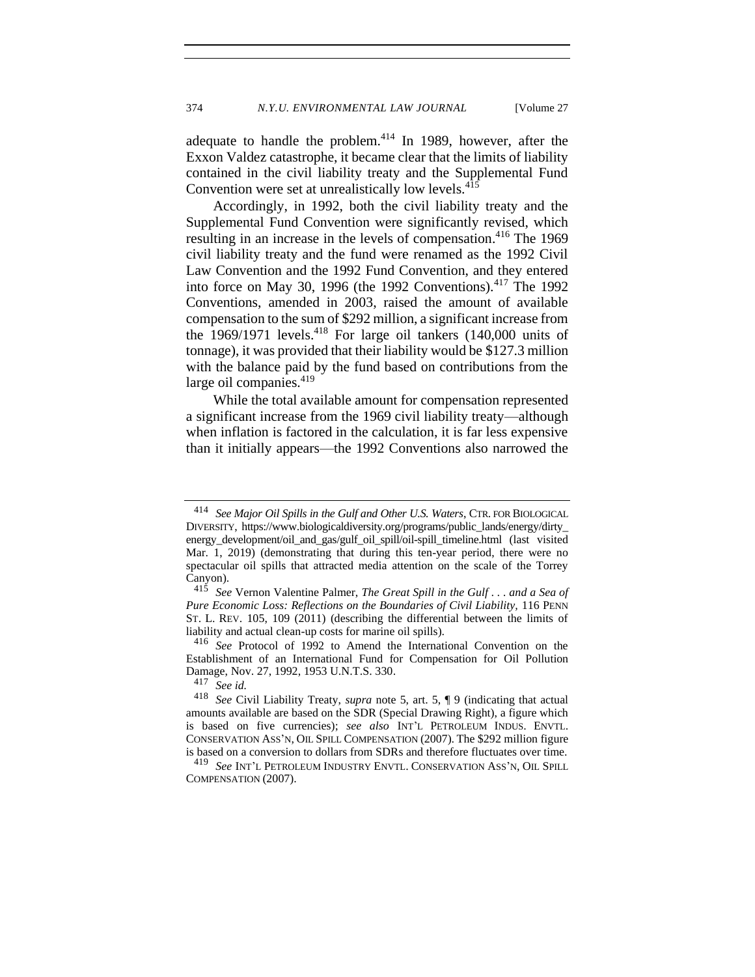adequate to handle the problem. $414$  In 1989, however, after the Exxon Valdez catastrophe, it became clear that the limits of liability contained in the civil liability treaty and the Supplemental Fund Convention were set at unrealistically low levels.<sup>415</sup>

<span id="page-75-0"></span>Accordingly, in 1992, both the civil liability treaty and the Supplemental Fund Convention were significantly revised, which resulting in an increase in the levels of compensation. <sup>416</sup> The 1969 civil liability treaty and the fund were renamed as the 1992 Civil Law Convention and the 1992 Fund Convention, and they entered into force on May 30, 1996 (the 1992 Conventions). $417$  The 1992 Conventions, amended in 2003, raised the amount of available compensation to the sum of \$292 million, a significant increase from the  $1969/1971$  levels.<sup>418</sup> For large oil tankers (140,000 units of tonnage), it was provided that their liability would be \$127.3 million with the balance paid by the fund based on contributions from the large oil companies.<sup>419</sup>

While the total available amount for compensation represented a significant increase from the 1969 civil liability treaty—although when inflation is factored in the calculation, it is far less expensive than it initially appears—the 1992 Conventions also narrowed the

<sup>414</sup> *See Major Oil Spills in the Gulf and Other U.S. Waters*, CTR. FOR BIOLOGICAL DIVERSITY, https://www.biologicaldiversity.org/programs/public\_lands/energy/dirty\_ energy development/oil and gas/gulf oil spill/oil-spill timeline.html (last visited Mar. 1, 2019) (demonstrating that during this ten-year period, there were no spectacular oil spills that attracted media attention on the scale of the Torrey Canyon).

<sup>415</sup> *See* Vernon Valentine Palmer, *The Great Spill in the Gulf . . . and a Sea of Pure Economic Loss: Reflections on the Boundaries of Civil Liability,* 116 PENN ST. L. REV. 105, 109 (2011) (describing the differential between the limits of liability and actual clean-up costs for marine oil spills).

<sup>416</sup> *See* Protocol of 1992 to Amend the International Convention on the Establishment of an International Fund for Compensation for Oil Pollution Damage, Nov. 27, 1992, 1953 U.N.T.S. 330.

 $417$  *See id.*<br>418 *See Ci* 

<sup>418</sup> *See* Civil Liability Treaty, *supra* note [5,](#page-2-0) art. 5, ¶ 9 (indicating that actual amounts available are based on the SDR (Special Drawing Right), a figure which is based on five currencies); *see also* INT'L PETROLEUM INDUS. ENVTL. CONSERVATION ASS'N, OIL SPILL COMPENSATION (2007). The \$292 million figure is based on a conversion to dollars from SDRs and therefore fluctuates over time.

<sup>419</sup> *See* INT'L PETROLEUM INDUSTRY ENVTL. CONSERVATION ASS'N, OIL SPILL COMPENSATION (2007).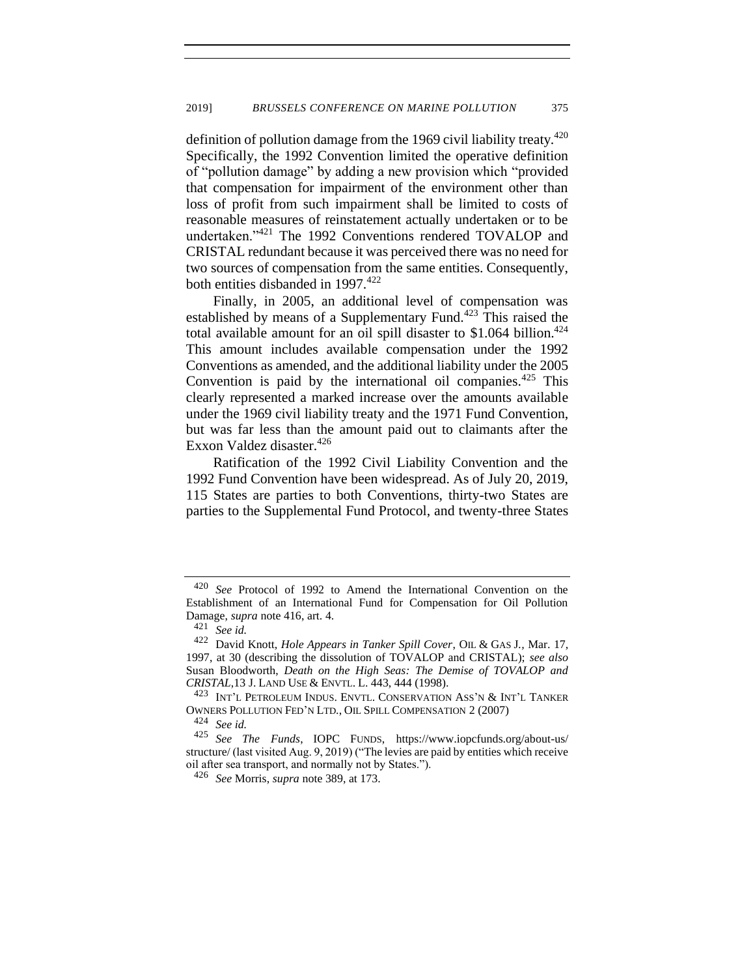definition of pollution damage from the 1969 civil liability treaty. $420$ Specifically, the 1992 Convention limited the operative definition of "pollution damage" by adding a new provision which "provided that compensation for impairment of the environment other than loss of profit from such impairment shall be limited to costs of reasonable measures of reinstatement actually undertaken or to be undertaken."<sup>421</sup> The 1992 Conventions rendered TOVALOP and CRISTAL redundant because it was perceived there was no need for two sources of compensation from the same entities. Consequently, both entities disbanded in  $1997.^{422}$ 

Finally, in 2005, an additional level of compensation was established by means of a Supplementary Fund.<sup>423</sup> This raised the total available amount for an oil spill disaster to  $$1.064$  billion.<sup>424</sup> This amount includes available compensation under the 1992 Conventions as amended, and the additional liability under the 2005 Convention is paid by the international oil companies.<sup>425</sup> This clearly represented a marked increase over the amounts available under the 1969 civil liability treaty and the 1971 Fund Convention, but was far less than the amount paid out to claimants after the Exxon Valdez disaster.<sup>426</sup>

Ratification of the 1992 Civil Liability Convention and the 1992 Fund Convention have been widespread. As of July 20, 2019, 115 States are parties to both Conventions, thirty-two States are parties to the Supplemental Fund Protocol, and twenty-three States

<sup>420</sup> *See* Protocol of 1992 to Amend the International Convention on the Establishment of an International Fund for Compensation for Oil Pollution Damage, *supra* note 416, art. 4.

<sup>421</sup> *See id.*

<sup>422</sup> David Knott, *Hole Appears in Tanker Spill Cover*, OIL & GAS J*.,* Mar. 17, 1997, at 30 (describing the dissolution of TOVALOP and CRISTAL); *see also* Susan Bloodworth, *Death on the High Seas: The Demise of TOVALOP and CRISTAL*,13 J. LAND USE & ENVTL. L. 443, 444 (1998).

<sup>&</sup>lt;sup>423</sup> INT'L PETROLEUM INDUS. ENVTL. CONSERVATION ASS'N & INT'L TANKER OWNERS POLLUTION FED'N LTD., OIL SPILL COMPENSATION 2 (2007)

 $424$  *See id.*<br> $425$  *See 1* 

<sup>425</sup> *See The Funds*, IOPC FUNDS, https://www.iopcfunds.org/about-us/ structure/ (last visited Aug. 9, 2019) ("The levies are paid by entities which receive oil after sea transport, and normally not by States.").

<sup>426</sup> *See* Morris, *supra* note 389, at 173.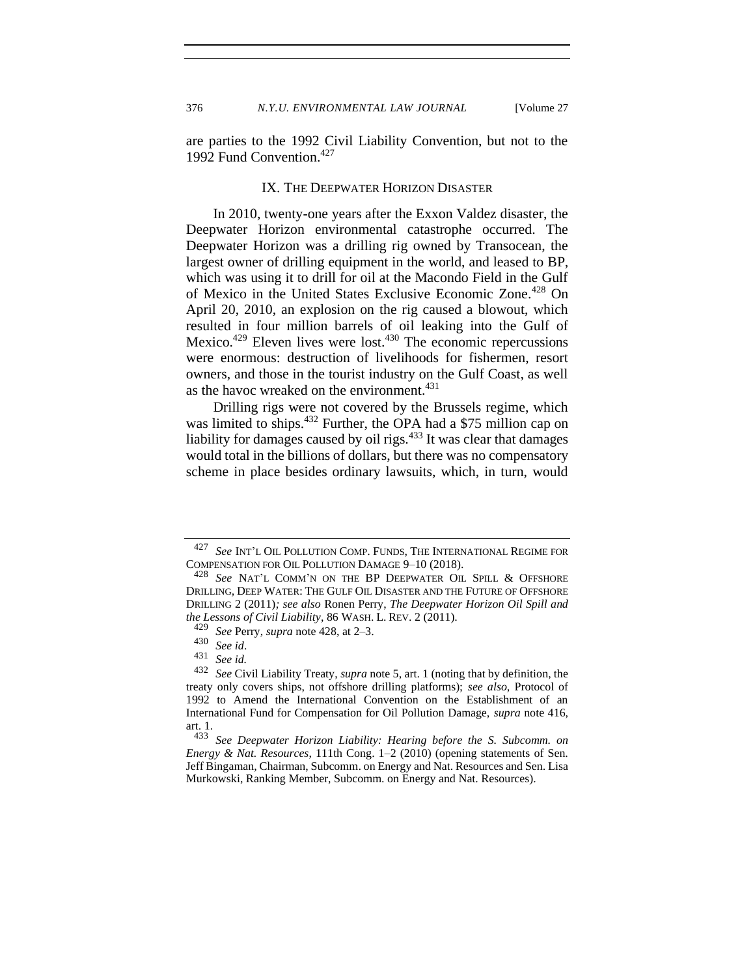<span id="page-77-0"></span>

are parties to the 1992 Civil Liability Convention, but not to the 1992 Fund Convention.<sup>427</sup>

## IX. THE DEEPWATER HORIZON DISASTER

In 2010, twenty-one years after the Exxon Valdez disaster, the Deepwater Horizon environmental catastrophe occurred. The Deepwater Horizon was a drilling rig owned by Transocean, the largest owner of drilling equipment in the world, and leased to BP, which was using it to drill for oil at the Macondo Field in the Gulf of Mexico in the United States Exclusive Economic Zone.<sup>428</sup> On April 20, 2010, an explosion on the rig caused a blowout, which resulted in four million barrels of oil leaking into the Gulf of Mexico.<sup>429</sup> Eleven lives were lost.<sup>430</sup> The economic repercussions were enormous: destruction of livelihoods for fishermen, resort owners, and those in the tourist industry on the Gulf Coast, as well as the havoc wreaked on the environment.<sup>431</sup>

Drilling rigs were not covered by the Brussels regime, which was limited to ships.<sup>432</sup> Further, the OPA had a \$75 million cap on liability for damages caused by oil rigs. $433$  It was clear that damages would total in the billions of dollars, but there was no compensatory scheme in place besides ordinary lawsuits, which, in turn, would

<sup>427</sup> *See* INT'<sup>L</sup> OIL POLLUTION COMP. FUNDS, THE INTERNATIONAL REGIME FOR COMPENSATION FOR OIL POLLUTION DAMAGE 9–10 (2018).

<sup>428</sup> *See* NAT'<sup>L</sup> COMM'<sup>N</sup> ON THE BP DEEPWATER OIL SPILL & OFFSHORE DRILLING*,* DEEP WATER: THE GULF OIL DISASTER AND THE FUTURE OF OFFSHORE DRILLING 2 (2011)*; see also* Ronen Perry, *The Deepwater Horizon Oil Spill and the Lessons of Civil Liability*, 86 WASH. L. REV. 2 (2011).

<sup>429</sup> *See* Perry, *supra* not[e 428,](#page-77-0) at 2–3.

<sup>430</sup> *See id*.

 $431$  *See id.*<br>432 *See Ci* 

<sup>432</sup> *See* Civil Liability Treaty, *supra* not[e 5,](#page-2-0) art. 1 (noting that by definition, the treaty only covers ships, not offshore drilling platforms); *see also*, Protocol of 1992 to Amend the International Convention on the Establishment of an International Fund for Compensation for Oil Pollution Damage, *supra* note 416, art. 1.<br> $433$ 

See Deepwater Horizon Liability: Hearing before the S. Subcomm. on *Energy & Nat. Resources*, 111th Cong. 1–2 (2010) (opening statements of Sen. Jeff Bingaman, Chairman, Subcomm. on Energy and Nat. Resources and Sen. Lisa Murkowski, Ranking Member, Subcomm. on Energy and Nat. Resources).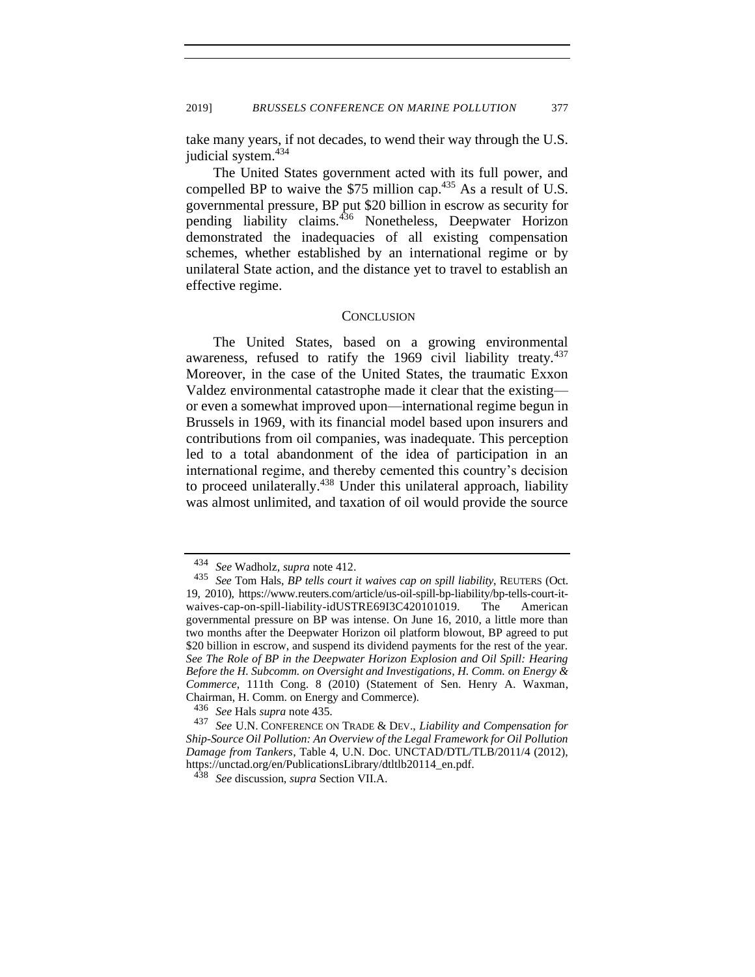take many years, if not decades, to wend their way through the U.S. judicial system.<sup>434</sup>

The United States government acted with its full power, and compelled BP to waive the \$75 million cap.<sup>435</sup> As a result of U.S. governmental pressure, BP put \$20 billion in escrow as security for pending liability claims.<sup>436</sup> Nonetheless, Deepwater Horizon demonstrated the inadequacies of all existing compensation schemes, whether established by an international regime or by unilateral State action, and the distance yet to travel to establish an effective regime.

## <span id="page-78-0"></span>**CONCLUSION**

The United States, based on a growing environmental awareness, refused to ratify the 1969 civil liability treaty. $437$ Moreover, in the case of the United States, the traumatic Exxon Valdez environmental catastrophe made it clear that the existing or even a somewhat improved upon—international regime begun in Brussels in 1969, with its financial model based upon insurers and contributions from oil companies, was inadequate. This perception led to a total abandonment of the idea of participation in an international regime, and thereby cemented this country's decision to proceed unilaterally.<sup>438</sup> Under this unilateral approach, liability was almost unlimited, and taxation of oil would provide the source

<sup>436</sup> *See* Hals *supra* note [435.](#page-78-0)

<sup>434</sup> *See* Wadholz, *supra* not[e 412.](#page-74-0)

<sup>435</sup> *See* Tom Hals, *BP tells court it waives cap on spill liability*, REUTERS (Oct. 19, 2010), https://www.reuters.com/article/us-oil-spill-bp-liability/bp-tells-court-itwaives-cap-on-spill-liability-idUSTRE69I3C420101019. The American governmental pressure on BP was intense. On June 16, 2010, a little more than two months after the Deepwater Horizon oil platform blowout, BP agreed to put \$20 billion in escrow, and suspend its dividend payments for the rest of the year. *See The Role of BP in the Deepwater Horizon Explosion and Oil Spill: Hearing Before the H. Subcomm. on Oversight and Investigations, H. Comm. on Energy & Commerce*, 111th Cong. 8 (2010) (Statement of Sen. Henry A. Waxman, Chairman, H. Comm. on Energy and Commerce).

<sup>437</sup> *See* U.N. CONFERENCE ON TRADE & DEV., *Liability and Compensation for Ship-Source Oil Pollution: An Overview of the Legal Framework for Oil Pollution Damage from Tankers*, Table 4, U.N. Doc. UNCTAD/DTL/TLB/2011/4 (2012), https://unctad.org/en/PublicationsLibrary/dtltlb20114\_en.pdf.

<sup>438</sup> *See* discussion, *supra* Section VII.A.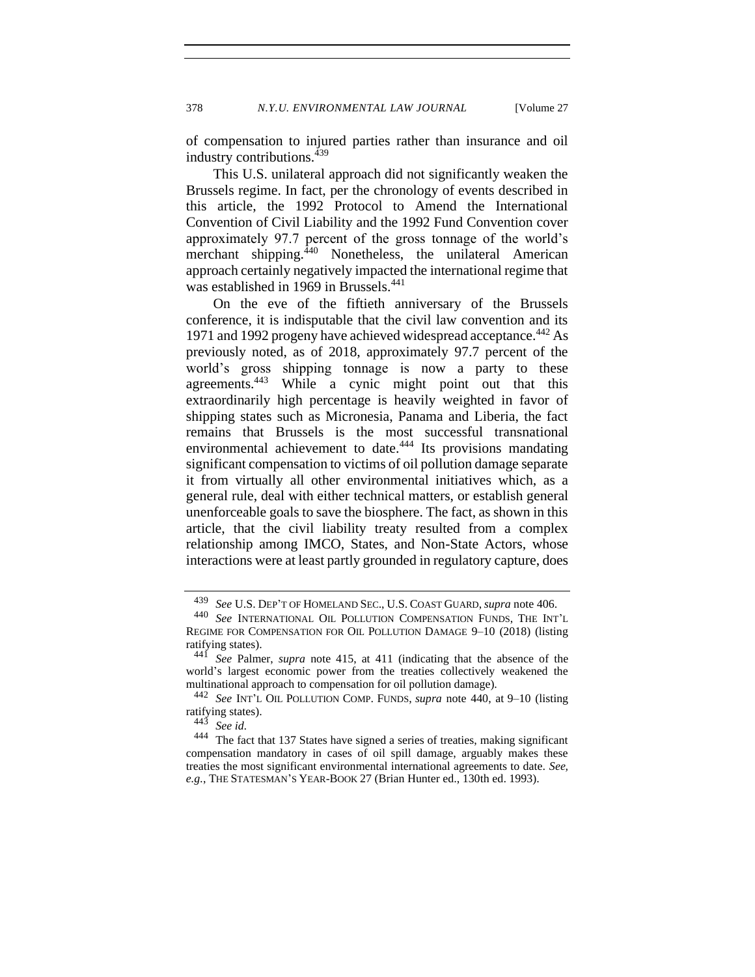of compensation to injured parties rather than insurance and oil industry contributions.<sup>439</sup>

This U.S. unilateral approach did not significantly weaken the Brussels regime. In fact, per the chronology of events described in this article, the 1992 Protocol to Amend the International Convention of Civil Liability and the 1992 Fund Convention cover approximately 97.7 percent of the gross tonnage of the world's merchant shipping.<sup>440</sup> Nonetheless, the unilateral American approach certainly negatively impacted the international regime that was established in 1969 in Brussels.<sup>441</sup>

On the eve of the fiftieth anniversary of the Brussels conference, it is indisputable that the civil law convention and its 1971 and 1992 progeny have achieved widespread acceptance.<sup>442</sup> As previously noted, as of 2018, approximately 97.7 percent of the world's gross shipping tonnage is now a party to these agreements.<sup>443</sup> While a cynic might point out that this extraordinarily high percentage is heavily weighted in favor of shipping states such as Micronesia, Panama and Liberia, the fact remains that Brussels is the most successful transnational environmental achievement to date.<sup>444</sup> Its provisions mandating significant compensation to victims of oil pollution damage separate it from virtually all other environmental initiatives which, as a general rule, deal with either technical matters, or establish general unenforceable goals to save the biosphere. The fact, as shown in this article, that the civil liability treaty resulted from a complex relationship among IMCO, States, and Non-State Actors, whose interactions were at least partly grounded in regulatory capture, does

<sup>439</sup> *See* U.S. DEP'T OF HOMELAND SEC., U.S. COAST GUARD, *supra* not[e 406.](#page-73-0)

See INTERNATIONAL OIL POLLUTION COMPENSATION FUNDS, THE INT'L REGIME FOR COMPENSATION FOR OIL POLLUTION DAMAGE 9–10 (2018) (listing ratifying states).

<sup>441</sup> *See* Palmer, *supra* note [415,](#page-75-0) at 411 (indicating that the absence of the world's largest economic power from the treaties collectively weakened the multinational approach to compensation for oil pollution damage).

<sup>442</sup> *See* INT'<sup>L</sup> OIL POLLUTION COMP. FUNDS, *supra* note 440, at 9–10 (listing ratifying states).

<sup>443</sup> *See id.*

<sup>444</sup> The fact that 137 States have signed a series of treaties, making significant compensation mandatory in cases of oil spill damage, arguably makes these treaties the most significant environmental international agreements to date. *See, e.g.*, THE STATESMAN'S YEAR-BOOK 27 (Brian Hunter ed., 130th ed. 1993).